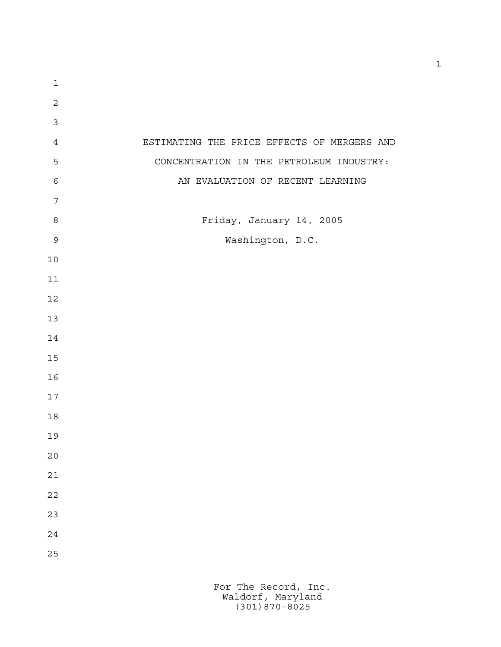| $\mathbf 1$    |                                             |
|----------------|---------------------------------------------|
| $\overline{c}$ |                                             |
| $\mathfrak{Z}$ |                                             |
| $\overline{4}$ | ESTIMATING THE PRICE EFFECTS OF MERGERS AND |
| 5              | CONCENTRATION IN THE PETROLEUM INDUSTRY:    |
| $\epsilon$     | AN EVALUATION OF RECENT LEARNING            |
| $\overline{7}$ |                                             |
| $\,8\,$        | Friday, January 14, 2005                    |
| $\mathsf 9$    | Washington, D.C.                            |
| $10$           |                                             |
| 11             |                                             |
| 12             |                                             |
| 13             |                                             |
| 14             |                                             |
| 15             |                                             |
| 16             |                                             |
| 17             |                                             |
| 18             |                                             |
| 19             |                                             |
| $20$           |                                             |
| $2\sqrt{1}$    |                                             |
| $2\sqrt{2}$    |                                             |
| 23             |                                             |
| 24             |                                             |
| 25             |                                             |
|                |                                             |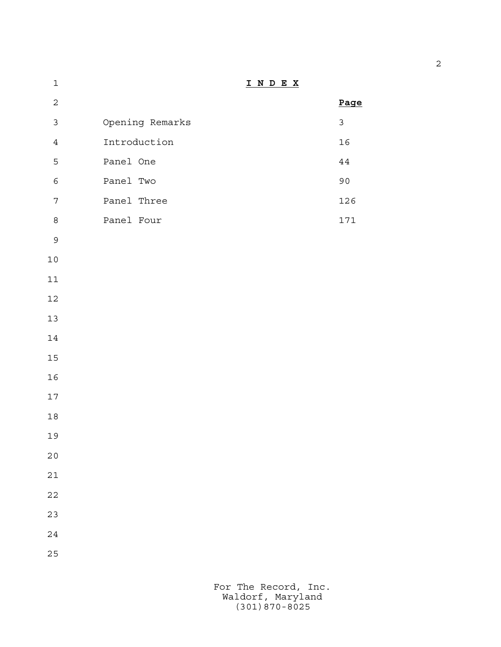| $\mathbf 1$      |                 | INDEX |                |
|------------------|-----------------|-------|----------------|
| $\sqrt{2}$       |                 |       | Page           |
| $\mathsf{3}$     | Opening Remarks |       | $\mathfrak{Z}$ |
| $\ensuremath{4}$ | Introduction    |       | 16             |
| 5                | Panel One       |       | $4\,4$         |
| $\epsilon$       | Panel Two       |       | 90             |
| $\boldsymbol{7}$ | Panel Three     |       | 126            |
| $\,8\,$          | Panel Four      |       | 171            |
| $\mathsf 9$      |                 |       |                |
| $10$             |                 |       |                |
| $11\,$           |                 |       |                |
| $12$             |                 |       |                |
| $13$             |                 |       |                |
| $14\,$           |                 |       |                |
| $15\,$           |                 |       |                |
| $16$             |                 |       |                |
| $17\,$           |                 |       |                |
| $18\,$           |                 |       |                |
| 19               |                 |       |                |
| 20               |                 |       |                |
| $2\sqrt{1}$      |                 |       |                |
| $2\sqrt{2}$      |                 |       |                |
| 23               |                 |       |                |
| $2\sqrt{4}$      |                 |       |                |
| 25               |                 |       |                |
|                  |                 |       |                |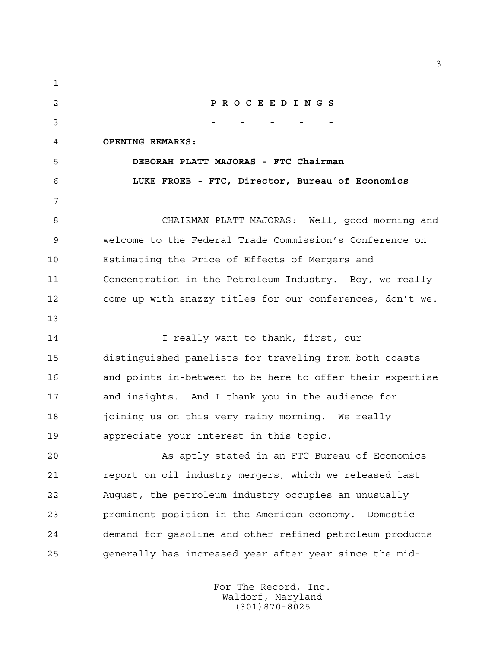**P R O C E E D I N G S - - - - - OPENING REMARKS: DEBORAH PLATT MAJORAS - FTC Chairman LUKE FROEB - FTC, Director, Bureau of Economics** CHAIRMAN PLATT MAJORAS: Well, good morning and welcome to the Federal Trade Commission's Conference on Estimating the Price of Effects of Mergers and Concentration in the Petroleum Industry. Boy, we really come up with snazzy titles for our conferences, don't we. **I** really want to thank, first, our distinguished panelists for traveling from both coasts and points in-between to be here to offer their expertise and insights. And I thank you in the audience for joining us on this very rainy morning. We really appreciate your interest in this topic. As aptly stated in an FTC Bureau of Economics report on oil industry mergers, which we released last August, the petroleum industry occupies an unusually prominent position in the American economy. Domestic demand for gasoline and other refined petroleum products generally has increased year after year since the mid-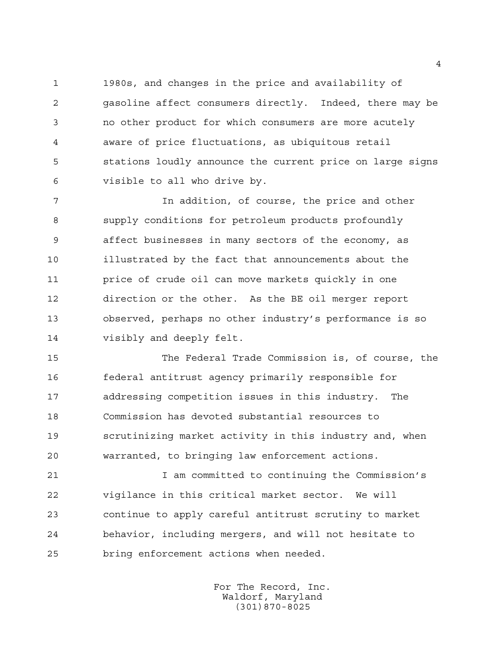1980s, and changes in the price and availability of gasoline affect consumers directly. Indeed, there may be no other product for which consumers are more acutely aware of price fluctuations, as ubiquitous retail stations loudly announce the current price on large signs visible to all who drive by.

 In addition, of course, the price and other supply conditions for petroleum products profoundly affect businesses in many sectors of the economy, as illustrated by the fact that announcements about the price of crude oil can move markets quickly in one direction or the other. As the BE oil merger report observed, perhaps no other industry's performance is so visibly and deeply felt.

 The Federal Trade Commission is, of course, the federal antitrust agency primarily responsible for addressing competition issues in this industry. The Commission has devoted substantial resources to scrutinizing market activity in this industry and, when warranted, to bringing law enforcement actions.

 I am committed to continuing the Commission's vigilance in this critical market sector. We will continue to apply careful antitrust scrutiny to market behavior, including mergers, and will not hesitate to bring enforcement actions when needed.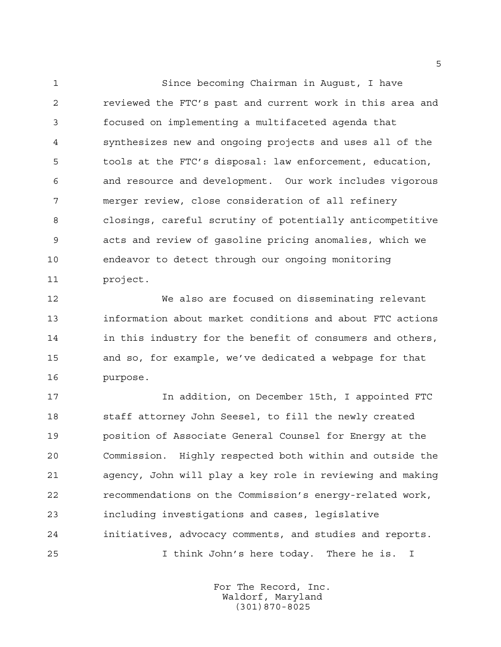Since becoming Chairman in August, I have reviewed the FTC's past and current work in this area and focused on implementing a multifaceted agenda that synthesizes new and ongoing projects and uses all of the tools at the FTC's disposal: law enforcement, education, and resource and development. Our work includes vigorous merger review, close consideration of all refinery closings, careful scrutiny of potentially anticompetitive acts and review of gasoline pricing anomalies, which we endeavor to detect through our ongoing monitoring project.

 We also are focused on disseminating relevant information about market conditions and about FTC actions in this industry for the benefit of consumers and others, and so, for example, we've dedicated a webpage for that purpose.

 In addition, on December 15th, I appointed FTC staff attorney John Seesel, to fill the newly created position of Associate General Counsel for Energy at the Commission. Highly respected both within and outside the agency, John will play a key role in reviewing and making recommendations on the Commission's energy-related work, including investigations and cases, legislative initiatives, advocacy comments, and studies and reports. I think John's here today. There he is. I

> For The Record, Inc. Waldorf, Maryland (301)870-8025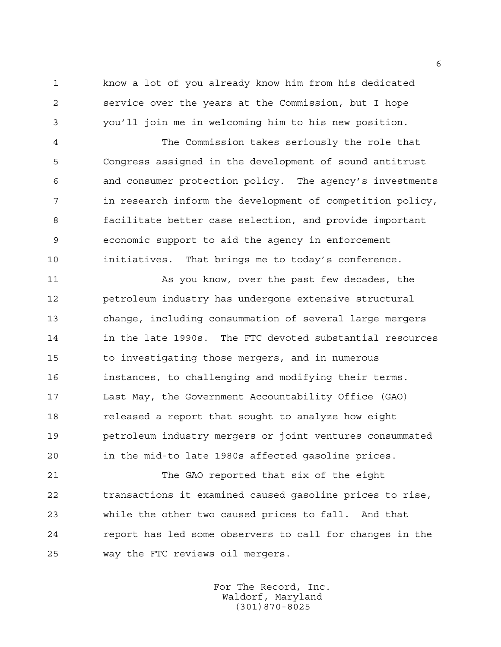know a lot of you already know him from his dedicated service over the years at the Commission, but I hope you'll join me in welcoming him to his new position.

 The Commission takes seriously the role that Congress assigned in the development of sound antitrust and consumer protection policy. The agency's investments in research inform the development of competition policy, facilitate better case selection, and provide important economic support to aid the agency in enforcement initiatives. That brings me to today's conference.

 As you know, over the past few decades, the petroleum industry has undergone extensive structural change, including consummation of several large mergers in the late 1990s. The FTC devoted substantial resources to investigating those mergers, and in numerous instances, to challenging and modifying their terms. Last May, the Government Accountability Office (GAO) released a report that sought to analyze how eight petroleum industry mergers or joint ventures consummated in the mid-to late 1980s affected gasoline prices.

 The GAO reported that six of the eight transactions it examined caused gasoline prices to rise, while the other two caused prices to fall. And that report has led some observers to call for changes in the way the FTC reviews oil mergers.

> For The Record, Inc. Waldorf, Maryland (301)870-8025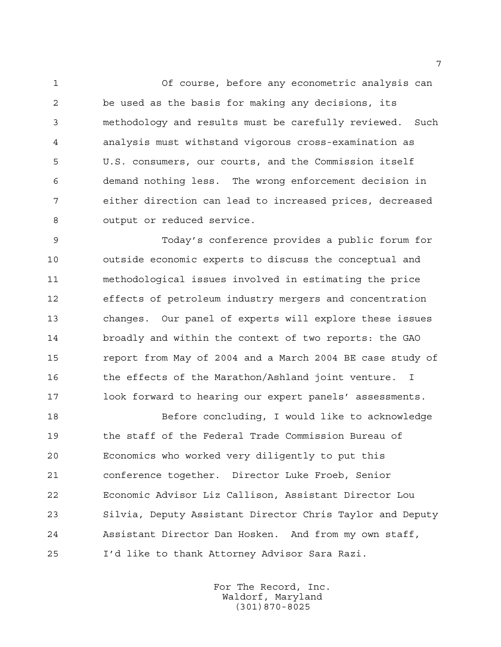Of course, before any econometric analysis can be used as the basis for making any decisions, its methodology and results must be carefully reviewed. Such analysis must withstand vigorous cross-examination as U.S. consumers, our courts, and the Commission itself demand nothing less. The wrong enforcement decision in either direction can lead to increased prices, decreased output or reduced service.

 Today's conference provides a public forum for outside economic experts to discuss the conceptual and methodological issues involved in estimating the price effects of petroleum industry mergers and concentration changes. Our panel of experts will explore these issues broadly and within the context of two reports: the GAO report from May of 2004 and a March 2004 BE case study of 16 the effects of the Marathon/Ashland joint venture. I look forward to hearing our expert panels' assessments.

 Before concluding, I would like to acknowledge the staff of the Federal Trade Commission Bureau of Economics who worked very diligently to put this conference together. Director Luke Froeb, Senior Economic Advisor Liz Callison, Assistant Director Lou Silvia, Deputy Assistant Director Chris Taylor and Deputy Assistant Director Dan Hosken. And from my own staff, I'd like to thank Attorney Advisor Sara Razi.

> For The Record, Inc. Waldorf, Maryland (301)870-8025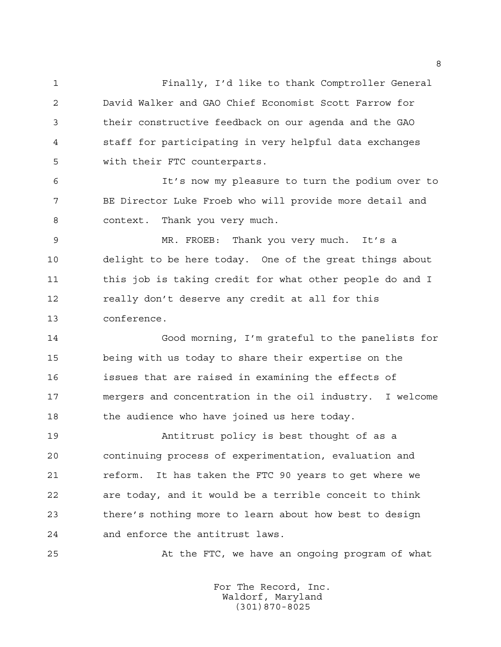Finally, I'd like to thank Comptroller General David Walker and GAO Chief Economist Scott Farrow for their constructive feedback on our agenda and the GAO staff for participating in very helpful data exchanges with their FTC counterparts.

 It's now my pleasure to turn the podium over to BE Director Luke Froeb who will provide more detail and context. Thank you very much.

 MR. FROEB: Thank you very much. It's a delight to be here today. One of the great things about 11 this job is taking credit for what other people do and I 12 really don't deserve any credit at all for this conference.

 Good morning, I'm grateful to the panelists for being with us today to share their expertise on the issues that are raised in examining the effects of mergers and concentration in the oil industry. I welcome 18 the audience who have joined us here today.

 Antitrust policy is best thought of as a continuing process of experimentation, evaluation and 21 reform. It has taken the FTC 90 years to get where we are today, and it would be a terrible conceit to think there's nothing more to learn about how best to design and enforce the antitrust laws.

At the FTC, we have an ongoing program of what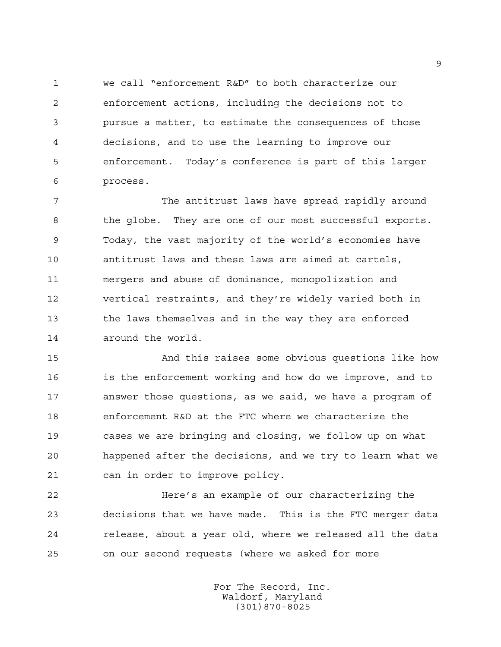we call "enforcement R&D" to both characterize our enforcement actions, including the decisions not to pursue a matter, to estimate the consequences of those decisions, and to use the learning to improve our enforcement. Today's conference is part of this larger process.

 The antitrust laws have spread rapidly around the globe. They are one of our most successful exports. Today, the vast majority of the world's economies have antitrust laws and these laws are aimed at cartels, mergers and abuse of dominance, monopolization and vertical restraints, and they're widely varied both in the laws themselves and in the way they are enforced around the world.

 And this raises some obvious questions like how is the enforcement working and how do we improve, and to answer those questions, as we said, we have a program of enforcement R&D at the FTC where we characterize the cases we are bringing and closing, we follow up on what happened after the decisions, and we try to learn what we can in order to improve policy.

 Here's an example of our characterizing the decisions that we have made. This is the FTC merger data release, about a year old, where we released all the data on our second requests (where we asked for more

> For The Record, Inc. Waldorf, Maryland (301)870-8025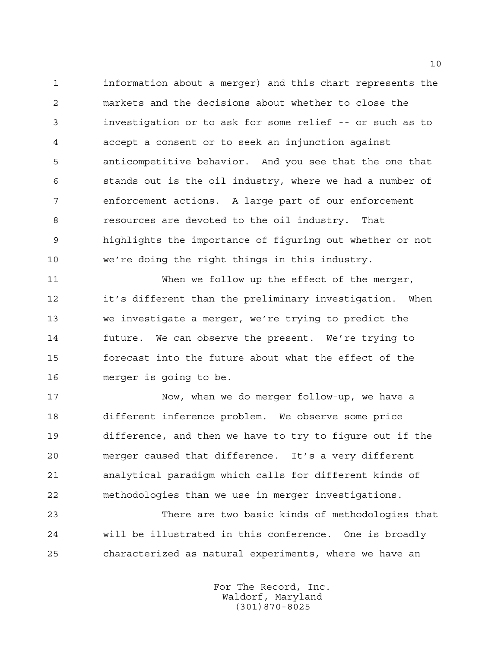information about a merger) and this chart represents the markets and the decisions about whether to close the investigation or to ask for some relief -- or such as to accept a consent or to seek an injunction against anticompetitive behavior. And you see that the one that stands out is the oil industry, where we had a number of enforcement actions. A large part of our enforcement resources are devoted to the oil industry. That highlights the importance of figuring out whether or not we're doing the right things in this industry.

 When we follow up the effect of the merger, it's different than the preliminary investigation. When we investigate a merger, we're trying to predict the future. We can observe the present. We're trying to forecast into the future about what the effect of the merger is going to be.

 Now, when we do merger follow-up, we have a different inference problem. We observe some price difference, and then we have to try to figure out if the merger caused that difference. It's a very different analytical paradigm which calls for different kinds of methodologies than we use in merger investigations.

 There are two basic kinds of methodologies that will be illustrated in this conference. One is broadly characterized as natural experiments, where we have an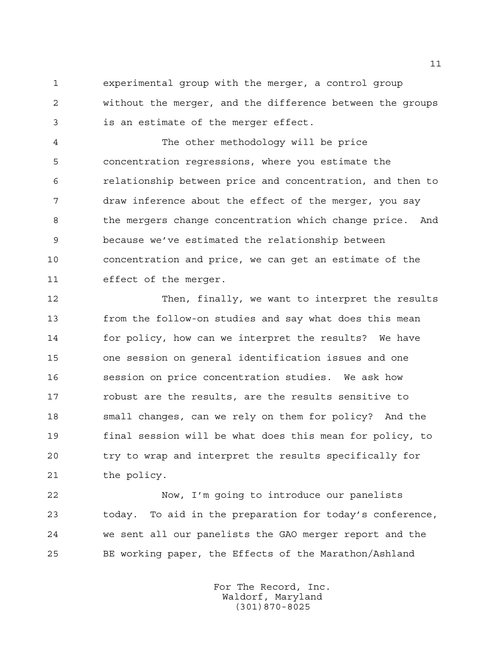experimental group with the merger, a control group without the merger, and the difference between the groups is an estimate of the merger effect.

 The other methodology will be price concentration regressions, where you estimate the relationship between price and concentration, and then to draw inference about the effect of the merger, you say the mergers change concentration which change price. And because we've estimated the relationship between concentration and price, we can get an estimate of the effect of the merger.

 Then, finally, we want to interpret the results from the follow-on studies and say what does this mean for policy, how can we interpret the results? We have one session on general identification issues and one session on price concentration studies. We ask how robust are the results, are the results sensitive to small changes, can we rely on them for policy? And the final session will be what does this mean for policy, to try to wrap and interpret the results specifically for the policy.

 Now, I'm going to introduce our panelists today. To aid in the preparation for today's conference, we sent all our panelists the GAO merger report and the BE working paper, the Effects of the Marathon/Ashland

> For The Record, Inc. Waldorf, Maryland (301)870-8025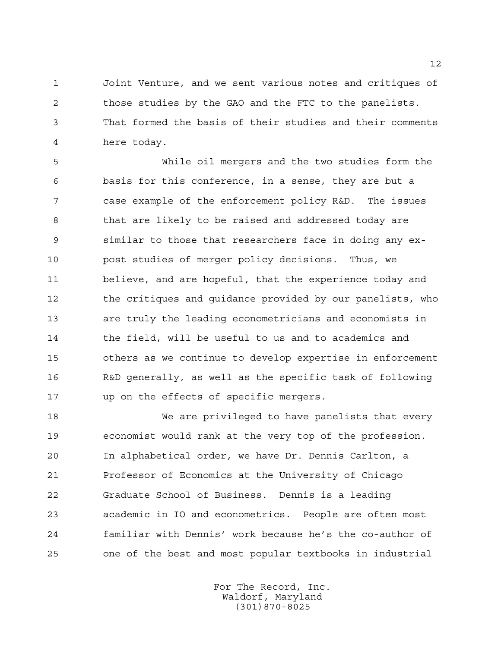Joint Venture, and we sent various notes and critiques of those studies by the GAO and the FTC to the panelists. That formed the basis of their studies and their comments here today.

 While oil mergers and the two studies form the basis for this conference, in a sense, they are but a case example of the enforcement policy R&D. The issues that are likely to be raised and addressed today are similar to those that researchers face in doing any ex- post studies of merger policy decisions. Thus, we believe, and are hopeful, that the experience today and 12 the critiques and quidance provided by our panelists, who are truly the leading econometricians and economists in 14 the field, will be useful to us and to academics and others as we continue to develop expertise in enforcement R&D generally, as well as the specific task of following up on the effects of specific mergers.

 We are privileged to have panelists that every economist would rank at the very top of the profession. In alphabetical order, we have Dr. Dennis Carlton, a Professor of Economics at the University of Chicago Graduate School of Business. Dennis is a leading academic in IO and econometrics. People are often most familiar with Dennis' work because he's the co-author of one of the best and most popular textbooks in industrial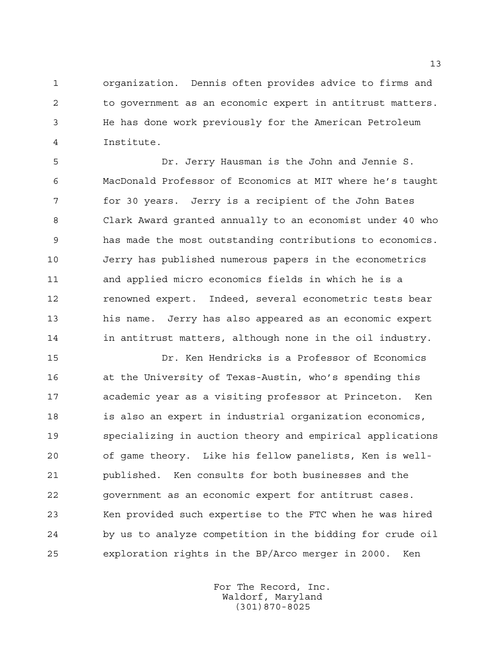organization. Dennis often provides advice to firms and to government as an economic expert in antitrust matters. He has done work previously for the American Petroleum Institute.

 Dr. Jerry Hausman is the John and Jennie S. MacDonald Professor of Economics at MIT where he's taught for 30 years. Jerry is a recipient of the John Bates Clark Award granted annually to an economist under 40 who has made the most outstanding contributions to economics. Jerry has published numerous papers in the econometrics and applied micro economics fields in which he is a renowned expert. Indeed, several econometric tests bear his name. Jerry has also appeared as an economic expert 14 in antitrust matters, although none in the oil industry.

 Dr. Ken Hendricks is a Professor of Economics at the University of Texas-Austin, who's spending this academic year as a visiting professor at Princeton. Ken is also an expert in industrial organization economics, specializing in auction theory and empirical applications of game theory. Like his fellow panelists, Ken is well- published. Ken consults for both businesses and the government as an economic expert for antitrust cases. Ken provided such expertise to the FTC when he was hired by us to analyze competition in the bidding for crude oil exploration rights in the BP/Arco merger in 2000. Ken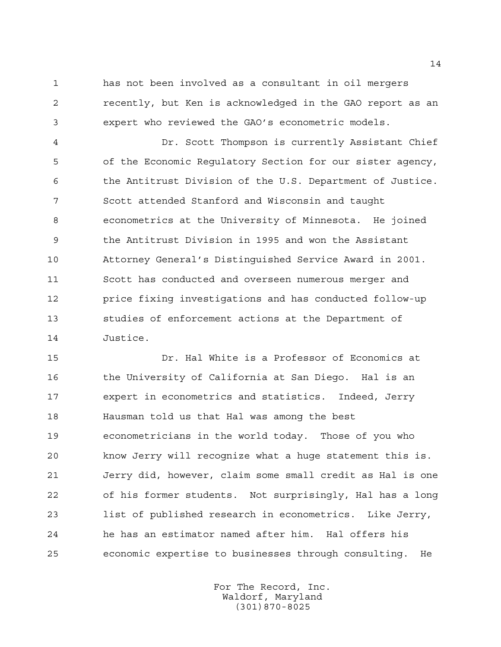has not been involved as a consultant in oil mergers recently, but Ken is acknowledged in the GAO report as an expert who reviewed the GAO's econometric models.

 Dr. Scott Thompson is currently Assistant Chief of the Economic Regulatory Section for our sister agency, the Antitrust Division of the U.S. Department of Justice. Scott attended Stanford and Wisconsin and taught econometrics at the University of Minnesota. He joined the Antitrust Division in 1995 and won the Assistant Attorney General's Distinguished Service Award in 2001. Scott has conducted and overseen numerous merger and price fixing investigations and has conducted follow-up studies of enforcement actions at the Department of Justice.

 Dr. Hal White is a Professor of Economics at the University of California at San Diego. Hal is an expert in econometrics and statistics. Indeed, Jerry Hausman told us that Hal was among the best econometricians in the world today. Those of you who know Jerry will recognize what a huge statement this is. Jerry did, however, claim some small credit as Hal is one of his former students. Not surprisingly, Hal has a long list of published research in econometrics. Like Jerry, he has an estimator named after him. Hal offers his economic expertise to businesses through consulting. He

> For The Record, Inc. Waldorf, Maryland (301)870-8025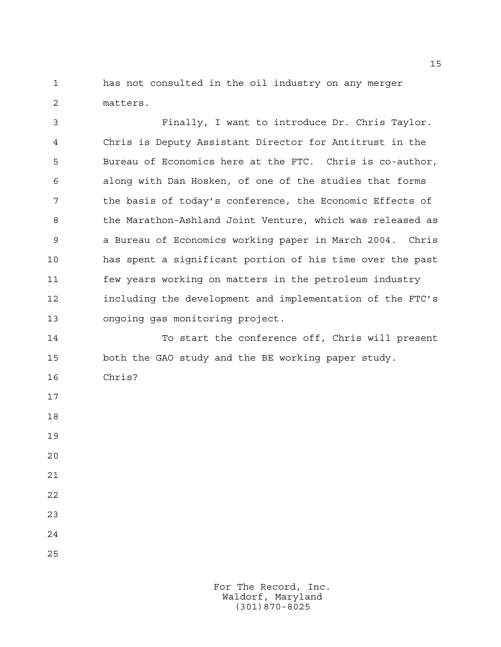has not consulted in the oil industry on any merger matters.

 Finally, I want to introduce Dr. Chris Taylor. Chris is Deputy Assistant Director for Antitrust in the Bureau of Economics here at the FTC. Chris is co-author, along with Dan Hosken, of one of the studies that forms the basis of today's conference, the Economic Effects of the Marathon-Ashland Joint Venture, which was released as a Bureau of Economics working paper in March 2004. Chris has spent a significant portion of his time over the past few years working on matters in the petroleum industry including the development and implementation of the FTC's ongoing gas monitoring project.

 To start the conference off, Chris will present both the GAO study and the BE working paper study.

- Chris?
- 
- 

- 
- 
- 
-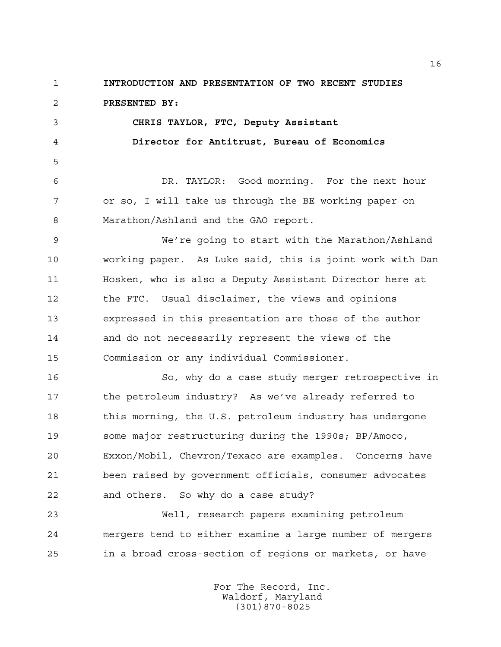**INTRODUCTION AND PRESENTATION OF TWO RECENT STUDIES PRESENTED BY: CHRIS TAYLOR, FTC, Deputy Assistant Director for Antitrust, Bureau of Economics** DR. TAYLOR: Good morning. For the next hour

 or so, I will take us through the BE working paper on Marathon/Ashland and the GAO report.

 We're going to start with the Marathon/Ashland working paper. As Luke said, this is joint work with Dan Hosken, who is also a Deputy Assistant Director here at the FTC. Usual disclaimer, the views and opinions expressed in this presentation are those of the author and do not necessarily represent the views of the Commission or any individual Commissioner.

 So, why do a case study merger retrospective in 17 the petroleum industry? As we've already referred to 18 this morning, the U.S. petroleum industry has undergone some major restructuring during the 1990s; BP/Amoco, Exxon/Mobil, Chevron/Texaco are examples. Concerns have been raised by government officials, consumer advocates and others. So why do a case study?

 Well, research papers examining petroleum mergers tend to either examine a large number of mergers in a broad cross-section of regions or markets, or have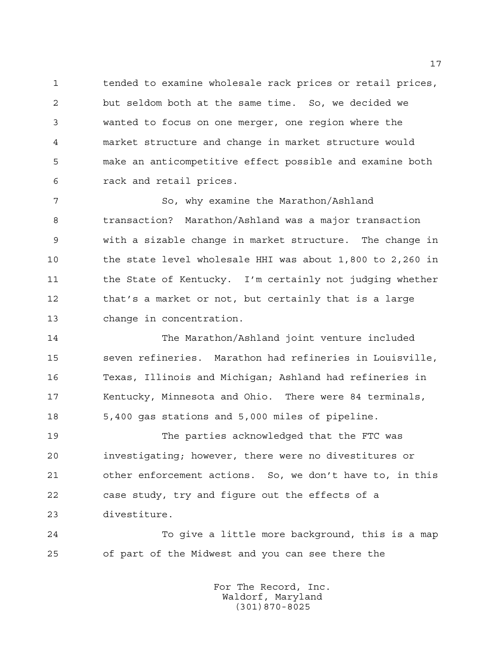tended to examine wholesale rack prices or retail prices, but seldom both at the same time. So, we decided we wanted to focus on one merger, one region where the market structure and change in market structure would make an anticompetitive effect possible and examine both rack and retail prices.

 So, why examine the Marathon/Ashland transaction? Marathon/Ashland was a major transaction with a sizable change in market structure. The change in the state level wholesale HHI was about 1,800 to 2,260 in 11 the State of Kentucky. I'm certainly not judging whether that's a market or not, but certainly that is a large change in concentration.

 The Marathon/Ashland joint venture included seven refineries. Marathon had refineries in Louisville, Texas, Illinois and Michigan; Ashland had refineries in Kentucky, Minnesota and Ohio. There were 84 terminals, 5,400 gas stations and 5,000 miles of pipeline.

 The parties acknowledged that the FTC was investigating; however, there were no divestitures or other enforcement actions. So, we don't have to, in this case study, try and figure out the effects of a divestiture.

 To give a little more background, this is a map of part of the Midwest and you can see there the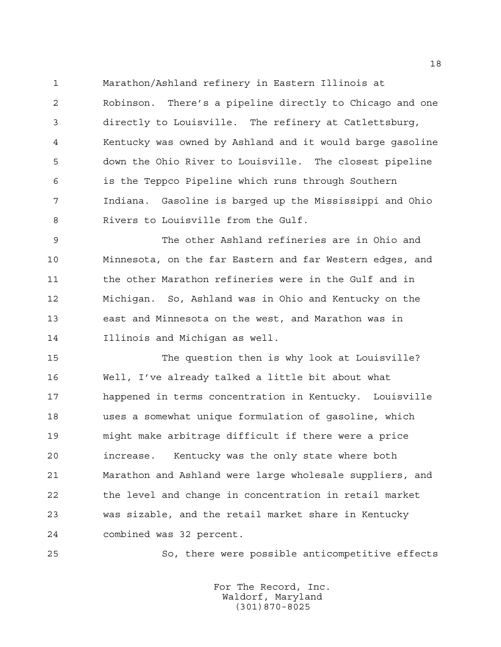Marathon/Ashland refinery in Eastern Illinois at

 Robinson. There's a pipeline directly to Chicago and one directly to Louisville. The refinery at Catlettsburg, Kentucky was owned by Ashland and it would barge gasoline down the Ohio River to Louisville. The closest pipeline is the Teppco Pipeline which runs through Southern Indiana. Gasoline is barged up the Mississippi and Ohio Rivers to Louisville from the Gulf.

 The other Ashland refineries are in Ohio and Minnesota, on the far Eastern and far Western edges, and 11 the other Marathon refineries were in the Gulf and in Michigan. So, Ashland was in Ohio and Kentucky on the east and Minnesota on the west, and Marathon was in Illinois and Michigan as well.

 The question then is why look at Louisville? Well, I've already talked a little bit about what happened in terms concentration in Kentucky. Louisville uses a somewhat unique formulation of gasoline, which might make arbitrage difficult if there were a price increase. Kentucky was the only state where both Marathon and Ashland were large wholesale suppliers, and the level and change in concentration in retail market was sizable, and the retail market share in Kentucky combined was 32 percent.

So, there were possible anticompetitive effects

For The Record, Inc. Waldorf, Maryland (301)870-8025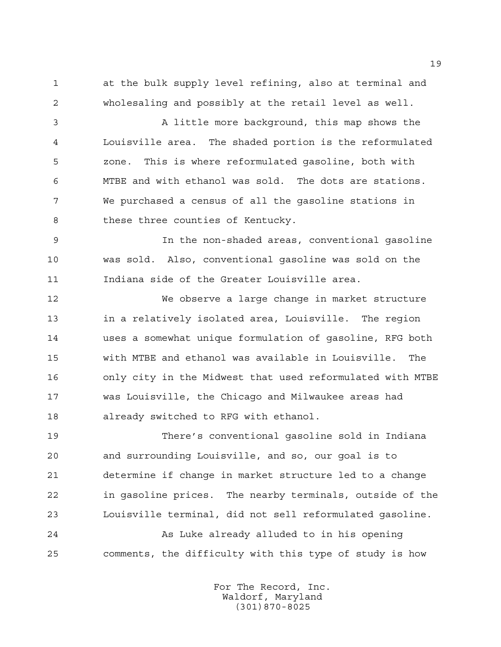at the bulk supply level refining, also at terminal and wholesaling and possibly at the retail level as well.

 A little more background, this map shows the Louisville area. The shaded portion is the reformulated zone. This is where reformulated gasoline, both with MTBE and with ethanol was sold. The dots are stations. We purchased a census of all the gasoline stations in 8 these three counties of Kentucky.

 In the non-shaded areas, conventional gasoline was sold. Also, conventional gasoline was sold on the Indiana side of the Greater Louisville area.

 We observe a large change in market structure in a relatively isolated area, Louisville. The region uses a somewhat unique formulation of gasoline, RFG both with MTBE and ethanol was available in Louisville. The only city in the Midwest that used reformulated with MTBE was Louisville, the Chicago and Milwaukee areas had already switched to RFG with ethanol.

 There's conventional gasoline sold in Indiana and surrounding Louisville, and so, our goal is to determine if change in market structure led to a change in gasoline prices. The nearby terminals, outside of the Louisville terminal, did not sell reformulated gasoline.

 As Luke already alluded to in his opening comments, the difficulty with this type of study is how

> For The Record, Inc. Waldorf, Maryland (301)870-8025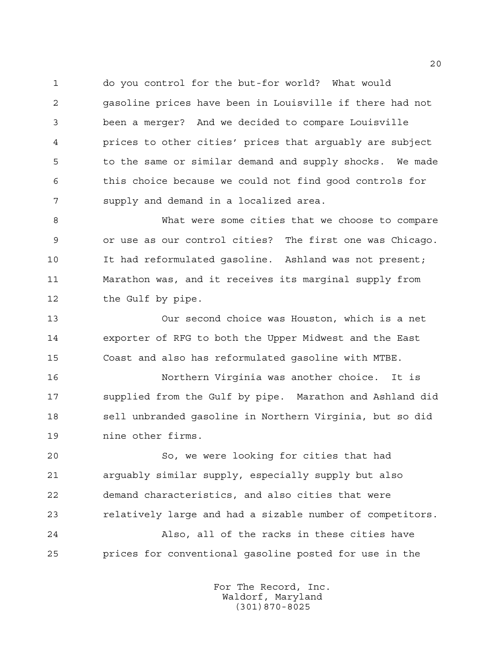do you control for the but-for world? What would gasoline prices have been in Louisville if there had not been a merger? And we decided to compare Louisville prices to other cities' prices that arguably are subject to the same or similar demand and supply shocks. We made this choice because we could not find good controls for supply and demand in a localized area.

 What were some cities that we choose to compare or use as our control cities? The first one was Chicago. It had reformulated gasoline. Ashland was not present; Marathon was, and it receives its marginal supply from 12 the Gulf by pipe.

 Our second choice was Houston, which is a net exporter of RFG to both the Upper Midwest and the East Coast and also has reformulated gasoline with MTBE.

 Northern Virginia was another choice. It is supplied from the Gulf by pipe. Marathon and Ashland did sell unbranded gasoline in Northern Virginia, but so did nine other firms.

 So, we were looking for cities that had arguably similar supply, especially supply but also demand characteristics, and also cities that were relatively large and had a sizable number of competitors.

 Also, all of the racks in these cities have prices for conventional gasoline posted for use in the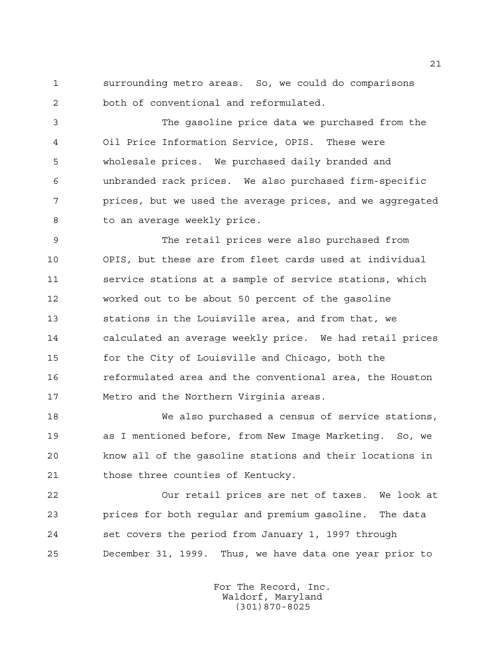surrounding metro areas. So, we could do comparisons both of conventional and reformulated.

 The gasoline price data we purchased from the Oil Price Information Service, OPIS. These were wholesale prices. We purchased daily branded and unbranded rack prices. We also purchased firm-specific prices, but we used the average prices, and we aggregated 8 to an average weekly price.

 The retail prices were also purchased from OPIS, but these are from fleet cards used at individual service stations at a sample of service stations, which worked out to be about 50 percent of the gasoline stations in the Louisville area, and from that, we calculated an average weekly price. We had retail prices for the City of Louisville and Chicago, both the reformulated area and the conventional area, the Houston Metro and the Northern Virginia areas.

 We also purchased a census of service stations, as I mentioned before, from New Image Marketing. So, we know all of the gasoline stations and their locations in those three counties of Kentucky.

 Our retail prices are net of taxes. We look at prices for both regular and premium gasoline. The data set covers the period from January 1, 1997 through December 31, 1999. Thus, we have data one year prior to

> For The Record, Inc. Waldorf, Maryland (301)870-8025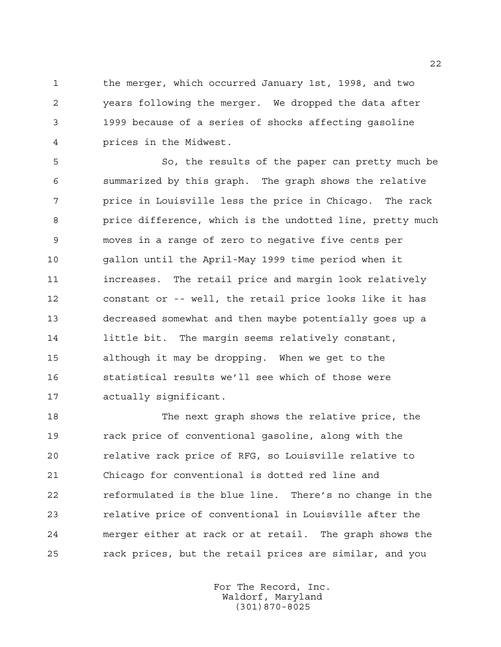the merger, which occurred January 1st, 1998, and two years following the merger. We dropped the data after 1999 because of a series of shocks affecting gasoline prices in the Midwest.

 So, the results of the paper can pretty much be summarized by this graph. The graph shows the relative price in Louisville less the price in Chicago. The rack price difference, which is the undotted line, pretty much moves in a range of zero to negative five cents per gallon until the April-May 1999 time period when it increases. The retail price and margin look relatively constant or -- well, the retail price looks like it has decreased somewhat and then maybe potentially goes up a 14 little bit. The margin seems relatively constant, although it may be dropping. When we get to the statistical results we'll see which of those were actually significant.

 The next graph shows the relative price, the rack price of conventional gasoline, along with the relative rack price of RFG, so Louisville relative to Chicago for conventional is dotted red line and reformulated is the blue line. There's no change in the relative price of conventional in Louisville after the merger either at rack or at retail. The graph shows the rack prices, but the retail prices are similar, and you

> For The Record, Inc. Waldorf, Maryland (301)870-8025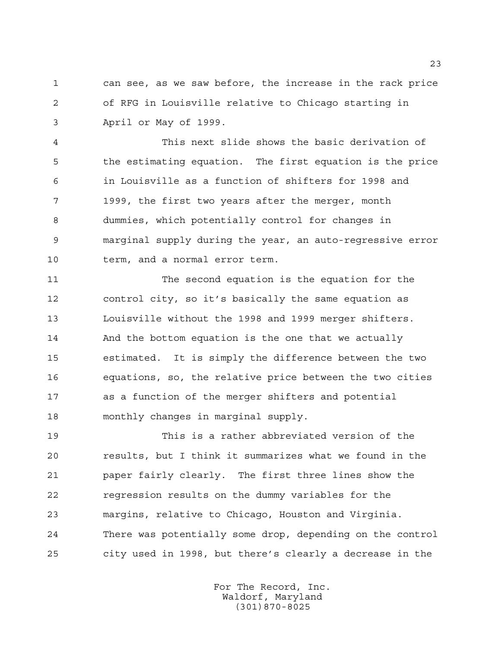can see, as we saw before, the increase in the rack price of RFG in Louisville relative to Chicago starting in April or May of 1999.

 This next slide shows the basic derivation of the estimating equation. The first equation is the price in Louisville as a function of shifters for 1998 and 1999, the first two years after the merger, month dummies, which potentially control for changes in marginal supply during the year, an auto-regressive error term, and a normal error term.

 The second equation is the equation for the control city, so it's basically the same equation as Louisville without the 1998 and 1999 merger shifters. And the bottom equation is the one that we actually estimated. It is simply the difference between the two equations, so, the relative price between the two cities as a function of the merger shifters and potential monthly changes in marginal supply.

 This is a rather abbreviated version of the results, but I think it summarizes what we found in the paper fairly clearly. The first three lines show the regression results on the dummy variables for the margins, relative to Chicago, Houston and Virginia. There was potentially some drop, depending on the control city used in 1998, but there's clearly a decrease in the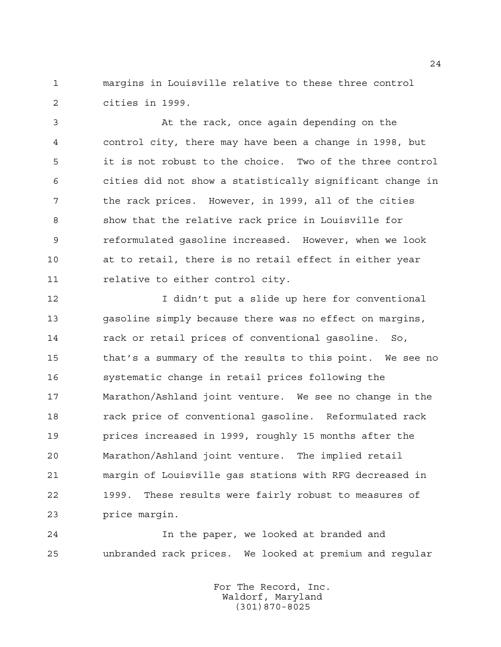margins in Louisville relative to these three control cities in 1999.

 At the rack, once again depending on the control city, there may have been a change in 1998, but it is not robust to the choice. Two of the three control cities did not show a statistically significant change in the rack prices. However, in 1999, all of the cities show that the relative rack price in Louisville for reformulated gasoline increased. However, when we look at to retail, there is no retail effect in either year 11 relative to either control city.

 I didn't put a slide up here for conventional gasoline simply because there was no effect on margins, rack or retail prices of conventional gasoline. So, that's a summary of the results to this point. We see no systematic change in retail prices following the Marathon/Ashland joint venture. We see no change in the rack price of conventional gasoline. Reformulated rack prices increased in 1999, roughly 15 months after the Marathon/Ashland joint venture. The implied retail margin of Louisville gas stations with RFG decreased in 1999. These results were fairly robust to measures of price margin.

 In the paper, we looked at branded and unbranded rack prices. We looked at premium and regular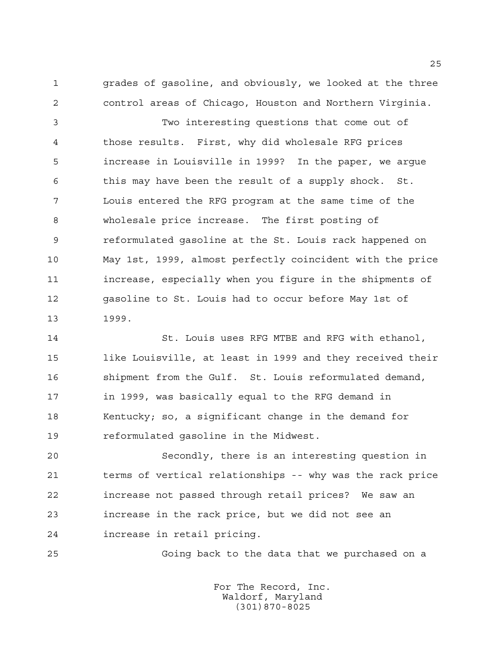grades of gasoline, and obviously, we looked at the three control areas of Chicago, Houston and Northern Virginia.

 Two interesting questions that come out of those results. First, why did wholesale RFG prices increase in Louisville in 1999? In the paper, we argue this may have been the result of a supply shock. St. Louis entered the RFG program at the same time of the wholesale price increase. The first posting of reformulated gasoline at the St. Louis rack happened on May 1st, 1999, almost perfectly coincident with the price increase, especially when you figure in the shipments of gasoline to St. Louis had to occur before May 1st of 1999.

 St. Louis uses RFG MTBE and RFG with ethanol, 15 like Louisville, at least in 1999 and they received their shipment from the Gulf. St. Louis reformulated demand, in 1999, was basically equal to the RFG demand in Kentucky; so, a significant change in the demand for reformulated gasoline in the Midwest.

 Secondly, there is an interesting question in terms of vertical relationships -- why was the rack price increase not passed through retail prices? We saw an increase in the rack price, but we did not see an increase in retail pricing.

Going back to the data that we purchased on a

For The Record, Inc. Waldorf, Maryland (301)870-8025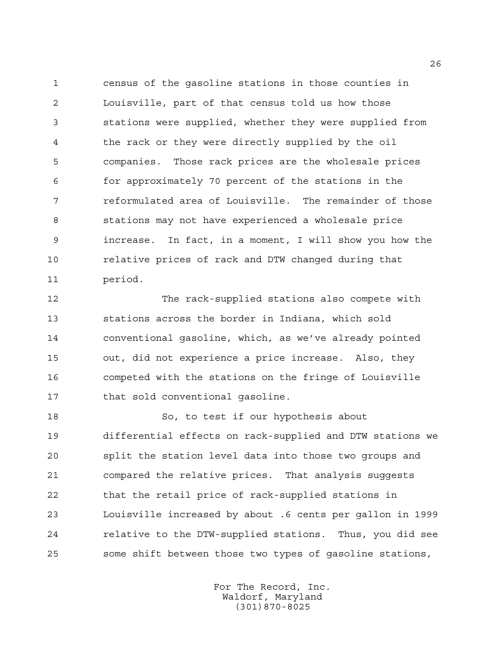census of the gasoline stations in those counties in Louisville, part of that census told us how those stations were supplied, whether they were supplied from the rack or they were directly supplied by the oil companies. Those rack prices are the wholesale prices for approximately 70 percent of the stations in the reformulated area of Louisville. The remainder of those stations may not have experienced a wholesale price increase. In fact, in a moment, I will show you how the relative prices of rack and DTW changed during that period.

 The rack-supplied stations also compete with stations across the border in Indiana, which sold conventional gasoline, which, as we've already pointed out, did not experience a price increase. Also, they competed with the stations on the fringe of Louisville that sold conventional gasoline.

 So, to test if our hypothesis about differential effects on rack-supplied and DTW stations we split the station level data into those two groups and compared the relative prices. That analysis suggests that the retail price of rack-supplied stations in Louisville increased by about .6 cents per gallon in 1999 relative to the DTW-supplied stations. Thus, you did see some shift between those two types of gasoline stations,

> For The Record, Inc. Waldorf, Maryland (301)870-8025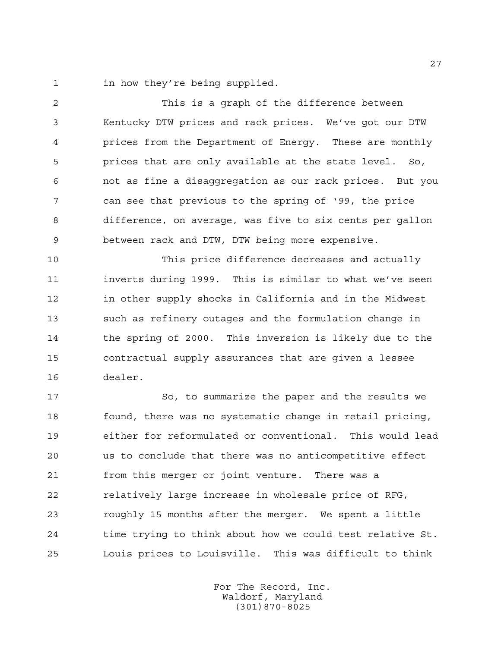in how they're being supplied.

 This is a graph of the difference between Kentucky DTW prices and rack prices. We've got our DTW prices from the Department of Energy. These are monthly prices that are only available at the state level. So, not as fine a disaggregation as our rack prices. But you can see that previous to the spring of '99, the price difference, on average, was five to six cents per gallon between rack and DTW, DTW being more expensive.

 This price difference decreases and actually inverts during 1999. This is similar to what we've seen in other supply shocks in California and in the Midwest such as refinery outages and the formulation change in the spring of 2000. This inversion is likely due to the contractual supply assurances that are given a lessee dealer.

 So, to summarize the paper and the results we found, there was no systematic change in retail pricing, either for reformulated or conventional. This would lead us to conclude that there was no anticompetitive effect from this merger or joint venture. There was a relatively large increase in wholesale price of RFG, roughly 15 months after the merger. We spent a little time trying to think about how we could test relative St. Louis prices to Louisville. This was difficult to think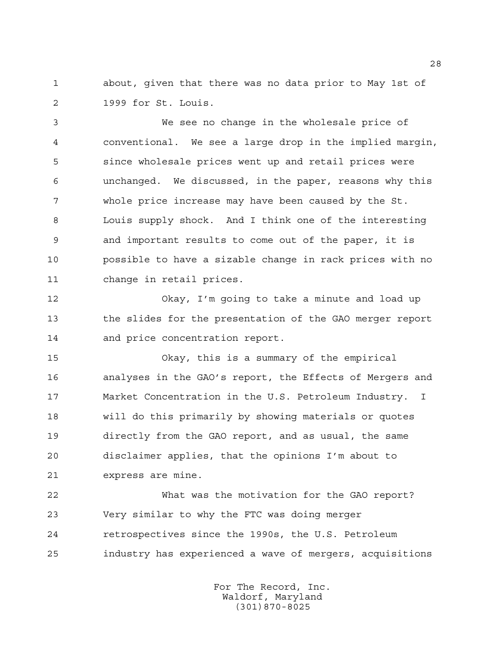about, given that there was no data prior to May 1st of 1999 for St. Louis.

 We see no change in the wholesale price of conventional. We see a large drop in the implied margin, since wholesale prices went up and retail prices were unchanged. We discussed, in the paper, reasons why this whole price increase may have been caused by the St. Louis supply shock. And I think one of the interesting and important results to come out of the paper, it is possible to have a sizable change in rack prices with no change in retail prices.

 Okay, I'm going to take a minute and load up the slides for the presentation of the GAO merger report and price concentration report.

 Okay, this is a summary of the empirical analyses in the GAO's report, the Effects of Mergers and Market Concentration in the U.S. Petroleum Industry. I will do this primarily by showing materials or quotes directly from the GAO report, and as usual, the same disclaimer applies, that the opinions I'm about to express are mine.

 What was the motivation for the GAO report? Very similar to why the FTC was doing merger retrospectives since the 1990s, the U.S. Petroleum industry has experienced a wave of mergers, acquisitions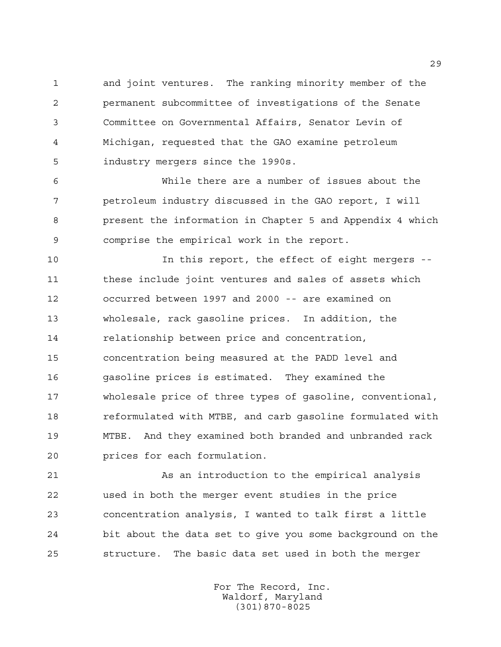and joint ventures. The ranking minority member of the permanent subcommittee of investigations of the Senate Committee on Governmental Affairs, Senator Levin of Michigan, requested that the GAO examine petroleum industry mergers since the 1990s.

 While there are a number of issues about the petroleum industry discussed in the GAO report, I will present the information in Chapter 5 and Appendix 4 which comprise the empirical work in the report.

 In this report, the effect of eight mergers -- these include joint ventures and sales of assets which occurred between 1997 and 2000 -- are examined on wholesale, rack gasoline prices. In addition, the relationship between price and concentration, concentration being measured at the PADD level and gasoline prices is estimated. They examined the wholesale price of three types of gasoline, conventional, reformulated with MTBE, and carb gasoline formulated with MTBE. And they examined both branded and unbranded rack prices for each formulation.

 As an introduction to the empirical analysis used in both the merger event studies in the price concentration analysis, I wanted to talk first a little bit about the data set to give you some background on the structure. The basic data set used in both the merger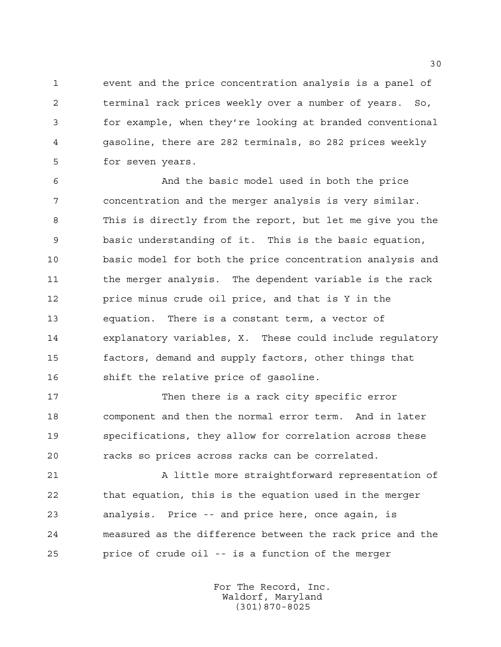event and the price concentration analysis is a panel of terminal rack prices weekly over a number of years. So, for example, when they're looking at branded conventional gasoline, there are 282 terminals, so 282 prices weekly for seven years.

 And the basic model used in both the price concentration and the merger analysis is very similar. This is directly from the report, but let me give you the basic understanding of it. This is the basic equation, basic model for both the price concentration analysis and the merger analysis. The dependent variable is the rack price minus crude oil price, and that is Y in the equation. There is a constant term, a vector of explanatory variables, X. These could include regulatory factors, demand and supply factors, other things that shift the relative price of gasoline.

 Then there is a rack city specific error component and then the normal error term. And in later specifications, they allow for correlation across these racks so prices across racks can be correlated.

 A little more straightforward representation of that equation, this is the equation used in the merger analysis. Price -- and price here, once again, is measured as the difference between the rack price and the price of crude oil -- is a function of the merger

> For The Record, Inc. Waldorf, Maryland (301)870-8025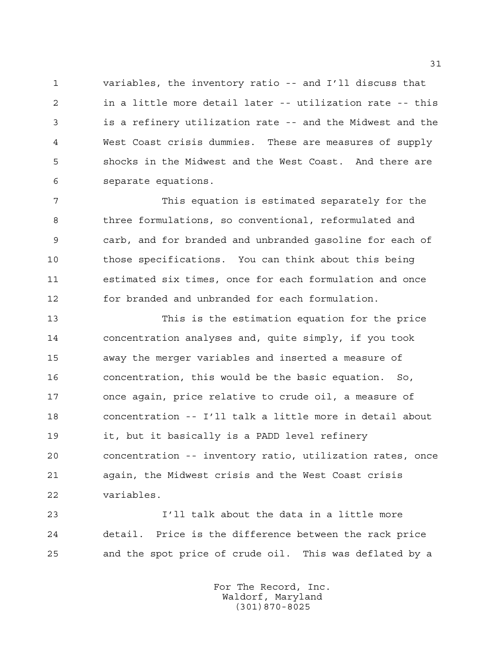variables, the inventory ratio -- and I'll discuss that in a little more detail later -- utilization rate -- this is a refinery utilization rate -- and the Midwest and the West Coast crisis dummies. These are measures of supply shocks in the Midwest and the West Coast. And there are separate equations.

 This equation is estimated separately for the three formulations, so conventional, reformulated and carb, and for branded and unbranded gasoline for each of those specifications. You can think about this being estimated six times, once for each formulation and once for branded and unbranded for each formulation.

 This is the estimation equation for the price concentration analyses and, quite simply, if you took away the merger variables and inserted a measure of concentration, this would be the basic equation. So, once again, price relative to crude oil, a measure of concentration -- I'll talk a little more in detail about it, but it basically is a PADD level refinery concentration -- inventory ratio, utilization rates, once again, the Midwest crisis and the West Coast crisis variables.

 I'll talk about the data in a little more detail. Price is the difference between the rack price and the spot price of crude oil. This was deflated by a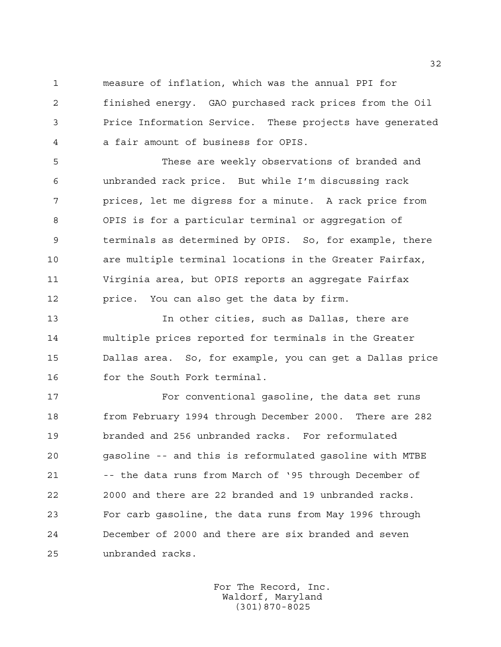measure of inflation, which was the annual PPI for finished energy. GAO purchased rack prices from the Oil Price Information Service. These projects have generated a fair amount of business for OPIS.

 These are weekly observations of branded and unbranded rack price. But while I'm discussing rack prices, let me digress for a minute. A rack price from OPIS is for a particular terminal or aggregation of terminals as determined by OPIS. So, for example, there are multiple terminal locations in the Greater Fairfax, Virginia area, but OPIS reports an aggregate Fairfax price. You can also get the data by firm.

 In other cities, such as Dallas, there are multiple prices reported for terminals in the Greater Dallas area. So, for example, you can get a Dallas price for the South Fork terminal.

 For conventional gasoline, the data set runs from February 1994 through December 2000. There are 282 branded and 256 unbranded racks. For reformulated gasoline -- and this is reformulated gasoline with MTBE 21 -- the data runs from March of '95 through December of 2000 and there are 22 branded and 19 unbranded racks. For carb gasoline, the data runs from May 1996 through December of 2000 and there are six branded and seven unbranded racks.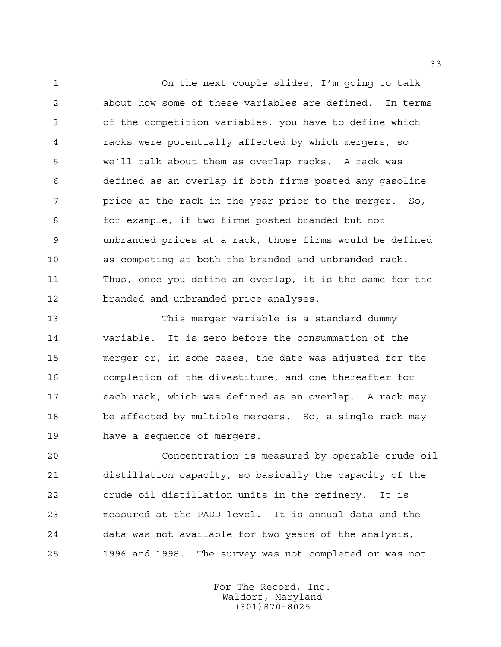On the next couple slides, I'm going to talk about how some of these variables are defined. In terms of the competition variables, you have to define which racks were potentially affected by which mergers, so we'll talk about them as overlap racks. A rack was defined as an overlap if both firms posted any gasoline price at the rack in the year prior to the merger. So, for example, if two firms posted branded but not unbranded prices at a rack, those firms would be defined as competing at both the branded and unbranded rack. Thus, once you define an overlap, it is the same for the branded and unbranded price analyses.

 This merger variable is a standard dummy variable. It is zero before the consummation of the merger or, in some cases, the date was adjusted for the completion of the divestiture, and one thereafter for each rack, which was defined as an overlap. A rack may be affected by multiple mergers. So, a single rack may have a sequence of mergers.

 Concentration is measured by operable crude oil distillation capacity, so basically the capacity of the crude oil distillation units in the refinery. It is measured at the PADD level. It is annual data and the data was not available for two years of the analysis, 1996 and 1998. The survey was not completed or was not

> For The Record, Inc. Waldorf, Maryland (301)870-8025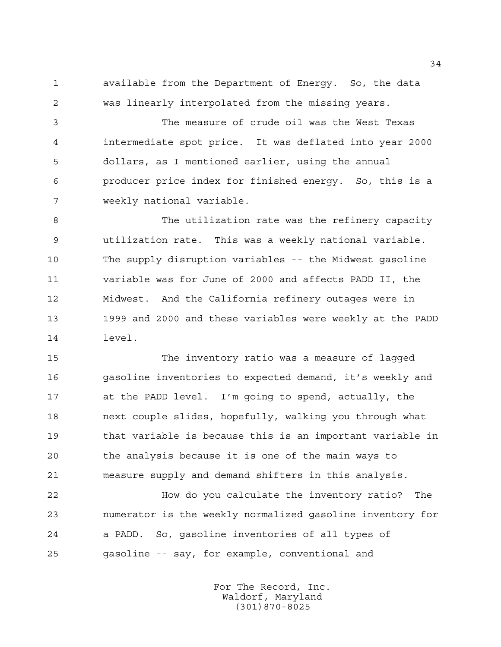available from the Department of Energy. So, the data was linearly interpolated from the missing years.

 The measure of crude oil was the West Texas intermediate spot price. It was deflated into year 2000 dollars, as I mentioned earlier, using the annual producer price index for finished energy. So, this is a weekly national variable.

 The utilization rate was the refinery capacity utilization rate. This was a weekly national variable. The supply disruption variables -- the Midwest gasoline variable was for June of 2000 and affects PADD II, the Midwest. And the California refinery outages were in 1999 and 2000 and these variables were weekly at the PADD level.

 The inventory ratio was a measure of lagged gasoline inventories to expected demand, it's weekly and at the PADD level. I'm going to spend, actually, the next couple slides, hopefully, walking you through what that variable is because this is an important variable in the analysis because it is one of the main ways to measure supply and demand shifters in this analysis.

 How do you calculate the inventory ratio? The numerator is the weekly normalized gasoline inventory for a PADD. So, gasoline inventories of all types of gasoline -- say, for example, conventional and

> For The Record, Inc. Waldorf, Maryland (301)870-8025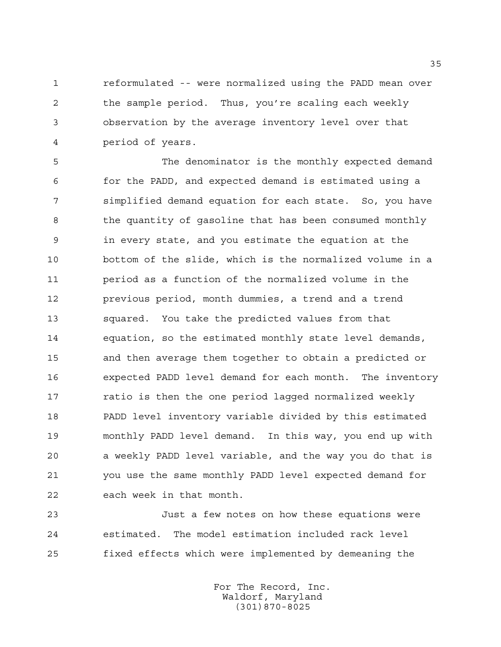reformulated -- were normalized using the PADD mean over the sample period. Thus, you're scaling each weekly observation by the average inventory level over that period of years.

 The denominator is the monthly expected demand for the PADD, and expected demand is estimated using a simplified demand equation for each state. So, you have the quantity of gasoline that has been consumed monthly in every state, and you estimate the equation at the bottom of the slide, which is the normalized volume in a period as a function of the normalized volume in the previous period, month dummies, a trend and a trend squared. You take the predicted values from that equation, so the estimated monthly state level demands, and then average them together to obtain a predicted or expected PADD level demand for each month. The inventory **ratio is then the one period lagged normalized weekly**  PADD level inventory variable divided by this estimated monthly PADD level demand. In this way, you end up with a weekly PADD level variable, and the way you do that is you use the same monthly PADD level expected demand for each week in that month.

 Just a few notes on how these equations were estimated. The model estimation included rack level fixed effects which were implemented by demeaning the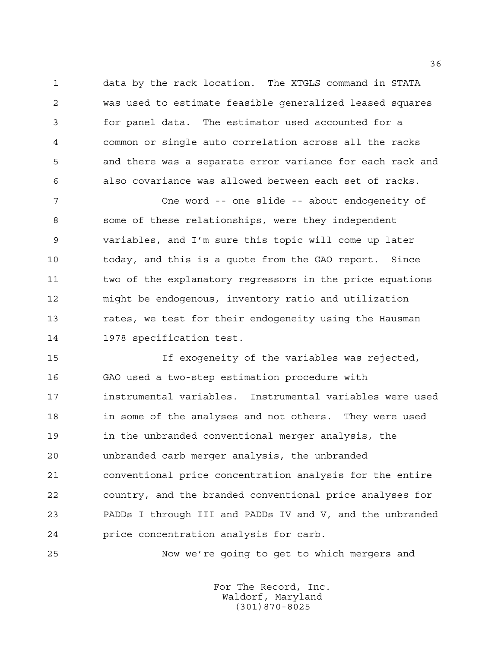data by the rack location. The XTGLS command in STATA was used to estimate feasible generalized leased squares for panel data. The estimator used accounted for a common or single auto correlation across all the racks and there was a separate error variance for each rack and also covariance was allowed between each set of racks.

 One word -- one slide -- about endogeneity of some of these relationships, were they independent variables, and I'm sure this topic will come up later today, and this is a quote from the GAO report. Since two of the explanatory regressors in the price equations might be endogenous, inventory ratio and utilization rates, we test for their endogeneity using the Hausman 1978 specification test.

 If exogeneity of the variables was rejected, GAO used a two-step estimation procedure with instrumental variables. Instrumental variables were used in some of the analyses and not others. They were used in the unbranded conventional merger analysis, the unbranded carb merger analysis, the unbranded conventional price concentration analysis for the entire country, and the branded conventional price analyses for PADDs I through III and PADDs IV and V, and the unbranded price concentration analysis for carb.

Now we're going to get to which mergers and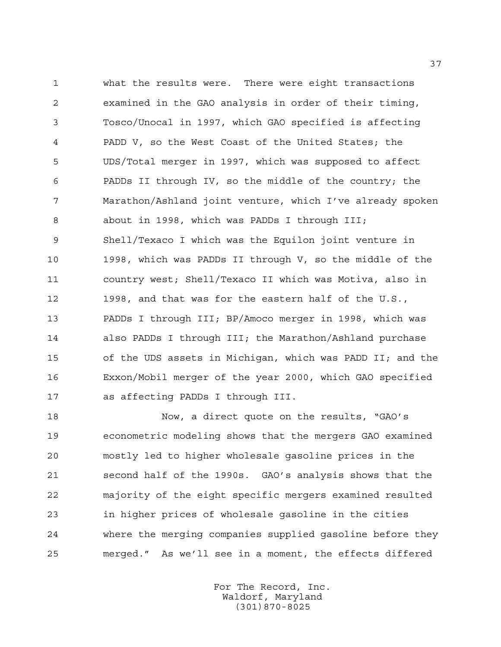what the results were. There were eight transactions examined in the GAO analysis in order of their timing, Tosco/Unocal in 1997, which GAO specified is affecting PADD V, so the West Coast of the United States; the UDS/Total merger in 1997, which was supposed to affect PADDs II through IV, so the middle of the country; the Marathon/Ashland joint venture, which I've already spoken about in 1998, which was PADDs I through III; Shell/Texaco I which was the Equilon joint venture in 1998, which was PADDs II through V, so the middle of the country west; Shell/Texaco II which was Motiva, also in 1998, and that was for the eastern half of the U.S., PADDs I through III; BP/Amoco merger in 1998, which was also PADDs I through III; the Marathon/Ashland purchase of the UDS assets in Michigan, which was PADD II; and the Exxon/Mobil merger of the year 2000, which GAO specified as affecting PADDs I through III.

 Now, a direct quote on the results, "GAO's econometric modeling shows that the mergers GAO examined mostly led to higher wholesale gasoline prices in the second half of the 1990s. GAO's analysis shows that the majority of the eight specific mergers examined resulted in higher prices of wholesale gasoline in the cities where the merging companies supplied gasoline before they merged." As we'll see in a moment, the effects differed

> For The Record, Inc. Waldorf, Maryland (301)870-8025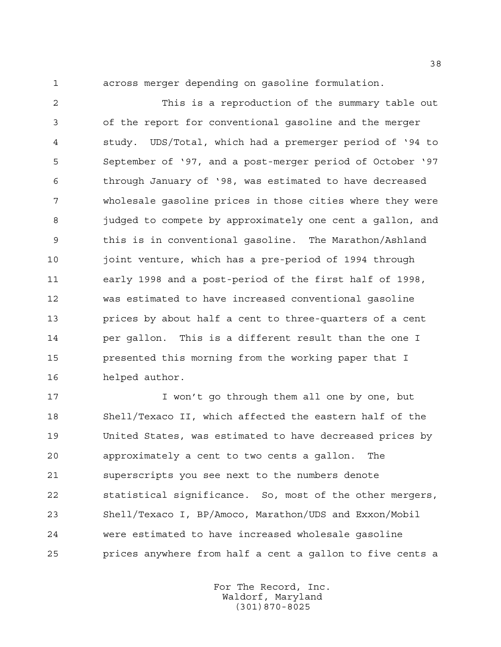across merger depending on gasoline formulation.

 This is a reproduction of the summary table out of the report for conventional gasoline and the merger study. UDS/Total, which had a premerger period of '94 to September of '97, and a post-merger period of October '97 through January of '98, was estimated to have decreased wholesale gasoline prices in those cities where they were 8 judged to compete by approximately one cent a gallon, and this is in conventional gasoline. The Marathon/Ashland joint venture, which has a pre-period of 1994 through early 1998 and a post-period of the first half of 1998, was estimated to have increased conventional gasoline prices by about half a cent to three-quarters of a cent per gallon. This is a different result than the one I presented this morning from the working paper that I helped author.

17 I won't go through them all one by one, but Shell/Texaco II, which affected the eastern half of the United States, was estimated to have decreased prices by approximately a cent to two cents a gallon. The superscripts you see next to the numbers denote statistical significance. So, most of the other mergers, Shell/Texaco I, BP/Amoco, Marathon/UDS and Exxon/Mobil were estimated to have increased wholesale gasoline prices anywhere from half a cent a gallon to five cents a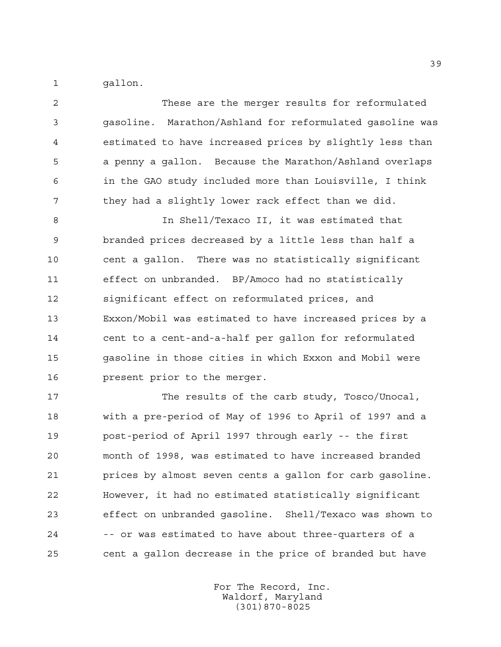1 gallon.

| $\overline{2}$ | These are the merger results for reformulated               |
|----------------|-------------------------------------------------------------|
| 3              | Marathon/Ashland for reformulated gasoline was<br>gasoline. |
| 4              | estimated to have increased prices by slightly less than    |
| 5              | a penny a qallon. Because the Marathon/Ashland overlaps     |
| 6              | in the GAO study included more than Louisville, I think     |
| 7              | they had a slightly lower rack effect than we did.          |

 In Shell/Texaco II, it was estimated that branded prices decreased by a little less than half a cent a gallon. There was no statistically significant effect on unbranded. BP/Amoco had no statistically significant effect on reformulated prices, and Exxon/Mobil was estimated to have increased prices by a cent to a cent-and-a-half per gallon for reformulated gasoline in those cities in which Exxon and Mobil were present prior to the merger.

17 The results of the carb study, Tosco/Unocal, with a pre-period of May of 1996 to April of 1997 and a post-period of April 1997 through early -- the first month of 1998, was estimated to have increased branded prices by almost seven cents a gallon for carb gasoline. However, it had no estimated statistically significant effect on unbranded gasoline. Shell/Texaco was shown to -- or was estimated to have about three-quarters of a cent a gallon decrease in the price of branded but have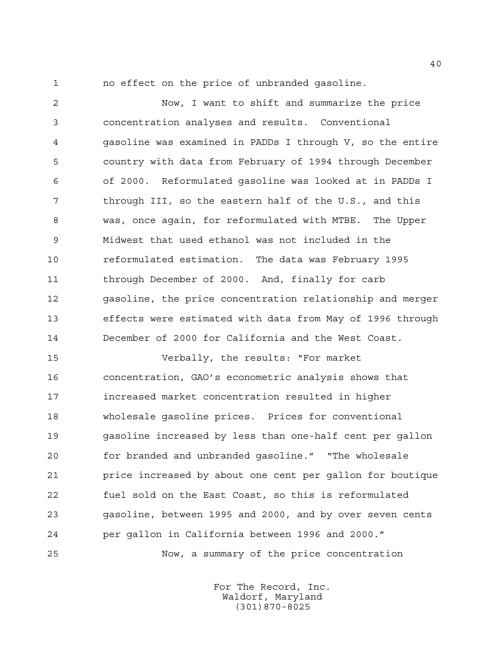no effect on the price of unbranded gasoline.

 Now, I want to shift and summarize the price concentration analyses and results. Conventional gasoline was examined in PADDs I through V, so the entire country with data from February of 1994 through December of 2000. Reformulated gasoline was looked at in PADDs I through III, so the eastern half of the U.S., and this was, once again, for reformulated with MTBE. The Upper Midwest that used ethanol was not included in the reformulated estimation. The data was February 1995 through December of 2000. And, finally for carb gasoline, the price concentration relationship and merger effects were estimated with data from May of 1996 through December of 2000 for California and the West Coast.

 Verbally, the results: "For market concentration, GAO's econometric analysis shows that increased market concentration resulted in higher wholesale gasoline prices. Prices for conventional gasoline increased by less than one-half cent per gallon for branded and unbranded gasoline." "The wholesale price increased by about one cent per gallon for boutique fuel sold on the East Coast, so this is reformulated gasoline, between 1995 and 2000, and by over seven cents per gallon in California between 1996 and 2000."

Now, a summary of the price concentration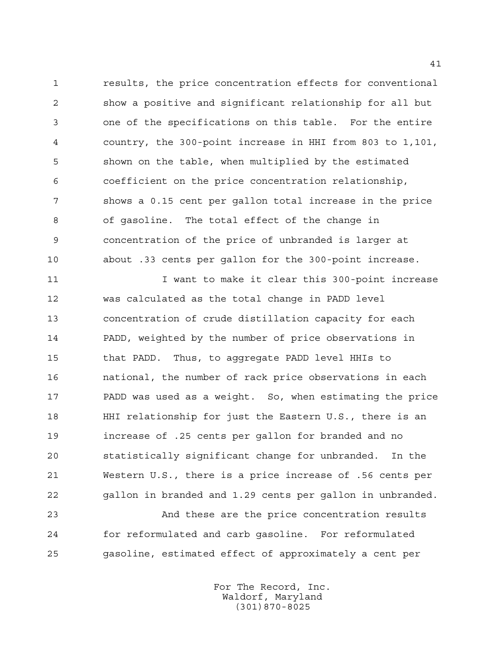results, the price concentration effects for conventional show a positive and significant relationship for all but one of the specifications on this table. For the entire country, the 300-point increase in HHI from 803 to 1,101, shown on the table, when multiplied by the estimated coefficient on the price concentration relationship, shows a 0.15 cent per gallon total increase in the price of gasoline. The total effect of the change in concentration of the price of unbranded is larger at about .33 cents per gallon for the 300-point increase.

11 11 I want to make it clear this 300-point increase was calculated as the total change in PADD level concentration of crude distillation capacity for each PADD, weighted by the number of price observations in that PADD. Thus, to aggregate PADD level HHIs to national, the number of rack price observations in each PADD was used as a weight. So, when estimating the price HHI relationship for just the Eastern U.S., there is an increase of .25 cents per gallon for branded and no statistically significant change for unbranded. In the Western U.S., there is a price increase of .56 cents per gallon in branded and 1.29 cents per gallon in unbranded.

 And these are the price concentration results for reformulated and carb gasoline. For reformulated gasoline, estimated effect of approximately a cent per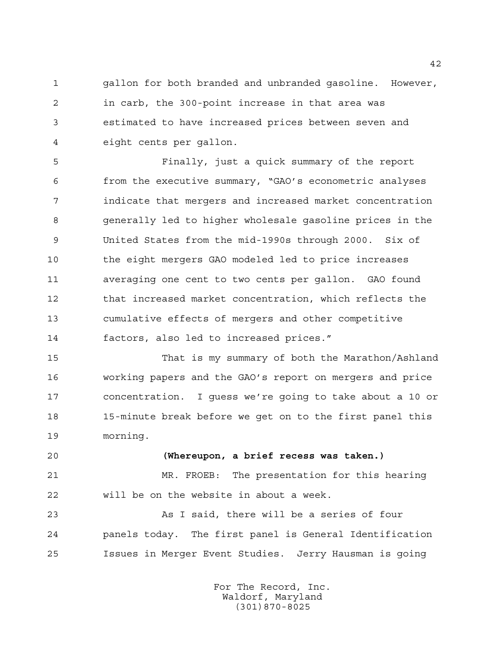gallon for both branded and unbranded gasoline. However, in carb, the 300-point increase in that area was estimated to have increased prices between seven and eight cents per gallon.

 Finally, just a quick summary of the report from the executive summary, "GAO's econometric analyses indicate that mergers and increased market concentration generally led to higher wholesale gasoline prices in the United States from the mid-1990s through 2000. Six of the eight mergers GAO modeled led to price increases averaging one cent to two cents per gallon. GAO found that increased market concentration, which reflects the cumulative effects of mergers and other competitive factors, also led to increased prices."

 That is my summary of both the Marathon/Ashland working papers and the GAO's report on mergers and price concentration. I guess we're going to take about a 10 or 15-minute break before we get on to the first panel this morning.

## **(Whereupon, a brief recess was taken.)**

 MR. FROEB: The presentation for this hearing will be on the website in about a week.

 As I said, there will be a series of four panels today. The first panel is General Identification Issues in Merger Event Studies. Jerry Hausman is going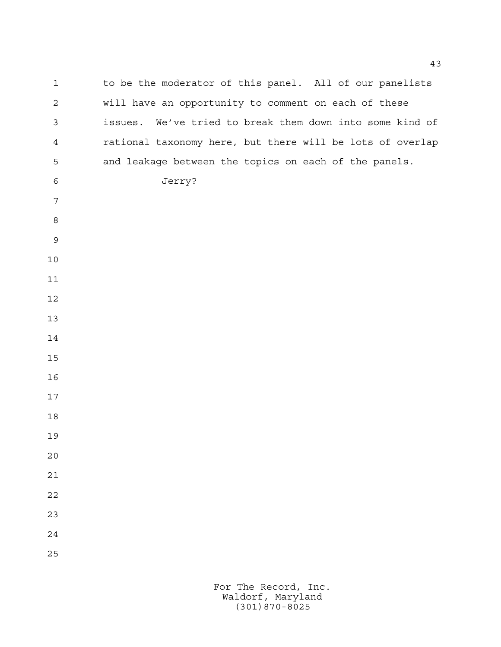1 to be the moderator of this panel. All of our panelists will have an opportunity to comment on each of these issues. We've tried to break them down into some kind of rational taxonomy here, but there will be lots of overlap and leakage between the topics on each of the panels. Jerry?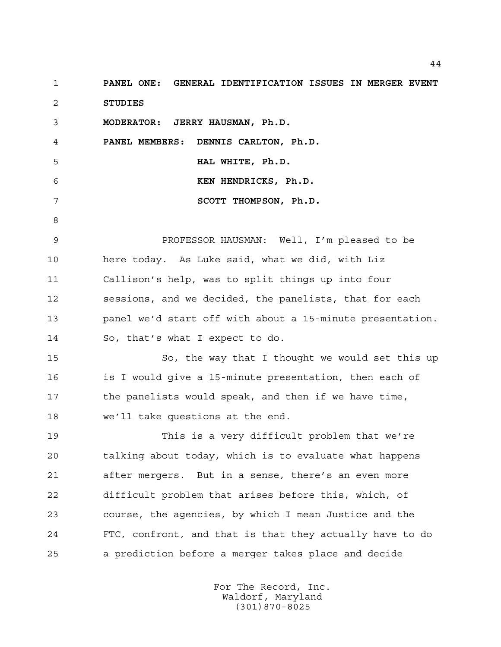**PANEL ONE: GENERAL IDENTIFICATION ISSUES IN MERGER EVENT STUDIES**

**MODERATOR: JERRY HAUSMAN, Ph.D.**

**PANEL MEMBERS: DENNIS CARLTON, Ph.D.**

 **HAL WHITE, Ph.D.**

 **KEN HENDRICKS, Ph.D.**

 **SCOTT THOMPSON, Ph.D.**

 PROFESSOR HAUSMAN: Well, I'm pleased to be here today. As Luke said, what we did, with Liz Callison's help, was to split things up into four sessions, and we decided, the panelists, that for each panel we'd start off with about a 15-minute presentation. So, that's what I expect to do.

 So, the way that I thought we would set this up is I would give a 15-minute presentation, then each of 17 the panelists would speak, and then if we have time, we'll take questions at the end.

 This is a very difficult problem that we're talking about today, which is to evaluate what happens after mergers. But in a sense, there's an even more difficult problem that arises before this, which, of course, the agencies, by which I mean Justice and the FTC, confront, and that is that they actually have to do a prediction before a merger takes place and decide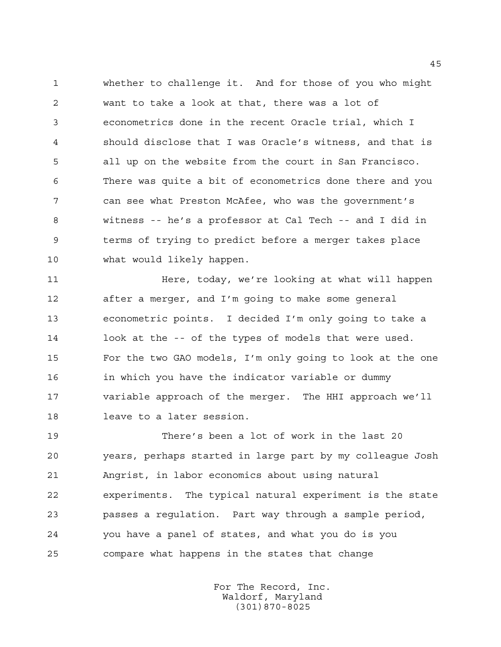whether to challenge it. And for those of you who might want to take a look at that, there was a lot of econometrics done in the recent Oracle trial, which I should disclose that I was Oracle's witness, and that is all up on the website from the court in San Francisco. There was quite a bit of econometrics done there and you can see what Preston McAfee, who was the government's witness -- he's a professor at Cal Tech -- and I did in terms of trying to predict before a merger takes place what would likely happen.

**Here, today, we're looking at what will happen**  after a merger, and I'm going to make some general econometric points. I decided I'm only going to take a 14 look at the -- of the types of models that were used. For the two GAO models, I'm only going to look at the one in which you have the indicator variable or dummy variable approach of the merger. The HHI approach we'll leave to a later session.

 There's been a lot of work in the last 20 years, perhaps started in large part by my colleague Josh Angrist, in labor economics about using natural experiments. The typical natural experiment is the state passes a regulation. Part way through a sample period, you have a panel of states, and what you do is you compare what happens in the states that change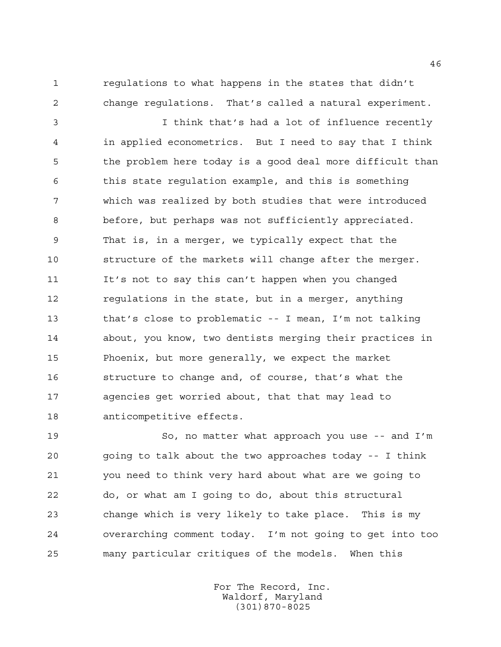regulations to what happens in the states that didn't change regulations. That's called a natural experiment.

 I think that's had a lot of influence recently in applied econometrics. But I need to say that I think the problem here today is a good deal more difficult than this state regulation example, and this is something which was realized by both studies that were introduced before, but perhaps was not sufficiently appreciated. That is, in a merger, we typically expect that the structure of the markets will change after the merger. It's not to say this can't happen when you changed regulations in the state, but in a merger, anything that's close to problematic -- I mean, I'm not talking about, you know, two dentists merging their practices in Phoenix, but more generally, we expect the market structure to change and, of course, that's what the agencies get worried about, that that may lead to anticompetitive effects.

 So, no matter what approach you use -- and I'm going to talk about the two approaches today -- I think you need to think very hard about what are we going to do, or what am I going to do, about this structural change which is very likely to take place. This is my overarching comment today. I'm not going to get into too many particular critiques of the models. When this

> For The Record, Inc. Waldorf, Maryland (301)870-8025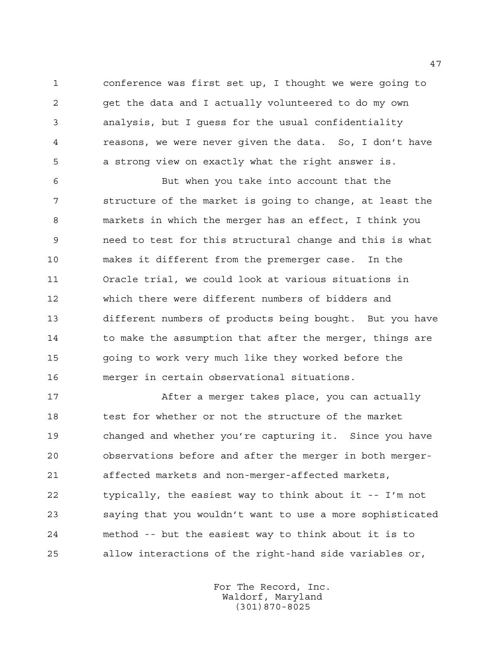conference was first set up, I thought we were going to get the data and I actually volunteered to do my own analysis, but I guess for the usual confidentiality reasons, we were never given the data. So, I don't have a strong view on exactly what the right answer is.

 But when you take into account that the structure of the market is going to change, at least the markets in which the merger has an effect, I think you need to test for this structural change and this is what makes it different from the premerger case. In the Oracle trial, we could look at various situations in which there were different numbers of bidders and different numbers of products being bought. But you have 14 to make the assumption that after the merger, things are going to work very much like they worked before the merger in certain observational situations.

 After a merger takes place, you can actually test for whether or not the structure of the market changed and whether you're capturing it. Since you have observations before and after the merger in both merger- affected markets and non-merger-affected markets, typically, the easiest way to think about it -- I'm not saying that you wouldn't want to use a more sophisticated method -- but the easiest way to think about it is to allow interactions of the right-hand side variables or,

> For The Record, Inc. Waldorf, Maryland (301)870-8025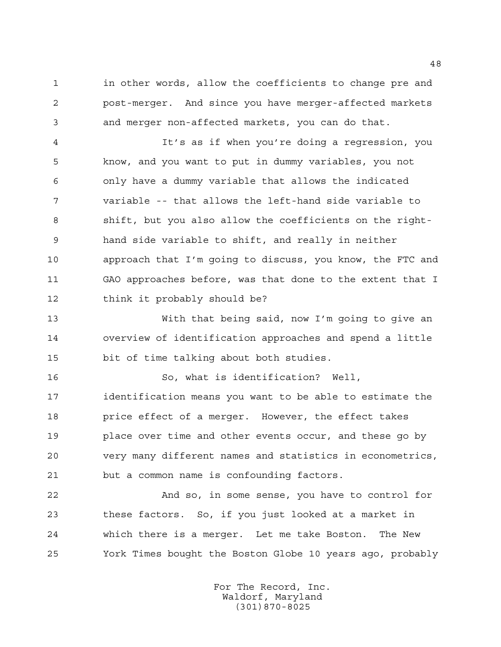in other words, allow the coefficients to change pre and post-merger. And since you have merger-affected markets and merger non-affected markets, you can do that.

 It's as if when you're doing a regression, you know, and you want to put in dummy variables, you not only have a dummy variable that allows the indicated variable -- that allows the left-hand side variable to shift, but you also allow the coefficients on the right- hand side variable to shift, and really in neither approach that I'm going to discuss, you know, the FTC and GAO approaches before, was that done to the extent that I think it probably should be?

 With that being said, now I'm going to give an overview of identification approaches and spend a little bit of time talking about both studies.

 So, what is identification? Well, identification means you want to be able to estimate the price effect of a merger. However, the effect takes place over time and other events occur, and these go by very many different names and statistics in econometrics, but a common name is confounding factors.

 And so, in some sense, you have to control for these factors. So, if you just looked at a market in which there is a merger. Let me take Boston. The New York Times bought the Boston Globe 10 years ago, probably

> For The Record, Inc. Waldorf, Maryland (301)870-8025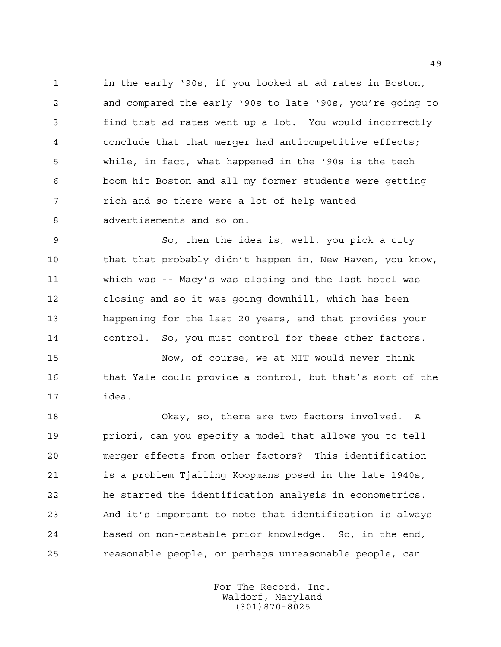in the early '90s, if you looked at ad rates in Boston, and compared the early '90s to late '90s, you're going to find that ad rates went up a lot. You would incorrectly conclude that that merger had anticompetitive effects; while, in fact, what happened in the '90s is the tech boom hit Boston and all my former students were getting rich and so there were a lot of help wanted advertisements and so on.

 So, then the idea is, well, you pick a city 10 that that probably didn't happen in, New Haven, you know, which was -- Macy's was closing and the last hotel was closing and so it was going downhill, which has been happening for the last 20 years, and that provides your control. So, you must control for these other factors.

 Now, of course, we at MIT would never think that Yale could provide a control, but that's sort of the idea.

 Okay, so, there are two factors involved. A priori, can you specify a model that allows you to tell merger effects from other factors? This identification is a problem Tjalling Koopmans posed in the late 1940s, he started the identification analysis in econometrics. And it's important to note that identification is always based on non-testable prior knowledge. So, in the end, reasonable people, or perhaps unreasonable people, can

> For The Record, Inc. Waldorf, Maryland (301)870-8025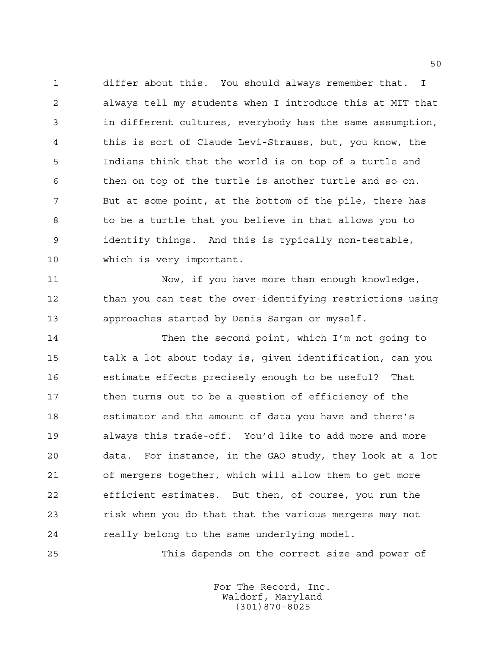differ about this. You should always remember that. I always tell my students when I introduce this at MIT that in different cultures, everybody has the same assumption, this is sort of Claude Levi-Strauss, but, you know, the Indians think that the world is on top of a turtle and then on top of the turtle is another turtle and so on. But at some point, at the bottom of the pile, there has to be a turtle that you believe in that allows you to identify things. And this is typically non-testable, which is very important.

 Now, if you have more than enough knowledge, than you can test the over-identifying restrictions using approaches started by Denis Sargan or myself.

 Then the second point, which I'm not going to talk a lot about today is, given identification, can you estimate effects precisely enough to be useful? That then turns out to be a question of efficiency of the estimator and the amount of data you have and there's always this trade-off. You'd like to add more and more data. For instance, in the GAO study, they look at a lot of mergers together, which will allow them to get more efficient estimates. But then, of course, you run the risk when you do that that the various mergers may not really belong to the same underlying model.

This depends on the correct size and power of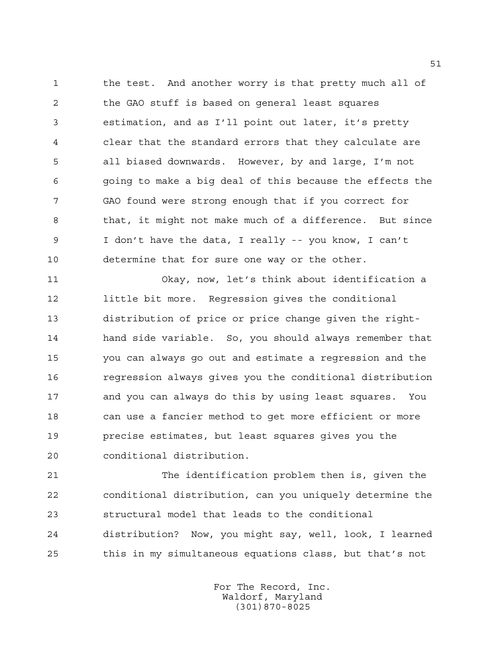1 the test. And another worry is that pretty much all of the GAO stuff is based on general least squares estimation, and as I'll point out later, it's pretty clear that the standard errors that they calculate are all biased downwards. However, by and large, I'm not going to make a big deal of this because the effects the GAO found were strong enough that if you correct for that, it might not make much of a difference. But since I don't have the data, I really -- you know, I can't determine that for sure one way or the other.

 Okay, now, let's think about identification a little bit more. Regression gives the conditional distribution of price or price change given the right- hand side variable. So, you should always remember that you can always go out and estimate a regression and the regression always gives you the conditional distribution and you can always do this by using least squares. You can use a fancier method to get more efficient or more precise estimates, but least squares gives you the conditional distribution.

 The identification problem then is, given the conditional distribution, can you uniquely determine the structural model that leads to the conditional distribution? Now, you might say, well, look, I learned this in my simultaneous equations class, but that's not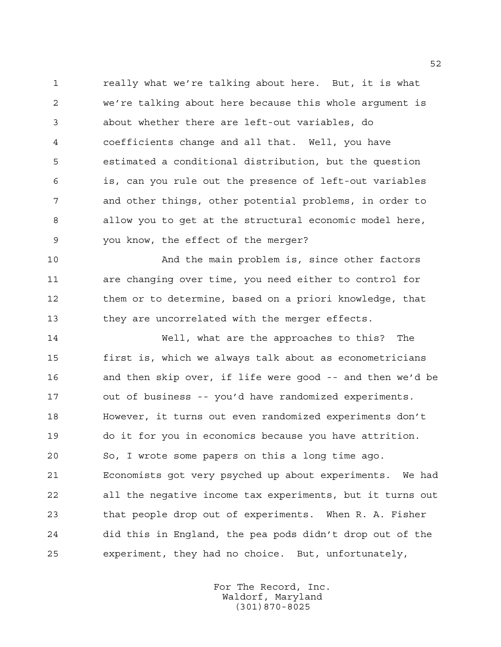really what we're talking about here. But, it is what we're talking about here because this whole argument is about whether there are left-out variables, do coefficients change and all that. Well, you have estimated a conditional distribution, but the question is, can you rule out the presence of left-out variables and other things, other potential problems, in order to allow you to get at the structural economic model here, you know, the effect of the merger?

 And the main problem is, since other factors are changing over time, you need either to control for them or to determine, based on a priori knowledge, that they are uncorrelated with the merger effects.

 Well, what are the approaches to this? The first is, which we always talk about as econometricians and then skip over, if life were good -- and then we'd be out of business -- you'd have randomized experiments. However, it turns out even randomized experiments don't do it for you in economics because you have attrition. So, I wrote some papers on this a long time ago. Economists got very psyched up about experiments. We had all the negative income tax experiments, but it turns out that people drop out of experiments. When R. A. Fisher did this in England, the pea pods didn't drop out of the experiment, they had no choice. But, unfortunately,

> For The Record, Inc. Waldorf, Maryland (301)870-8025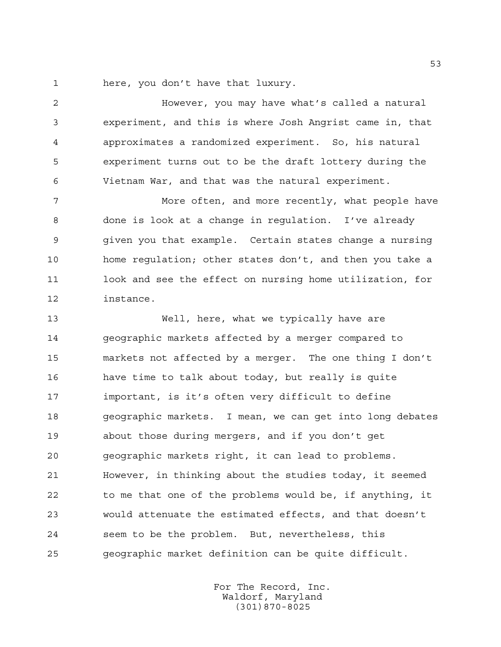here, you don't have that luxury.

 However, you may have what's called a natural experiment, and this is where Josh Angrist came in, that approximates a randomized experiment. So, his natural experiment turns out to be the draft lottery during the Vietnam War, and that was the natural experiment.

 More often, and more recently, what people have done is look at a change in regulation. I've already given you that example. Certain states change a nursing home regulation; other states don't, and then you take a look and see the effect on nursing home utilization, for instance.

 Well, here, what we typically have are geographic markets affected by a merger compared to markets not affected by a merger. The one thing I don't have time to talk about today, but really is quite important, is it's often very difficult to define geographic markets. I mean, we can get into long debates about those during mergers, and if you don't get geographic markets right, it can lead to problems. However, in thinking about the studies today, it seemed to me that one of the problems would be, if anything, it would attenuate the estimated effects, and that doesn't seem to be the problem. But, nevertheless, this geographic market definition can be quite difficult.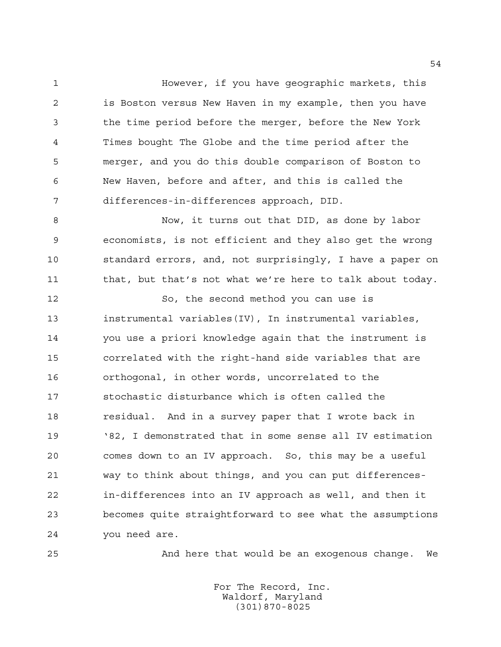However, if you have geographic markets, this is Boston versus New Haven in my example, then you have the time period before the merger, before the New York Times bought The Globe and the time period after the merger, and you do this double comparison of Boston to New Haven, before and after, and this is called the differences-in-differences approach, DID.

 Now, it turns out that DID, as done by labor economists, is not efficient and they also get the wrong standard errors, and, not surprisingly, I have a paper on 11 that, but that's not what we're here to talk about today.

 So, the second method you can use is instrumental variables(IV), In instrumental variables, you use a priori knowledge again that the instrument is correlated with the right-hand side variables that are orthogonal, in other words, uncorrelated to the stochastic disturbance which is often called the residual. And in a survey paper that I wrote back in '82, I demonstrated that in some sense all IV estimation comes down to an IV approach. So, this may be a useful way to think about things, and you can put differences- in-differences into an IV approach as well, and then it becomes quite straightforward to see what the assumptions you need are.

And here that would be an exogenous change. We

For The Record, Inc. Waldorf, Maryland (301)870-8025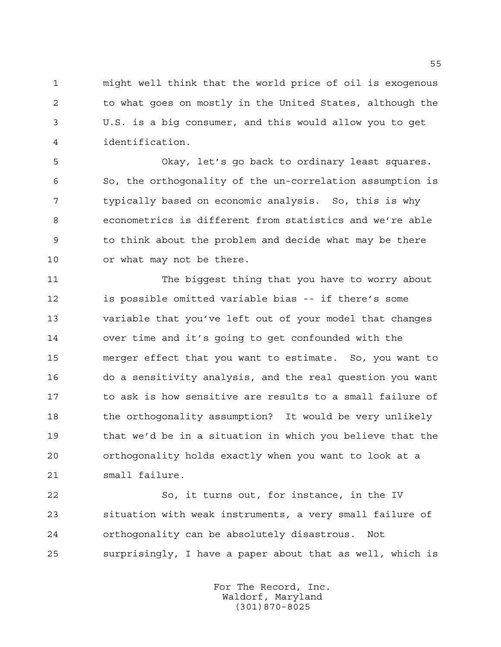might well think that the world price of oil is exogenous to what goes on mostly in the United States, although the U.S. is a big consumer, and this would allow you to get identification.

 Okay, let's go back to ordinary least squares. So, the orthogonality of the un-correlation assumption is typically based on economic analysis. So, this is why econometrics is different from statistics and we're able to think about the problem and decide what may be there or what may not be there.

 The biggest thing that you have to worry about is possible omitted variable bias -- if there's some variable that you've left out of your model that changes over time and it's going to get confounded with the merger effect that you want to estimate. So, you want to do a sensitivity analysis, and the real question you want to ask is how sensitive are results to a small failure of 18 the orthogonality assumption? It would be very unlikely that we'd be in a situation in which you believe that the orthogonality holds exactly when you want to look at a small failure.

 So, it turns out, for instance, in the IV situation with weak instruments, a very small failure of orthogonality can be absolutely disastrous. Not surprisingly, I have a paper about that as well, which is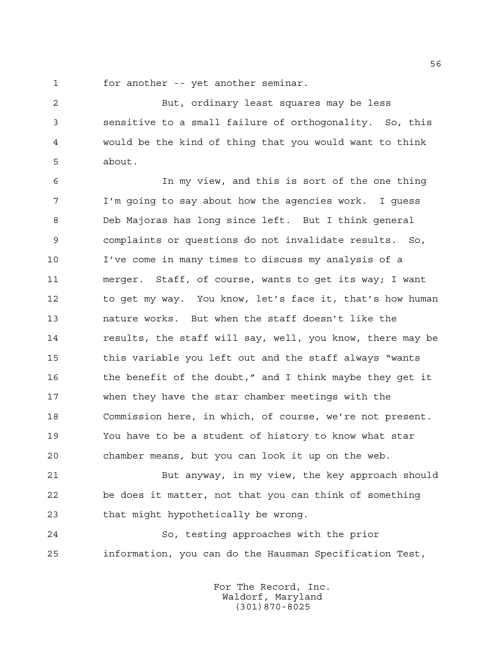for another -- yet another seminar.

 But, ordinary least squares may be less sensitive to a small failure of orthogonality. So, this would be the kind of thing that you would want to think about.

 In my view, and this is sort of the one thing I'm going to say about how the agencies work. I guess Deb Majoras has long since left. But I think general complaints or questions do not invalidate results. So, I've come in many times to discuss my analysis of a merger. Staff, of course, wants to get its way; I want to get my way. You know, let's face it, that's how human nature works. But when the staff doesn't like the results, the staff will say, well, you know, there may be 15 this variable you left out and the staff always "wants 16 the benefit of the doubt," and I think maybe they get it when they have the star chamber meetings with the Commission here, in which, of course, we're not present. You have to be a student of history to know what star chamber means, but you can look it up on the web.

 But anyway, in my view, the key approach should be does it matter, not that you can think of something that might hypothetically be wrong.

 So, testing approaches with the prior information, you can do the Hausman Specification Test,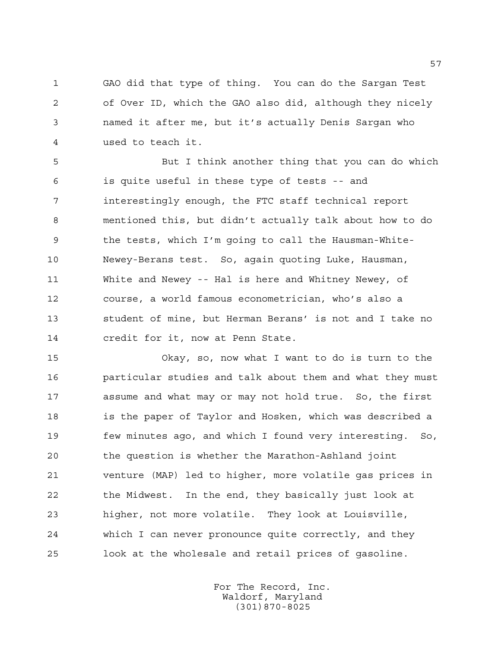GAO did that type of thing. You can do the Sargan Test of Over ID, which the GAO also did, although they nicely named it after me, but it's actually Denis Sargan who used to teach it.

 But I think another thing that you can do which is quite useful in these type of tests -- and interestingly enough, the FTC staff technical report mentioned this, but didn't actually talk about how to do the tests, which I'm going to call the Hausman-White- Newey-Berans test. So, again quoting Luke, Hausman, White and Newey -- Hal is here and Whitney Newey, of course, a world famous econometrician, who's also a student of mine, but Herman Berans' is not and I take no credit for it, now at Penn State.

 Okay, so, now what I want to do is turn to the particular studies and talk about them and what they must assume and what may or may not hold true. So, the first is the paper of Taylor and Hosken, which was described a few minutes ago, and which I found very interesting. So, the question is whether the Marathon-Ashland joint venture (MAP) led to higher, more volatile gas prices in the Midwest. In the end, they basically just look at higher, not more volatile. They look at Louisville, which I can never pronounce quite correctly, and they look at the wholesale and retail prices of gasoline.

> For The Record, Inc. Waldorf, Maryland (301)870-8025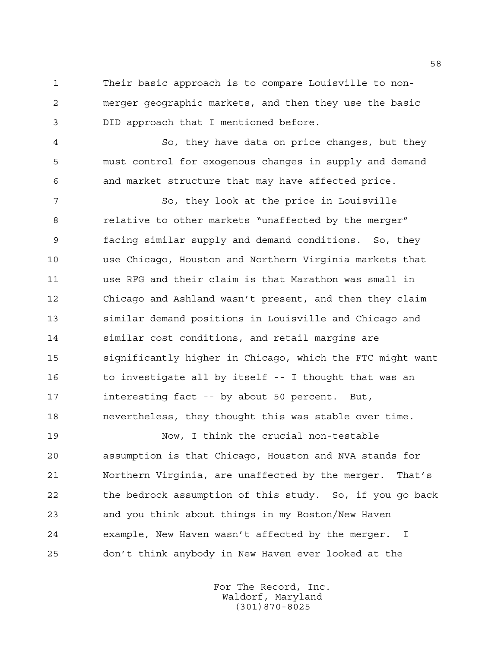Their basic approach is to compare Louisville to non- merger geographic markets, and then they use the basic DID approach that I mentioned before.

 So, they have data on price changes, but they must control for exogenous changes in supply and demand and market structure that may have affected price.

 So, they look at the price in Louisville relative to other markets "unaffected by the merger" facing similar supply and demand conditions. So, they use Chicago, Houston and Northern Virginia markets that use RFG and their claim is that Marathon was small in Chicago and Ashland wasn't present, and then they claim similar demand positions in Louisville and Chicago and similar cost conditions, and retail margins are significantly higher in Chicago, which the FTC might want to investigate all by itself -- I thought that was an interesting fact -- by about 50 percent. But, nevertheless, they thought this was stable over time.

 Now, I think the crucial non-testable assumption is that Chicago, Houston and NVA stands for Northern Virginia, are unaffected by the merger. That's the bedrock assumption of this study. So, if you go back and you think about things in my Boston/New Haven example, New Haven wasn't affected by the merger. I don't think anybody in New Haven ever looked at the

> For The Record, Inc. Waldorf, Maryland (301)870-8025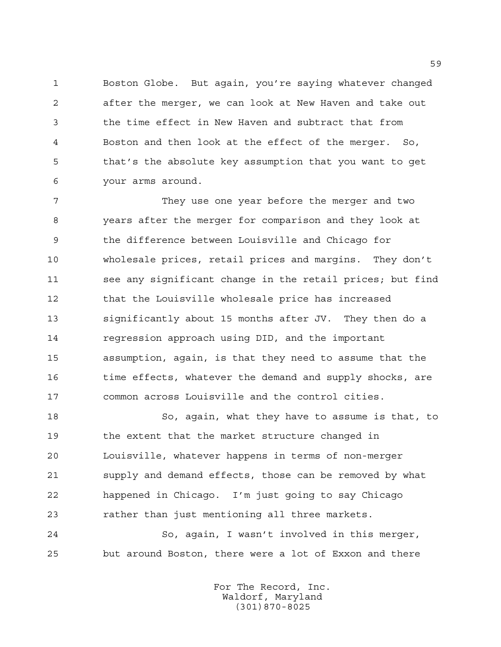Boston Globe. But again, you're saying whatever changed after the merger, we can look at New Haven and take out the time effect in New Haven and subtract that from Boston and then look at the effect of the merger. So, that's the absolute key assumption that you want to get your arms around.

 They use one year before the merger and two years after the merger for comparison and they look at the difference between Louisville and Chicago for wholesale prices, retail prices and margins. They don't see any significant change in the retail prices; but find that the Louisville wholesale price has increased significantly about 15 months after JV. They then do a regression approach using DID, and the important assumption, again, is that they need to assume that the 16 time effects, whatever the demand and supply shocks, are common across Louisville and the control cities.

 So, again, what they have to assume is that, to the extent that the market structure changed in Louisville, whatever happens in terms of non-merger supply and demand effects, those can be removed by what happened in Chicago. I'm just going to say Chicago rather than just mentioning all three markets.

 So, again, I wasn't involved in this merger, but around Boston, there were a lot of Exxon and there

> For The Record, Inc. Waldorf, Maryland (301)870-8025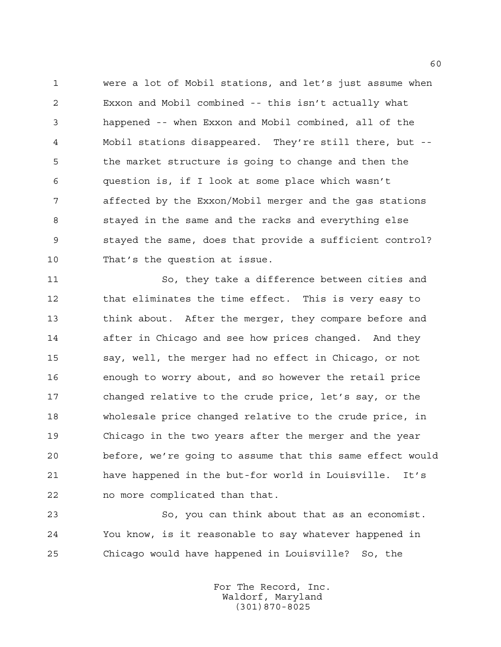were a lot of Mobil stations, and let's just assume when Exxon and Mobil combined -- this isn't actually what happened -- when Exxon and Mobil combined, all of the Mobil stations disappeared. They're still there, but -- the market structure is going to change and then the question is, if I look at some place which wasn't affected by the Exxon/Mobil merger and the gas stations stayed in the same and the racks and everything else stayed the same, does that provide a sufficient control? That's the question at issue.

 So, they take a difference between cities and that eliminates the time effect. This is very easy to think about. After the merger, they compare before and after in Chicago and see how prices changed. And they say, well, the merger had no effect in Chicago, or not enough to worry about, and so however the retail price changed relative to the crude price, let's say, or the wholesale price changed relative to the crude price, in Chicago in the two years after the merger and the year before, we're going to assume that this same effect would have happened in the but-for world in Louisville. It's no more complicated than that.

 So, you can think about that as an economist. You know, is it reasonable to say whatever happened in Chicago would have happened in Louisville? So, the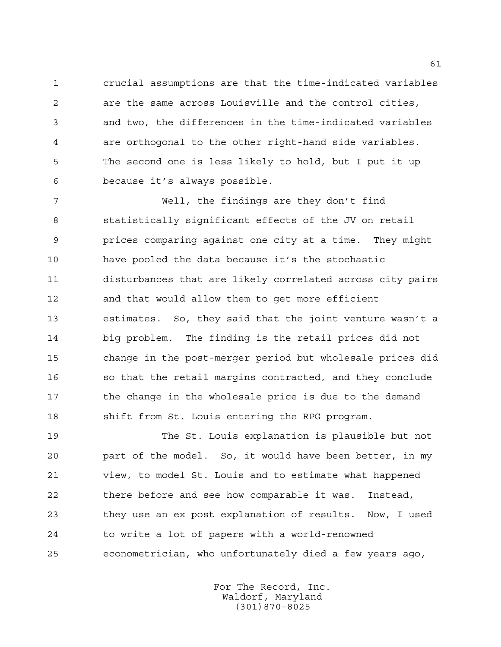crucial assumptions are that the time-indicated variables are the same across Louisville and the control cities, and two, the differences in the time-indicated variables are orthogonal to the other right-hand side variables. The second one is less likely to hold, but I put it up because it's always possible.

 Well, the findings are they don't find statistically significant effects of the JV on retail prices comparing against one city at a time. They might have pooled the data because it's the stochastic disturbances that are likely correlated across city pairs and that would allow them to get more efficient estimates. So, they said that the joint venture wasn't a big problem. The finding is the retail prices did not change in the post-merger period but wholesale prices did so that the retail margins contracted, and they conclude 17 the change in the wholesale price is due to the demand shift from St. Louis entering the RPG program.

 The St. Louis explanation is plausible but not part of the model. So, it would have been better, in my view, to model St. Louis and to estimate what happened there before and see how comparable it was. Instead, they use an ex post explanation of results. Now, I used to write a lot of papers with a world-renowned econometrician, who unfortunately died a few years ago,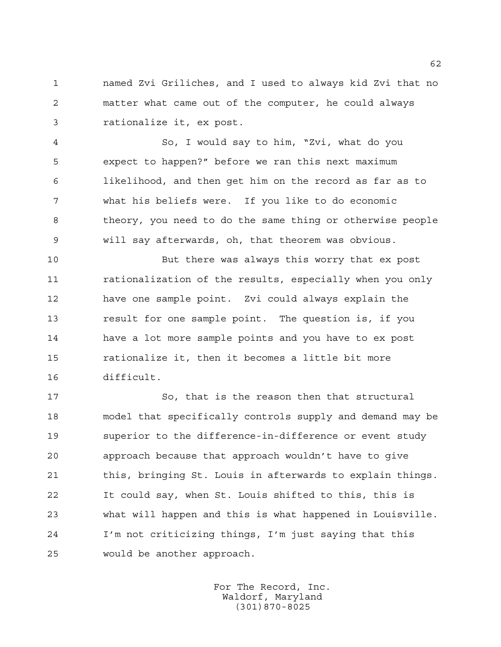named Zvi Griliches, and I used to always kid Zvi that no matter what came out of the computer, he could always rationalize it, ex post.

 So, I would say to him, "Zvi, what do you expect to happen?" before we ran this next maximum likelihood, and then get him on the record as far as to what his beliefs were. If you like to do economic theory, you need to do the same thing or otherwise people will say afterwards, oh, that theorem was obvious.

 But there was always this worry that ex post rationalization of the results, especially when you only have one sample point. Zvi could always explain the result for one sample point. The question is, if you have a lot more sample points and you have to ex post rationalize it, then it becomes a little bit more difficult.

 So, that is the reason then that structural model that specifically controls supply and demand may be superior to the difference-in-difference or event study approach because that approach wouldn't have to give 21 this, bringing St. Louis in afterwards to explain things. It could say, when St. Louis shifted to this, this is what will happen and this is what happened in Louisville. I'm not criticizing things, I'm just saying that this would be another approach.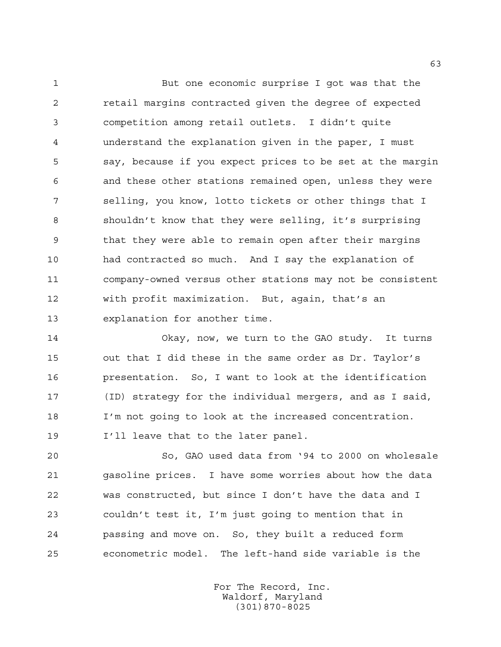But one economic surprise I got was that the retail margins contracted given the degree of expected competition among retail outlets. I didn't quite understand the explanation given in the paper, I must say, because if you expect prices to be set at the margin and these other stations remained open, unless they were selling, you know, lotto tickets or other things that I shouldn't know that they were selling, it's surprising that they were able to remain open after their margins had contracted so much. And I say the explanation of company-owned versus other stations may not be consistent with profit maximization. But, again, that's an explanation for another time.

 Okay, now, we turn to the GAO study. It turns out that I did these in the same order as Dr. Taylor's presentation. So, I want to look at the identification (ID) strategy for the individual mergers, and as I said, I'm not going to look at the increased concentration. I'll leave that to the later panel.

 So, GAO used data from '94 to 2000 on wholesale gasoline prices. I have some worries about how the data was constructed, but since I don't have the data and I couldn't test it, I'm just going to mention that in passing and move on. So, they built a reduced form econometric model. The left-hand side variable is the

> For The Record, Inc. Waldorf, Maryland (301)870-8025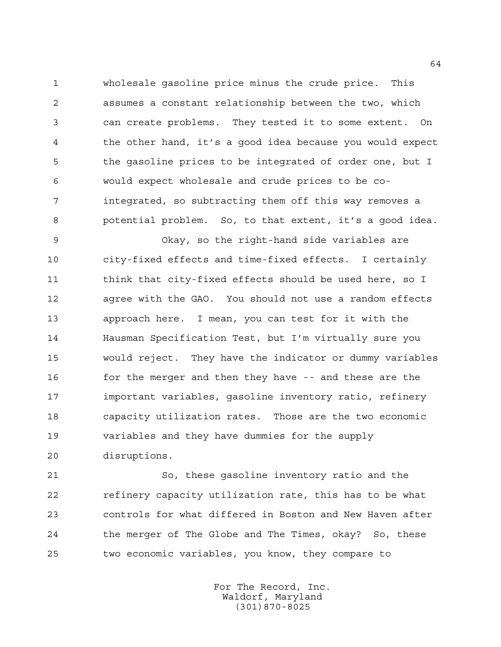wholesale gasoline price minus the crude price. This assumes a constant relationship between the two, which can create problems. They tested it to some extent. On the other hand, it's a good idea because you would expect the gasoline prices to be integrated of order one, but I would expect wholesale and crude prices to be co- integrated, so subtracting them off this way removes a potential problem. So, to that extent, it's a good idea.

 Okay, so the right-hand side variables are city-fixed effects and time-fixed effects. I certainly 11 think that city-fixed effects should be used here, so I agree with the GAO. You should not use a random effects approach here. I mean, you can test for it with the Hausman Specification Test, but I'm virtually sure you would reject. They have the indicator or dummy variables 16 for the merger and then they have -- and these are the important variables, gasoline inventory ratio, refinery capacity utilization rates. Those are the two economic variables and they have dummies for the supply disruptions.

 So, these gasoline inventory ratio and the refinery capacity utilization rate, this has to be what controls for what differed in Boston and New Haven after the merger of The Globe and The Times, okay? So, these two economic variables, you know, they compare to

> For The Record, Inc. Waldorf, Maryland (301)870-8025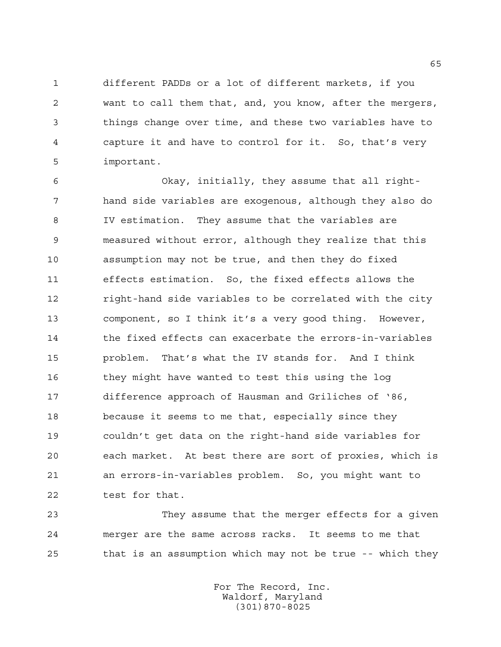different PADDs or a lot of different markets, if you want to call them that, and, you know, after the mergers, things change over time, and these two variables have to capture it and have to control for it. So, that's very important.

 Okay, initially, they assume that all right- hand side variables are exogenous, although they also do IV estimation. They assume that the variables are measured without error, although they realize that this assumption may not be true, and then they do fixed effects estimation. So, the fixed effects allows the right-hand side variables to be correlated with the city component, so I think it's a very good thing. However, the fixed effects can exacerbate the errors-in-variables problem. That's what the IV stands for. And I think they might have wanted to test this using the log difference approach of Hausman and Griliches of '86, because it seems to me that, especially since they couldn't get data on the right-hand side variables for each market. At best there are sort of proxies, which is an errors-in-variables problem. So, you might want to test for that.

 They assume that the merger effects for a given merger are the same across racks. It seems to me that that is an assumption which may not be true -- which they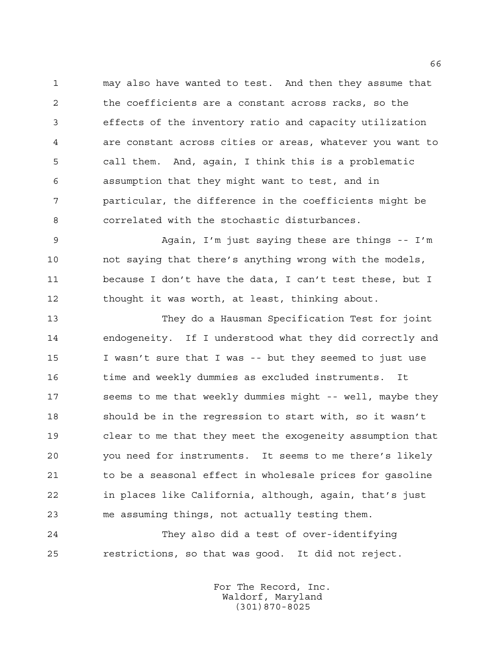may also have wanted to test. And then they assume that the coefficients are a constant across racks, so the effects of the inventory ratio and capacity utilization are constant across cities or areas, whatever you want to call them. And, again, I think this is a problematic assumption that they might want to test, and in particular, the difference in the coefficients might be correlated with the stochastic disturbances.

 Again, I'm just saying these are things -- I'm not saying that there's anything wrong with the models, because I don't have the data, I can't test these, but I thought it was worth, at least, thinking about.

 They do a Hausman Specification Test for joint endogeneity. If I understood what they did correctly and I wasn't sure that I was -- but they seemed to just use time and weekly dummies as excluded instruments. It 17 seems to me that weekly dummies might -- well, maybe they should be in the regression to start with, so it wasn't clear to me that they meet the exogeneity assumption that you need for instruments. It seems to me there's likely 21 to be a seasonal effect in wholesale prices for gasoline in places like California, although, again, that's just me assuming things, not actually testing them.

 They also did a test of over-identifying restrictions, so that was good. It did not reject.

> For The Record, Inc. Waldorf, Maryland (301)870-8025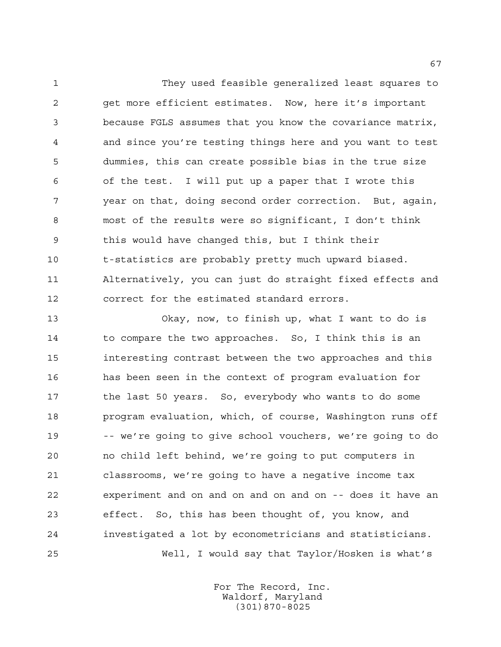They used feasible generalized least squares to get more efficient estimates. Now, here it's important because FGLS assumes that you know the covariance matrix, and since you're testing things here and you want to test dummies, this can create possible bias in the true size of the test. I will put up a paper that I wrote this year on that, doing second order correction. But, again, most of the results were so significant, I don't think this would have changed this, but I think their t-statistics are probably pretty much upward biased. Alternatively, you can just do straight fixed effects and correct for the estimated standard errors.

 Okay, now, to finish up, what I want to do is 14 to compare the two approaches. So, I think this is an interesting contrast between the two approaches and this has been seen in the context of program evaluation for the last 50 years. So, everybody who wants to do some program evaluation, which, of course, Washington runs off -- we're going to give school vouchers, we're going to do no child left behind, we're going to put computers in classrooms, we're going to have a negative income tax experiment and on and on and on and on -- does it have an effect. So, this has been thought of, you know, and investigated a lot by econometricians and statisticians. Well, I would say that Taylor/Hosken is what's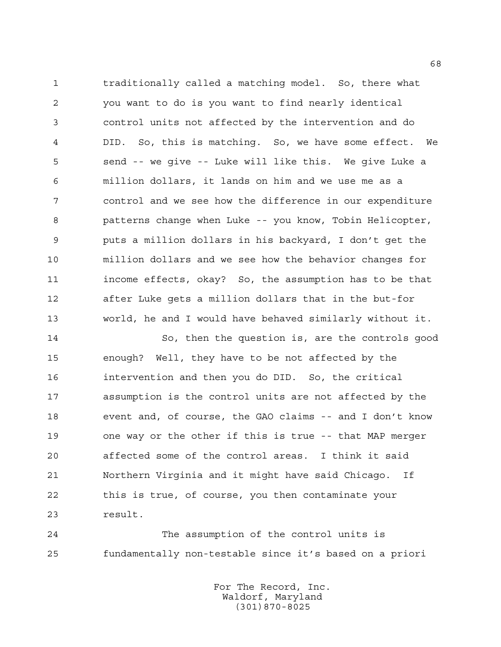traditionally called a matching model. So, there what you want to do is you want to find nearly identical control units not affected by the intervention and do DID. So, this is matching. So, we have some effect. We send -- we give -- Luke will like this. We give Luke a million dollars, it lands on him and we use me as a control and we see how the difference in our expenditure patterns change when Luke -- you know, Tobin Helicopter, puts a million dollars in his backyard, I don't get the million dollars and we see how the behavior changes for income effects, okay? So, the assumption has to be that after Luke gets a million dollars that in the but-for world, he and I would have behaved similarly without it.

 So, then the question is, are the controls good enough? Well, they have to be not affected by the intervention and then you do DID. So, the critical assumption is the control units are not affected by the event and, of course, the GAO claims -- and I don't know one way or the other if this is true -- that MAP merger affected some of the control areas. I think it said Northern Virginia and it might have said Chicago. If this is true, of course, you then contaminate your result.

 The assumption of the control units is fundamentally non-testable since it's based on a priori

> For The Record, Inc. Waldorf, Maryland (301)870-8025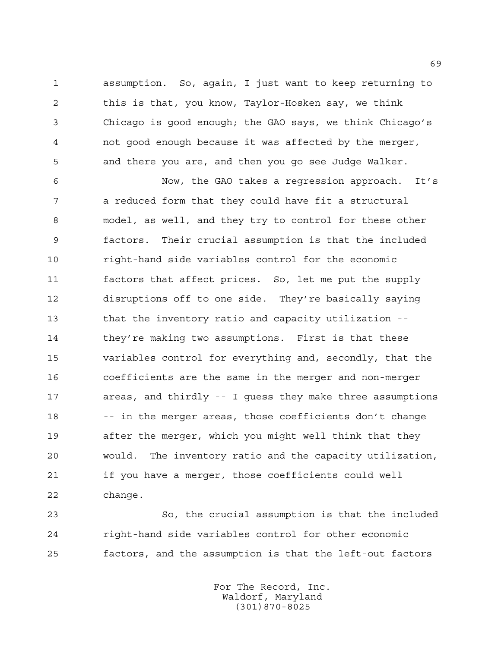assumption. So, again, I just want to keep returning to this is that, you know, Taylor-Hosken say, we think Chicago is good enough; the GAO says, we think Chicago's not good enough because it was affected by the merger, and there you are, and then you go see Judge Walker.

 Now, the GAO takes a regression approach. It's a reduced form that they could have fit a structural model, as well, and they try to control for these other factors. Their crucial assumption is that the included right-hand side variables control for the economic factors that affect prices. So, let me put the supply disruptions off to one side. They're basically saying that the inventory ratio and capacity utilization -- they're making two assumptions. First is that these variables control for everything and, secondly, that the coefficients are the same in the merger and non-merger areas, and thirdly -- I guess they make three assumptions 18 -- in the merger areas, those coefficients don't change after the merger, which you might well think that they would. The inventory ratio and the capacity utilization, if you have a merger, those coefficients could well change.

 So, the crucial assumption is that the included right-hand side variables control for other economic factors, and the assumption is that the left-out factors

> For The Record, Inc. Waldorf, Maryland (301)870-8025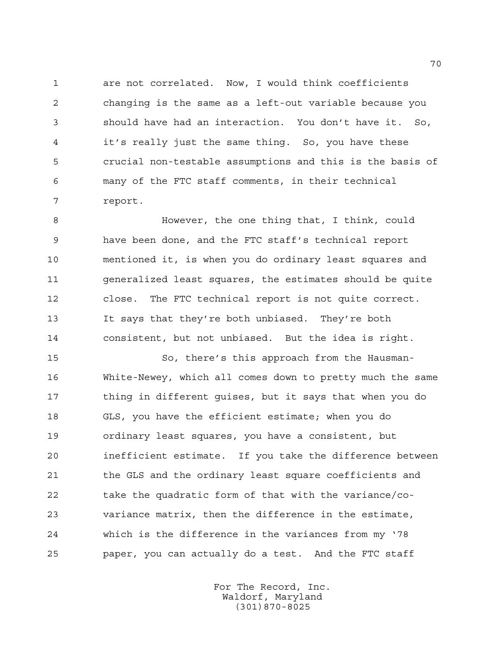are not correlated. Now, I would think coefficients changing is the same as a left-out variable because you should have had an interaction. You don't have it. So, it's really just the same thing. So, you have these crucial non-testable assumptions and this is the basis of many of the FTC staff comments, in their technical report.

 However, the one thing that, I think, could have been done, and the FTC staff's technical report mentioned it, is when you do ordinary least squares and generalized least squares, the estimates should be quite close. The FTC technical report is not quite correct. It says that they're both unbiased. They're both consistent, but not unbiased. But the idea is right.

 So, there's this approach from the Hausman- White-Newey, which all comes down to pretty much the same 17 thing in different quises, but it says that when you do GLS, you have the efficient estimate; when you do ordinary least squares, you have a consistent, but inefficient estimate. If you take the difference between 21 the GLS and the ordinary least square coefficients and take the quadratic form of that with the variance/co- variance matrix, then the difference in the estimate, which is the difference in the variances from my '78 paper, you can actually do a test. And the FTC staff

> For The Record, Inc. Waldorf, Maryland (301)870-8025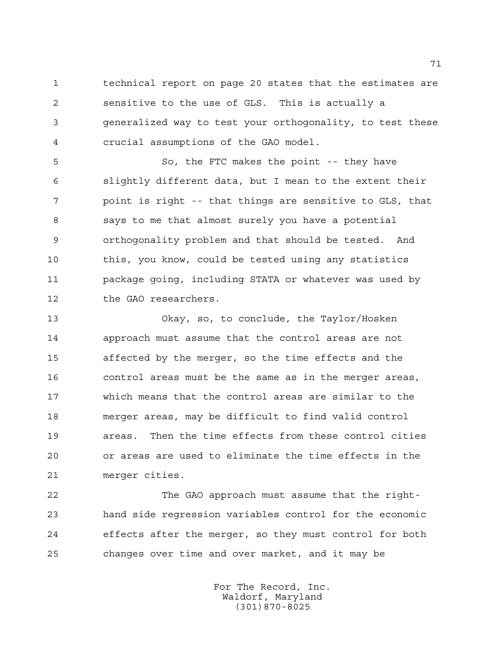technical report on page 20 states that the estimates are sensitive to the use of GLS. This is actually a generalized way to test your orthogonality, to test these crucial assumptions of the GAO model.

 So, the FTC makes the point -- they have slightly different data, but I mean to the extent their point is right -- that things are sensitive to GLS, that says to me that almost surely you have a potential orthogonality problem and that should be tested. And 10 this, you know, could be tested using any statistics package going, including STATA or whatever was used by the GAO researchers.

 Okay, so, to conclude, the Taylor/Hosken approach must assume that the control areas are not affected by the merger, so the time effects and the control areas must be the same as in the merger areas, which means that the control areas are similar to the merger areas, may be difficult to find valid control areas. Then the time effects from these control cities or areas are used to eliminate the time effects in the merger cities.

 The GAO approach must assume that the right- hand side regression variables control for the economic effects after the merger, so they must control for both changes over time and over market, and it may be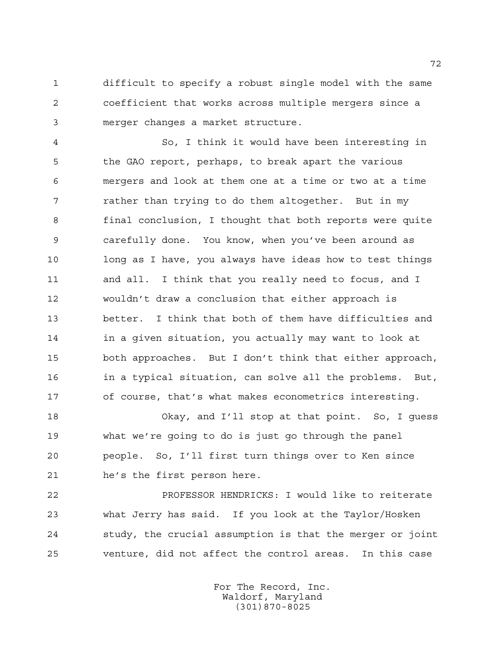difficult to specify a robust single model with the same coefficient that works across multiple mergers since a merger changes a market structure.

 So, I think it would have been interesting in the GAO report, perhaps, to break apart the various mergers and look at them one at a time or two at a time rather than trying to do them altogether. But in my final conclusion, I thought that both reports were quite carefully done. You know, when you've been around as 10 long as I have, you always have ideas how to test things and all. I think that you really need to focus, and I wouldn't draw a conclusion that either approach is better. I think that both of them have difficulties and in a given situation, you actually may want to look at both approaches. But I don't think that either approach, in a typical situation, can solve all the problems. But, of course, that's what makes econometrics interesting.

 Okay, and I'll stop at that point. So, I guess what we're going to do is just go through the panel people. So, I'll first turn things over to Ken since he's the first person here.

 PROFESSOR HENDRICKS: I would like to reiterate what Jerry has said. If you look at the Taylor/Hosken study, the crucial assumption is that the merger or joint venture, did not affect the control areas. In this case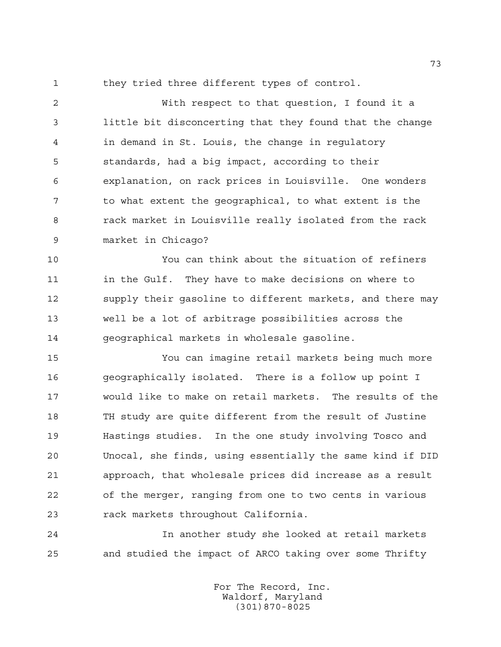they tried three different types of control.

 With respect to that question, I found it a little bit disconcerting that they found that the change in demand in St. Louis, the change in regulatory standards, had a big impact, according to their explanation, on rack prices in Louisville. One wonders to what extent the geographical, to what extent is the rack market in Louisville really isolated from the rack market in Chicago?

 You can think about the situation of refiners 11 in the Gulf. They have to make decisions on where to supply their gasoline to different markets, and there may well be a lot of arbitrage possibilities across the geographical markets in wholesale gasoline.

 You can imagine retail markets being much more geographically isolated. There is a follow up point I would like to make on retail markets. The results of the TH study are quite different from the result of Justine Hastings studies. In the one study involving Tosco and Unocal, she finds, using essentially the same kind if DID approach, that wholesale prices did increase as a result of the merger, ranging from one to two cents in various rack markets throughout California.

 In another study she looked at retail markets and studied the impact of ARCO taking over some Thrifty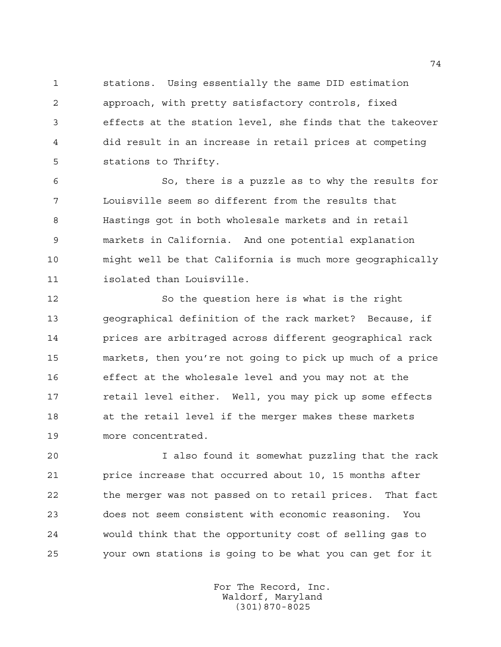stations. Using essentially the same DID estimation approach, with pretty satisfactory controls, fixed effects at the station level, she finds that the takeover did result in an increase in retail prices at competing stations to Thrifty.

 So, there is a puzzle as to why the results for Louisville seem so different from the results that Hastings got in both wholesale markets and in retail markets in California. And one potential explanation might well be that California is much more geographically isolated than Louisville.

 So the question here is what is the right geographical definition of the rack market? Because, if prices are arbitraged across different geographical rack markets, then you're not going to pick up much of a price effect at the wholesale level and you may not at the retail level either. Well, you may pick up some effects at the retail level if the merger makes these markets more concentrated.

 I also found it somewhat puzzling that the rack price increase that occurred about 10, 15 months after the merger was not passed on to retail prices. That fact does not seem consistent with economic reasoning. You would think that the opportunity cost of selling gas to your own stations is going to be what you can get for it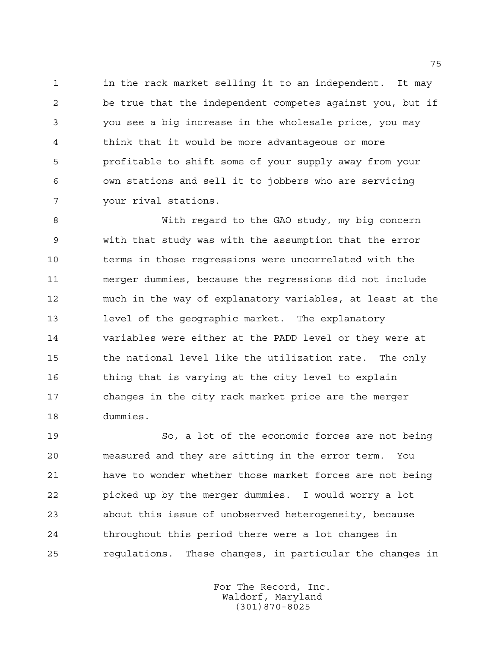in the rack market selling it to an independent. It may be true that the independent competes against you, but if you see a big increase in the wholesale price, you may think that it would be more advantageous or more profitable to shift some of your supply away from your own stations and sell it to jobbers who are servicing your rival stations.

 With regard to the GAO study, my big concern with that study was with the assumption that the error terms in those regressions were uncorrelated with the merger dummies, because the regressions did not include much in the way of explanatory variables, at least at the level of the geographic market. The explanatory variables were either at the PADD level or they were at the national level like the utilization rate. The only 16 thing that is varying at the city level to explain changes in the city rack market price are the merger dummies.

 So, a lot of the economic forces are not being measured and they are sitting in the error term. You have to wonder whether those market forces are not being picked up by the merger dummies. I would worry a lot about this issue of unobserved heterogeneity, because throughout this period there were a lot changes in regulations. These changes, in particular the changes in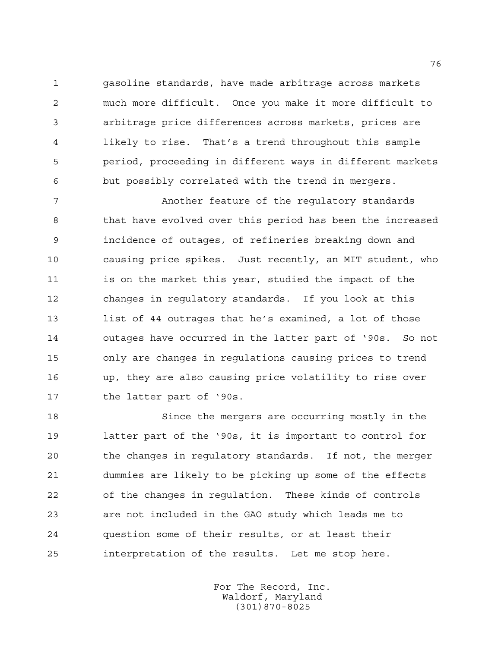gasoline standards, have made arbitrage across markets much more difficult. Once you make it more difficult to arbitrage price differences across markets, prices are likely to rise. That's a trend throughout this sample period, proceeding in different ways in different markets but possibly correlated with the trend in mergers.

 Another feature of the regulatory standards that have evolved over this period has been the increased incidence of outages, of refineries breaking down and causing price spikes. Just recently, an MIT student, who is on the market this year, studied the impact of the changes in regulatory standards. If you look at this list of 44 outrages that he's examined, a lot of those outages have occurred in the latter part of '90s. So not only are changes in regulations causing prices to trend up, they are also causing price volatility to rise over the latter part of '90s.

 Since the mergers are occurring mostly in the latter part of the '90s, it is important to control for the changes in regulatory standards. If not, the merger dummies are likely to be picking up some of the effects of the changes in regulation. These kinds of controls are not included in the GAO study which leads me to question some of their results, or at least their interpretation of the results. Let me stop here.

> For The Record, Inc. Waldorf, Maryland (301)870-8025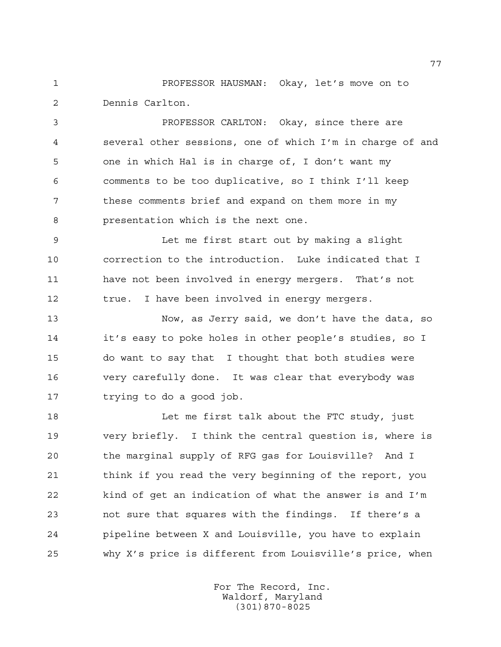PROFESSOR HAUSMAN: Okay, let's move on to Dennis Carlton.

 PROFESSOR CARLTON: Okay, since there are several other sessions, one of which I'm in charge of and one in which Hal is in charge of, I don't want my comments to be too duplicative, so I think I'll keep these comments brief and expand on them more in my presentation which is the next one.

 Let me first start out by making a slight correction to the introduction. Luke indicated that I have not been involved in energy mergers. That's not true. I have been involved in energy mergers.

 Now, as Jerry said, we don't have the data, so it's easy to poke holes in other people's studies, so I do want to say that I thought that both studies were very carefully done. It was clear that everybody was trying to do a good job.

 Let me first talk about the FTC study, just very briefly. I think the central question is, where is the marginal supply of RFG gas for Louisville? And I 21 think if you read the very beginning of the report, you kind of get an indication of what the answer is and I'm not sure that squares with the findings. If there's a pipeline between X and Louisville, you have to explain why X's price is different from Louisville's price, when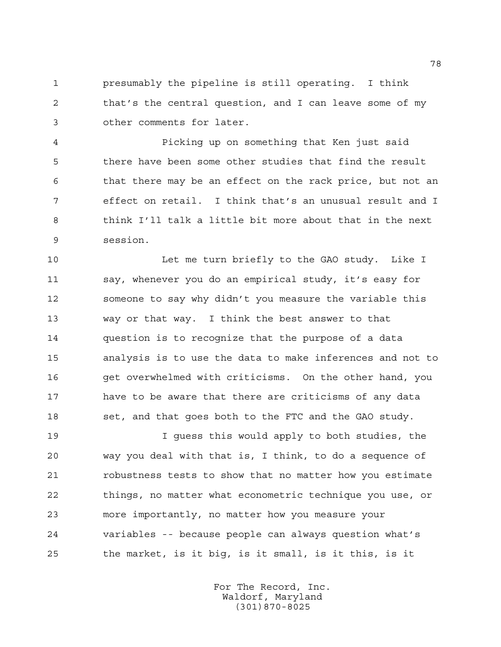presumably the pipeline is still operating. I think that's the central question, and I can leave some of my other comments for later.

 Picking up on something that Ken just said there have been some other studies that find the result that there may be an effect on the rack price, but not an effect on retail. I think that's an unusual result and I think I'll talk a little bit more about that in the next session.

10 Let me turn briefly to the GAO study. Like I say, whenever you do an empirical study, it's easy for someone to say why didn't you measure the variable this way or that way. I think the best answer to that question is to recognize that the purpose of a data analysis is to use the data to make inferences and not to get overwhelmed with criticisms. On the other hand, you have to be aware that there are criticisms of any data 18 set, and that goes both to the FTC and the GAO study.

 I guess this would apply to both studies, the way you deal with that is, I think, to do a sequence of robustness tests to show that no matter how you estimate things, no matter what econometric technique you use, or more importantly, no matter how you measure your variables -- because people can always question what's the market, is it big, is it small, is it this, is it

> For The Record, Inc. Waldorf, Maryland (301)870-8025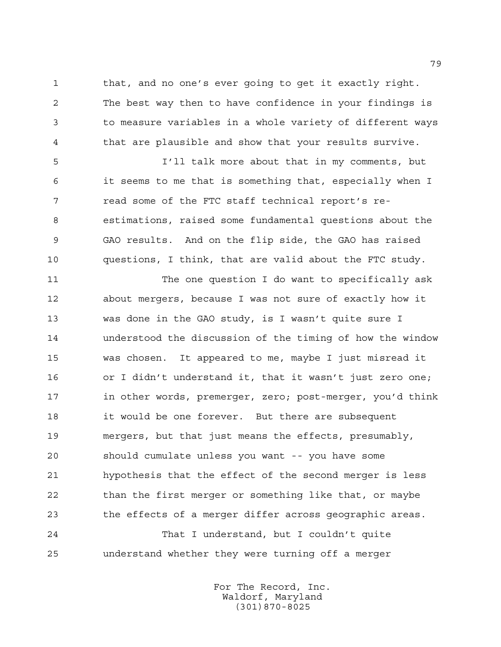that, and no one's ever going to get it exactly right. The best way then to have confidence in your findings is to measure variables in a whole variety of different ways that are plausible and show that your results survive.

 I'll talk more about that in my comments, but it seems to me that is something that, especially when I read some of the FTC staff technical report's re- estimations, raised some fundamental questions about the GAO results. And on the flip side, the GAO has raised questions, I think, that are valid about the FTC study.

 The one question I do want to specifically ask about mergers, because I was not sure of exactly how it was done in the GAO study, is I wasn't quite sure I understood the discussion of the timing of how the window was chosen. It appeared to me, maybe I just misread it or I didn't understand it, that it wasn't just zero one; 17 in other words, premerger, zero; post-merger, you'd think 18 it would be one forever. But there are subsequent mergers, but that just means the effects, presumably, should cumulate unless you want -- you have some hypothesis that the effect of the second merger is less than the first merger or something like that, or maybe the effects of a merger differ across geographic areas.

 That I understand, but I couldn't quite understand whether they were turning off a merger

> For The Record, Inc. Waldorf, Maryland (301)870-8025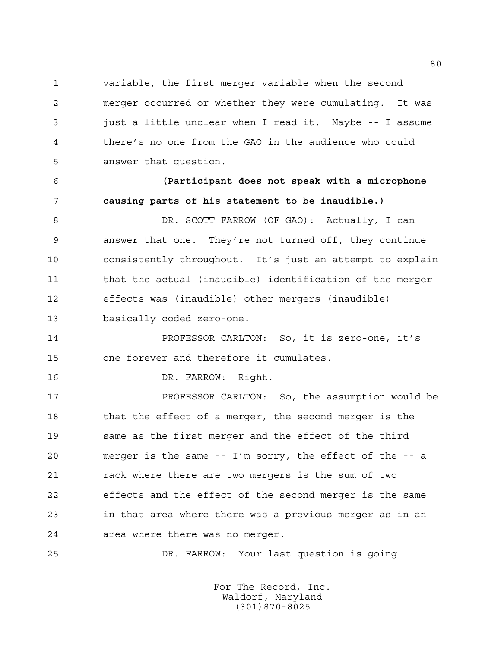variable, the first merger variable when the second merger occurred or whether they were cumulating. It was just a little unclear when I read it. Maybe -- I assume there's no one from the GAO in the audience who could answer that question.

 **(Participant does not speak with a microphone causing parts of his statement to be inaudible.)**

 DR. SCOTT FARROW (OF GAO): Actually, I can answer that one. They're not turned off, they continue consistently throughout. It's just an attempt to explain that the actual (inaudible) identification of the merger effects was (inaudible) other mergers (inaudible) basically coded zero-one.

 PROFESSOR CARLTON: So, it is zero-one, it's one forever and therefore it cumulates.

DR. FARROW: Right.

**PROFESSOR CARLTON:** So, the assumption would be 18 that the effect of a merger, the second merger is the same as the first merger and the effect of the third merger is the same -- I'm sorry, the effect of the -- a 21 rack where there are two mergers is the sum of two effects and the effect of the second merger is the same in that area where there was a previous merger as in an area where there was no merger.

DR. FARROW: Your last question is going

For The Record, Inc. Waldorf, Maryland (301)870-8025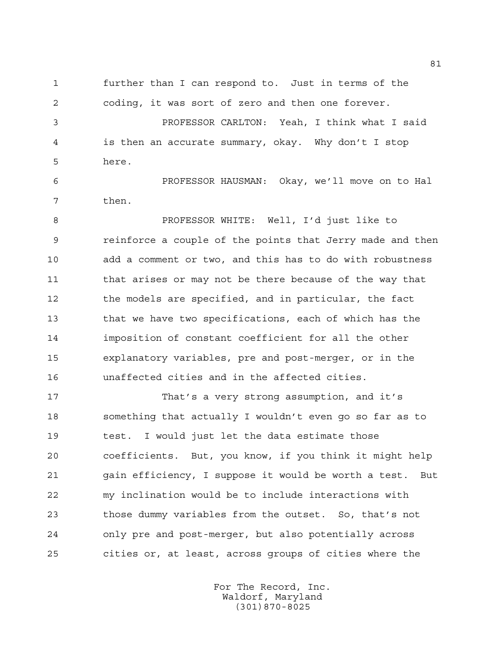further than I can respond to. Just in terms of the coding, it was sort of zero and then one forever.

 PROFESSOR CARLTON: Yeah, I think what I said is then an accurate summary, okay. Why don't I stop here.

 PROFESSOR HAUSMAN: Okay, we'll move on to Hal then.

 PROFESSOR WHITE: Well, I'd just like to reinforce a couple of the points that Jerry made and then add a comment or two, and this has to do with robustness 11 that arises or may not be there because of the way that the models are specified, and in particular, the fact that we have two specifications, each of which has the imposition of constant coefficient for all the other explanatory variables, pre and post-merger, or in the unaffected cities and in the affected cities.

 That's a very strong assumption, and it's something that actually I wouldn't even go so far as to test. I would just let the data estimate those coefficients. But, you know, if you think it might help gain efficiency, I suppose it would be worth a test. But my inclination would be to include interactions with those dummy variables from the outset. So, that's not only pre and post-merger, but also potentially across cities or, at least, across groups of cities where the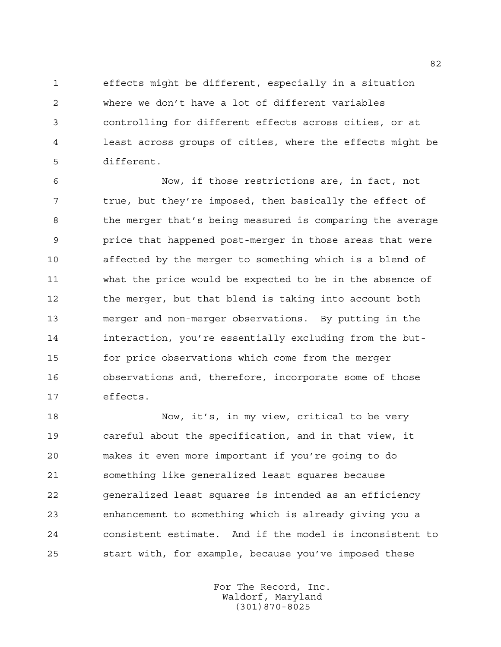effects might be different, especially in a situation where we don't have a lot of different variables controlling for different effects across cities, or at least across groups of cities, where the effects might be different.

 Now, if those restrictions are, in fact, not true, but they're imposed, then basically the effect of the merger that's being measured is comparing the average price that happened post-merger in those areas that were affected by the merger to something which is a blend of what the price would be expected to be in the absence of the merger, but that blend is taking into account both merger and non-merger observations. By putting in the interaction, you're essentially excluding from the but- for price observations which come from the merger observations and, therefore, incorporate some of those effects.

 Now, it's, in my view, critical to be very careful about the specification, and in that view, it makes it even more important if you're going to do something like generalized least squares because generalized least squares is intended as an efficiency enhancement to something which is already giving you a consistent estimate. And if the model is inconsistent to start with, for example, because you've imposed these

> For The Record, Inc. Waldorf, Maryland (301)870-8025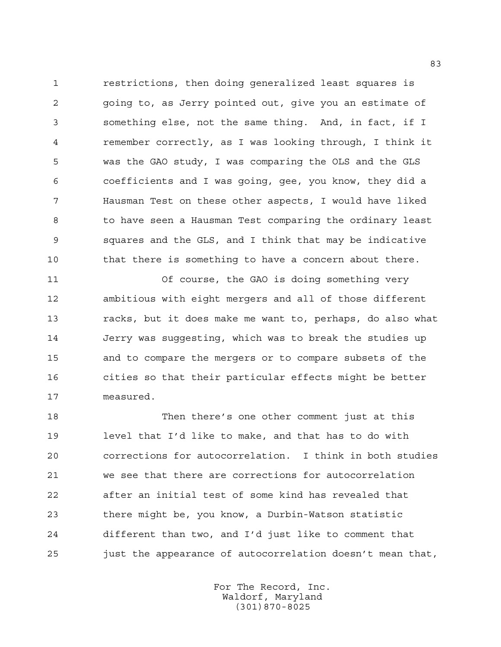restrictions, then doing generalized least squares is going to, as Jerry pointed out, give you an estimate of something else, not the same thing. And, in fact, if I remember correctly, as I was looking through, I think it was the GAO study, I was comparing the OLS and the GLS coefficients and I was going, gee, you know, they did a Hausman Test on these other aspects, I would have liked to have seen a Hausman Test comparing the ordinary least squares and the GLS, and I think that may be indicative 10 that there is something to have a concern about there.

 Of course, the GAO is doing something very ambitious with eight mergers and all of those different racks, but it does make me want to, perhaps, do also what Jerry was suggesting, which was to break the studies up and to compare the mergers or to compare subsets of the cities so that their particular effects might be better measured.

 Then there's one other comment just at this level that I'd like to make, and that has to do with corrections for autocorrelation. I think in both studies we see that there are corrections for autocorrelation after an initial test of some kind has revealed that there might be, you know, a Durbin-Watson statistic different than two, and I'd just like to comment that just the appearance of autocorrelation doesn't mean that,

> For The Record, Inc. Waldorf, Maryland (301)870-8025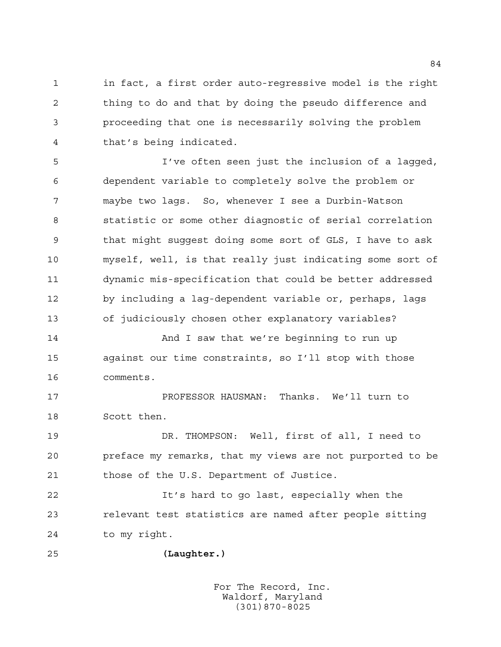in fact, a first order auto-regressive model is the right thing to do and that by doing the pseudo difference and proceeding that one is necessarily solving the problem that's being indicated.

 I've often seen just the inclusion of a lagged, dependent variable to completely solve the problem or maybe two lags. So, whenever I see a Durbin-Watson statistic or some other diagnostic of serial correlation that might suggest doing some sort of GLS, I have to ask myself, well, is that really just indicating some sort of dynamic mis-specification that could be better addressed by including a lag-dependent variable or, perhaps, lags of judiciously chosen other explanatory variables?

14 And I saw that we're beginning to run up against our time constraints, so I'll stop with those comments.

 PROFESSOR HAUSMAN: Thanks. We'll turn to Scott then.

 DR. THOMPSON: Well, first of all, I need to preface my remarks, that my views are not purported to be those of the U.S. Department of Justice.

 It's hard to go last, especially when the relevant test statistics are named after people sitting to my right.

**(Laughter.)**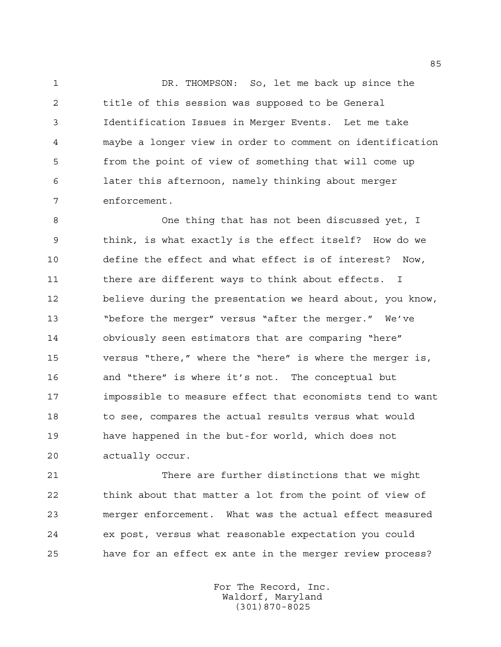DR. THOMPSON: So, let me back up since the title of this session was supposed to be General Identification Issues in Merger Events. Let me take maybe a longer view in order to comment on identification from the point of view of something that will come up later this afternoon, namely thinking about merger enforcement.

 One thing that has not been discussed yet, I think, is what exactly is the effect itself? How do we define the effect and what effect is of interest? Now, 11 there are different ways to think about effects. I believe during the presentation we heard about, you know, "before the merger" versus "after the merger." We've obviously seen estimators that are comparing "here" versus "there," where the "here" is where the merger is, and "there" is where it's not. The conceptual but impossible to measure effect that economists tend to want 18 to see, compares the actual results versus what would have happened in the but-for world, which does not actually occur.

 There are further distinctions that we might think about that matter a lot from the point of view of merger enforcement. What was the actual effect measured ex post, versus what reasonable expectation you could have for an effect ex ante in the merger review process?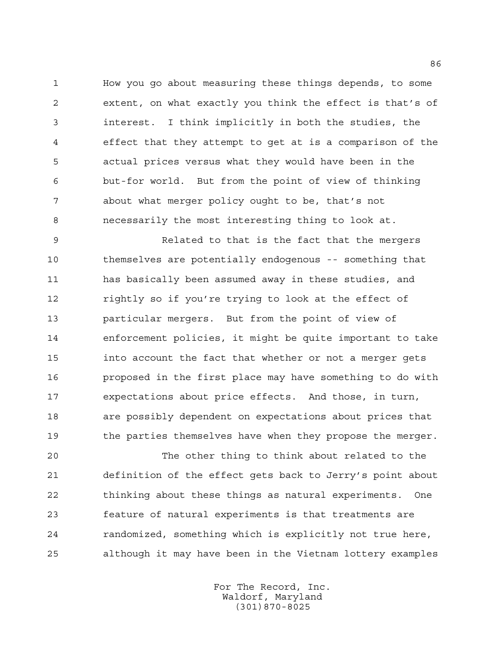How you go about measuring these things depends, to some extent, on what exactly you think the effect is that's of interest. I think implicitly in both the studies, the effect that they attempt to get at is a comparison of the actual prices versus what they would have been in the but-for world. But from the point of view of thinking about what merger policy ought to be, that's not necessarily the most interesting thing to look at.

 Related to that is the fact that the mergers themselves are potentially endogenous -- something that has basically been assumed away in these studies, and rightly so if you're trying to look at the effect of particular mergers. But from the point of view of enforcement policies, it might be quite important to take into account the fact that whether or not a merger gets proposed in the first place may have something to do with expectations about price effects. And those, in turn, are possibly dependent on expectations about prices that 19 the parties themselves have when they propose the merger.

 The other thing to think about related to the definition of the effect gets back to Jerry's point about thinking about these things as natural experiments. One feature of natural experiments is that treatments are randomized, something which is explicitly not true here, although it may have been in the Vietnam lottery examples

> For The Record, Inc. Waldorf, Maryland (301)870-8025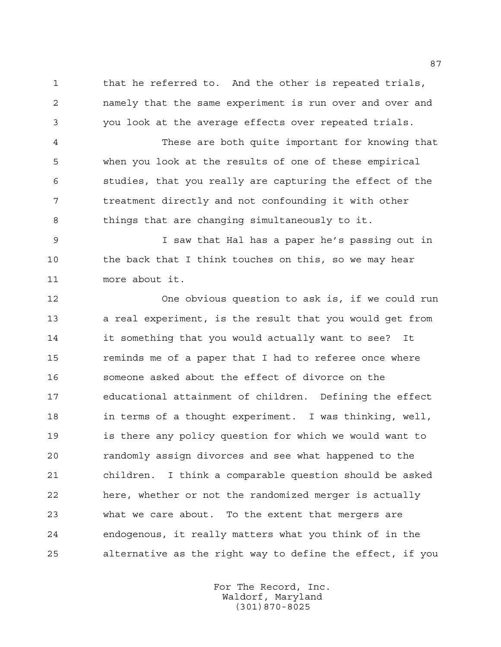that he referred to. And the other is repeated trials, namely that the same experiment is run over and over and you look at the average effects over repeated trials.

 These are both quite important for knowing that when you look at the results of one of these empirical studies, that you really are capturing the effect of the treatment directly and not confounding it with other things that are changing simultaneously to it.

 I saw that Hal has a paper he's passing out in 10 the back that I think touches on this, so we may hear more about it.

 One obvious question to ask is, if we could run a real experiment, is the result that you would get from it something that you would actually want to see? It reminds me of a paper that I had to referee once where someone asked about the effect of divorce on the educational attainment of children. Defining the effect in terms of a thought experiment. I was thinking, well, is there any policy question for which we would want to randomly assign divorces and see what happened to the children. I think a comparable question should be asked here, whether or not the randomized merger is actually what we care about. To the extent that mergers are endogenous, it really matters what you think of in the alternative as the right way to define the effect, if you

> For The Record, Inc. Waldorf, Maryland (301)870-8025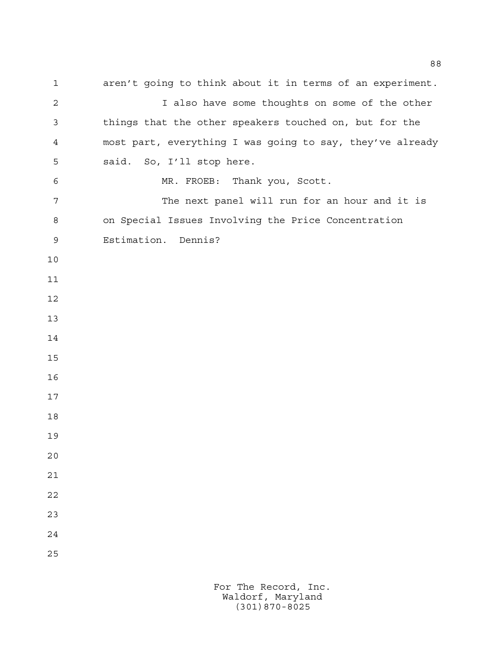aren't going to think about it in terms of an experiment. 2 I also have some thoughts on some of the other things that the other speakers touched on, but for the most part, everything I was going to say, they've already said. So, I'll stop here. MR. FROEB: Thank you, Scott. 7 The next panel will run for an hour and it is on Special Issues Involving the Price Concentration Estimation. Dennis?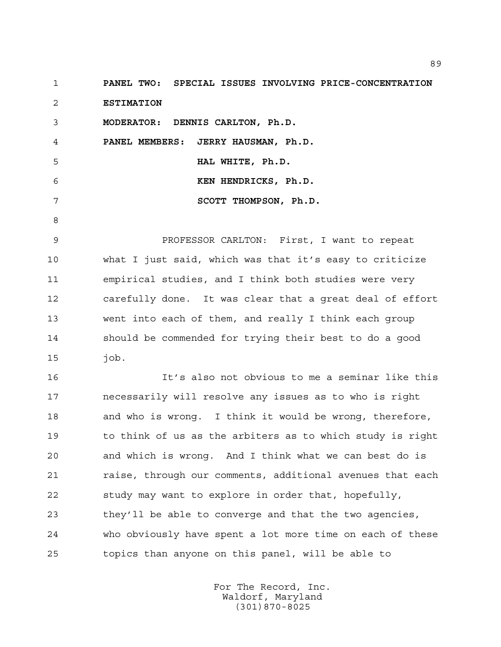**PANEL TWO: SPECIAL ISSUES INVOLVING PRICE-CONCENTRATION ESTIMATION**

**MODERATOR: DENNIS CARLTON, Ph.D.**

**PANEL MEMBERS: JERRY HAUSMAN, Ph.D.**

 **HAL WHITE, Ph.D.**

 **KEN HENDRICKS, Ph.D.**

 **SCOTT THOMPSON, Ph.D.**

 PROFESSOR CARLTON: First, I want to repeat what I just said, which was that it's easy to criticize empirical studies, and I think both studies were very carefully done. It was clear that a great deal of effort went into each of them, and really I think each group should be commended for trying their best to do a good job.

 It's also not obvious to me a seminar like this necessarily will resolve any issues as to who is right and who is wrong. I think it would be wrong, therefore, to think of us as the arbiters as to which study is right and which is wrong. And I think what we can best do is 21 raise, through our comments, additional avenues that each study may want to explore in order that, hopefully, they'll be able to converge and that the two agencies, who obviously have spent a lot more time on each of these topics than anyone on this panel, will be able to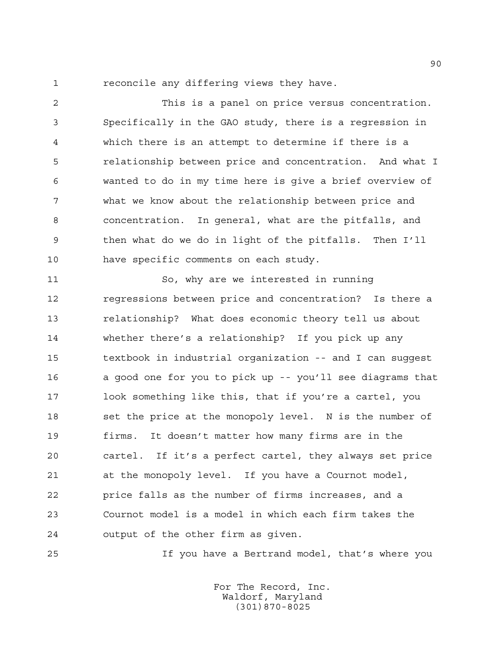reconcile any differing views they have.

 This is a panel on price versus concentration. Specifically in the GAO study, there is a regression in which there is an attempt to determine if there is a relationship between price and concentration. And what I wanted to do in my time here is give a brief overview of what we know about the relationship between price and concentration. In general, what are the pitfalls, and then what do we do in light of the pitfalls. Then I'll have specific comments on each study.

 So, why are we interested in running regressions between price and concentration? Is there a relationship? What does economic theory tell us about whether there's a relationship? If you pick up any textbook in industrial organization -- and I can suggest a good one for you to pick up -- you'll see diagrams that look something like this, that if you're a cartel, you 18 set the price at the monopoly level. N is the number of firms. It doesn't matter how many firms are in the cartel. If it's a perfect cartel, they always set price at the monopoly level. If you have a Cournot model, price falls as the number of firms increases, and a Cournot model is a model in which each firm takes the output of the other firm as given.

If you have a Bertrand model, that's where you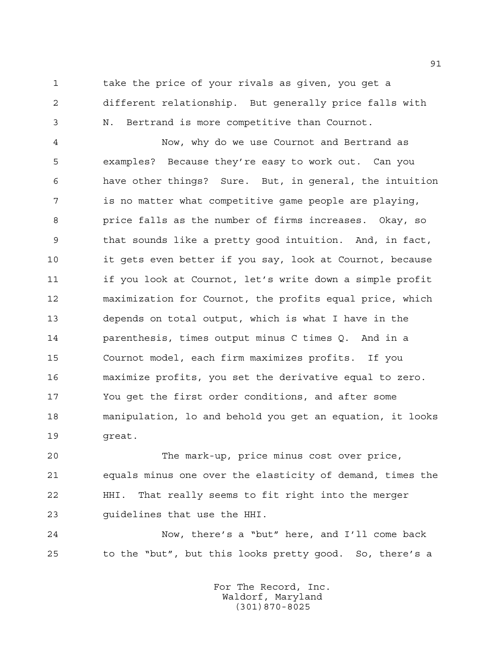take the price of your rivals as given, you get a different relationship. But generally price falls with N. Bertrand is more competitive than Cournot.

 Now, why do we use Cournot and Bertrand as examples? Because they're easy to work out. Can you have other things? Sure. But, in general, the intuition is no matter what competitive game people are playing, price falls as the number of firms increases. Okay, so that sounds like a pretty good intuition. And, in fact, it gets even better if you say, look at Cournot, because if you look at Cournot, let's write down a simple profit maximization for Cournot, the profits equal price, which depends on total output, which is what I have in the parenthesis, times output minus C times Q. And in a Cournot model, each firm maximizes profits. If you maximize profits, you set the derivative equal to zero. You get the first order conditions, and after some manipulation, lo and behold you get an equation, it looks great.

 The mark-up, price minus cost over price, equals minus one over the elasticity of demand, times the HHI. That really seems to fit right into the merger guidelines that use the HHI.

 Now, there's a "but" here, and I'll come back to the "but", but this looks pretty good. So, there's a

> For The Record, Inc. Waldorf, Maryland (301)870-8025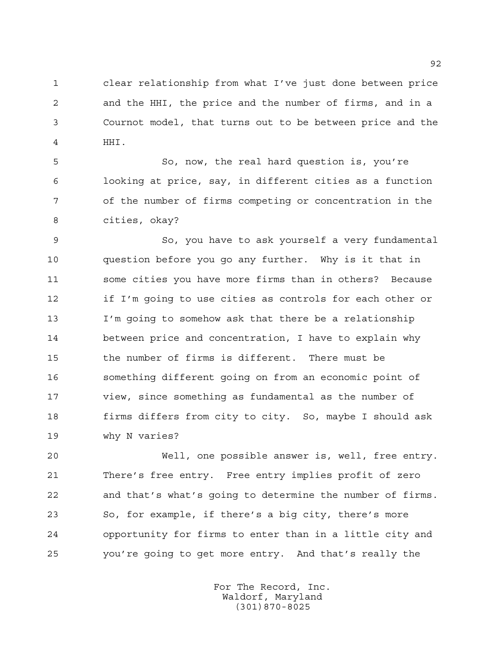clear relationship from what I've just done between price and the HHI, the price and the number of firms, and in a Cournot model, that turns out to be between price and the HHI.

 So, now, the real hard question is, you're looking at price, say, in different cities as a function of the number of firms competing or concentration in the cities, okay?

 So, you have to ask yourself a very fundamental question before you go any further. Why is it that in some cities you have more firms than in others? Because if I'm going to use cities as controls for each other or I'm going to somehow ask that there be a relationship between price and concentration, I have to explain why the number of firms is different. There must be something different going on from an economic point of view, since something as fundamental as the number of firms differs from city to city. So, maybe I should ask why N varies?

 Well, one possible answer is, well, free entry. There's free entry. Free entry implies profit of zero and that's what's going to determine the number of firms. So, for example, if there's a big city, there's more opportunity for firms to enter than in a little city and you're going to get more entry. And that's really the

> For The Record, Inc. Waldorf, Maryland (301)870-8025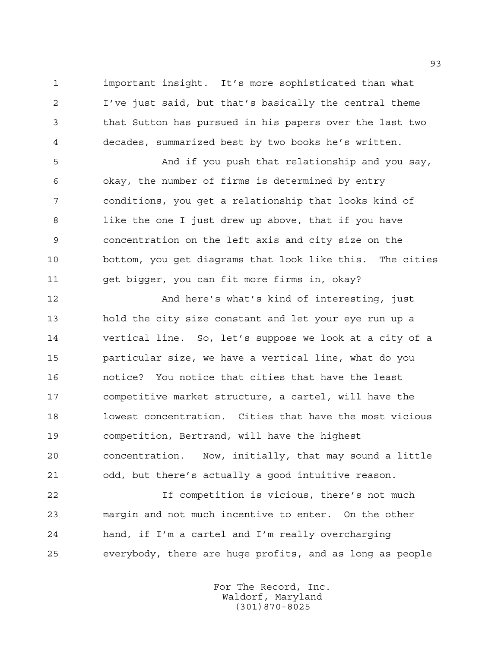important insight. It's more sophisticated than what I've just said, but that's basically the central theme that Sutton has pursued in his papers over the last two decades, summarized best by two books he's written.

 And if you push that relationship and you say, okay, the number of firms is determined by entry conditions, you get a relationship that looks kind of like the one I just drew up above, that if you have concentration on the left axis and city size on the bottom, you get diagrams that look like this. The cities get bigger, you can fit more firms in, okay?

 And here's what's kind of interesting, just hold the city size constant and let your eye run up a vertical line. So, let's suppose we look at a city of a particular size, we have a vertical line, what do you notice? You notice that cities that have the least competitive market structure, a cartel, will have the lowest concentration. Cities that have the most vicious competition, Bertrand, will have the highest concentration. Now, initially, that may sound a little odd, but there's actually a good intuitive reason.

 If competition is vicious, there's not much margin and not much incentive to enter. On the other hand, if I'm a cartel and I'm really overcharging everybody, there are huge profits, and as long as people

> For The Record, Inc. Waldorf, Maryland (301)870-8025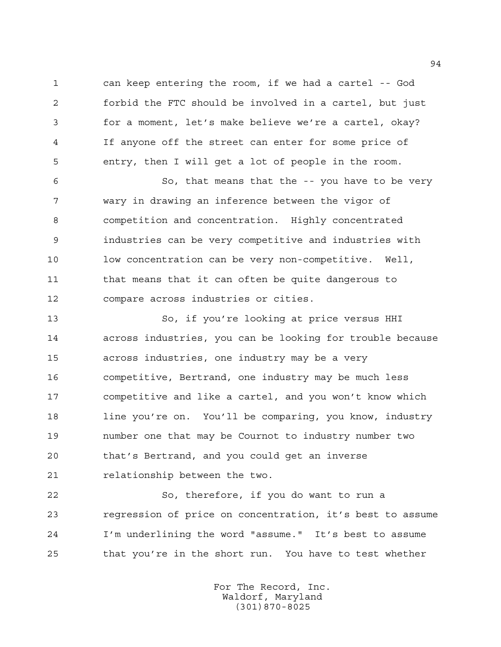can keep entering the room, if we had a cartel -- God forbid the FTC should be involved in a cartel, but just for a moment, let's make believe we're a cartel, okay? If anyone off the street can enter for some price of entry, then I will get a lot of people in the room.

 So, that means that the -- you have to be very wary in drawing an inference between the vigor of competition and concentration. Highly concentrated industries can be very competitive and industries with low concentration can be very non-competitive. Well, that means that it can often be quite dangerous to compare across industries or cities.

 So, if you're looking at price versus HHI across industries, you can be looking for trouble because across industries, one industry may be a very competitive, Bertrand, one industry may be much less competitive and like a cartel, and you won't know which line you're on. You'll be comparing, you know, industry number one that may be Cournot to industry number two that's Bertrand, and you could get an inverse relationship between the two.

 So, therefore, if you do want to run a regression of price on concentration, it's best to assume I'm underlining the word "assume." It's best to assume that you're in the short run. You have to test whether

> For The Record, Inc. Waldorf, Maryland (301)870-8025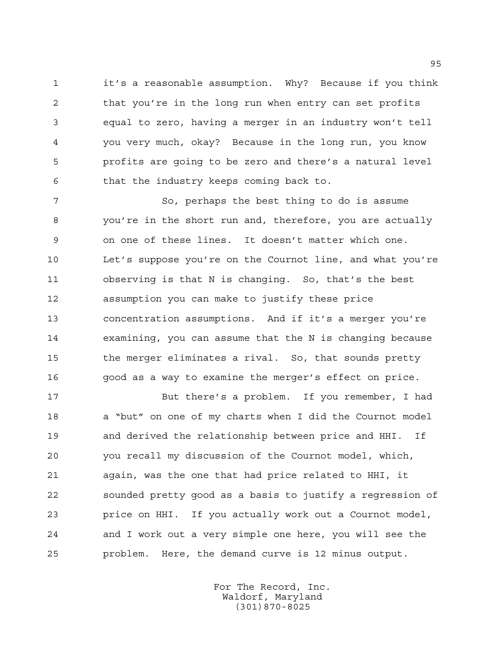it's a reasonable assumption. Why? Because if you think that you're in the long run when entry can set profits equal to zero, having a merger in an industry won't tell you very much, okay? Because in the long run, you know profits are going to be zero and there's a natural level that the industry keeps coming back to.

 So, perhaps the best thing to do is assume you're in the short run and, therefore, you are actually on one of these lines. It doesn't matter which one. Let's suppose you're on the Cournot line, and what you're observing is that N is changing. So, that's the best assumption you can make to justify these price concentration assumptions. And if it's a merger you're examining, you can assume that the N is changing because the merger eliminates a rival. So, that sounds pretty good as a way to examine the merger's effect on price.

 But there's a problem. If you remember, I had a "but" on one of my charts when I did the Cournot model and derived the relationship between price and HHI. If you recall my discussion of the Cournot model, which, again, was the one that had price related to HHI, it sounded pretty good as a basis to justify a regression of price on HHI. If you actually work out a Cournot model, and I work out a very simple one here, you will see the problem. Here, the demand curve is 12 minus output.

> For The Record, Inc. Waldorf, Maryland (301)870-8025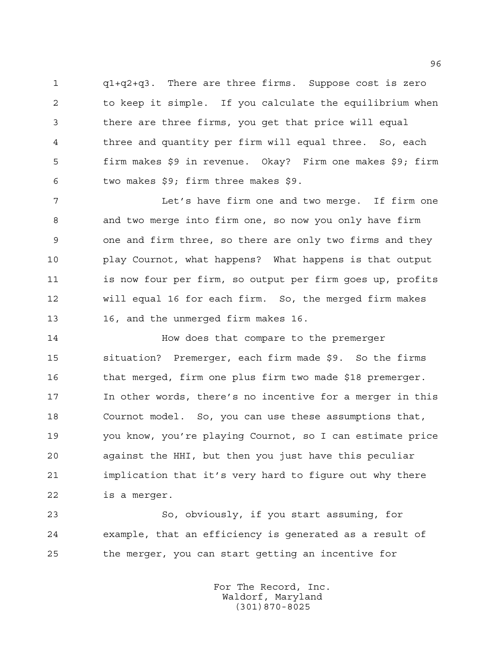q1+q2+q3. There are three firms. Suppose cost is zero to keep it simple. If you calculate the equilibrium when there are three firms, you get that price will equal three and quantity per firm will equal three. So, each firm makes \$9 in revenue. Okay? Firm one makes \$9; firm two makes \$9; firm three makes \$9.

 Let's have firm one and two merge. If firm one and two merge into firm one, so now you only have firm one and firm three, so there are only two firms and they play Cournot, what happens? What happens is that output is now four per firm, so output per firm goes up, profits will equal 16 for each firm. So, the merged firm makes 16, and the unmerged firm makes 16.

**How does that compare to the premerger**  situation? Premerger, each firm made \$9. So the firms that merged, firm one plus firm two made \$18 premerger. In other words, there's no incentive for a merger in this Cournot model. So, you can use these assumptions that, you know, you're playing Cournot, so I can estimate price against the HHI, but then you just have this peculiar implication that it's very hard to figure out why there is a merger.

 So, obviously, if you start assuming, for example, that an efficiency is generated as a result of the merger, you can start getting an incentive for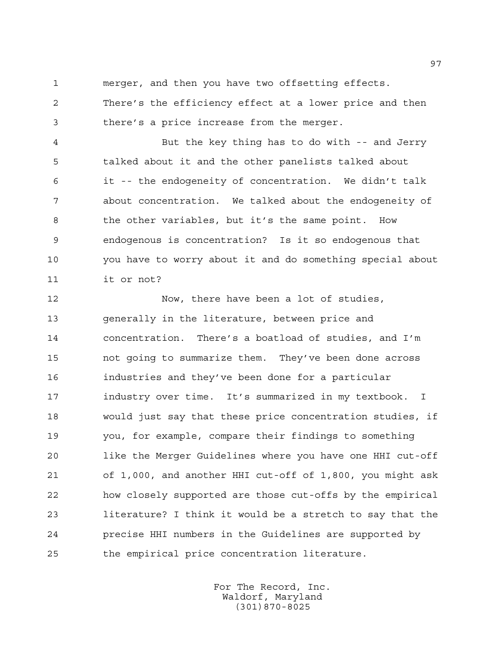merger, and then you have two offsetting effects.

 There's the efficiency effect at a lower price and then there's a price increase from the merger.

 But the key thing has to do with -- and Jerry talked about it and the other panelists talked about it -- the endogeneity of concentration. We didn't talk about concentration. We talked about the endogeneity of the other variables, but it's the same point. How endogenous is concentration? Is it so endogenous that you have to worry about it and do something special about it or not?

 Now, there have been a lot of studies, generally in the literature, between price and concentration. There's a boatload of studies, and I'm not going to summarize them. They've been done across industries and they've been done for a particular industry over time. It's summarized in my textbook. I would just say that these price concentration studies, if you, for example, compare their findings to something like the Merger Guidelines where you have one HHI cut-off of 1,000, and another HHI cut-off of 1,800, you might ask how closely supported are those cut-offs by the empirical literature? I think it would be a stretch to say that the precise HHI numbers in the Guidelines are supported by the empirical price concentration literature.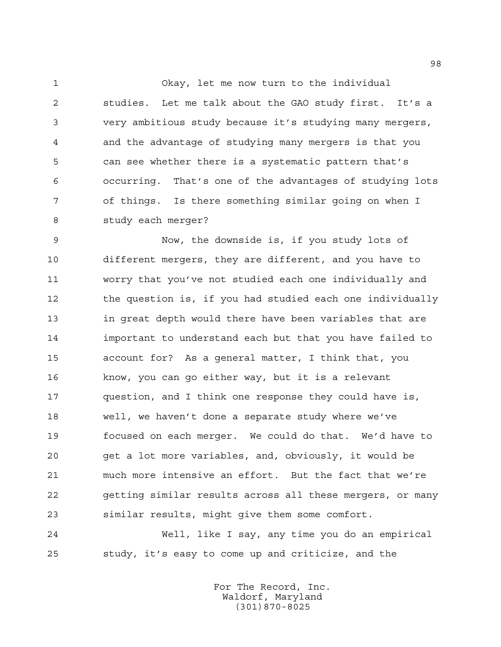Okay, let me now turn to the individual studies. Let me talk about the GAO study first. It's a very ambitious study because it's studying many mergers, and the advantage of studying many mergers is that you can see whether there is a systematic pattern that's occurring. That's one of the advantages of studying lots of things. Is there something similar going on when I study each merger?

 Now, the downside is, if you study lots of different mergers, they are different, and you have to worry that you've not studied each one individually and the question is, if you had studied each one individually in great depth would there have been variables that are important to understand each but that you have failed to account for? As a general matter, I think that, you know, you can go either way, but it is a relevant question, and I think one response they could have is, well, we haven't done a separate study where we've focused on each merger. We could do that. We'd have to get a lot more variables, and, obviously, it would be much more intensive an effort. But the fact that we're getting similar results across all these mergers, or many similar results, might give them some comfort.

 Well, like I say, any time you do an empirical study, it's easy to come up and criticize, and the

> For The Record, Inc. Waldorf, Maryland (301)870-8025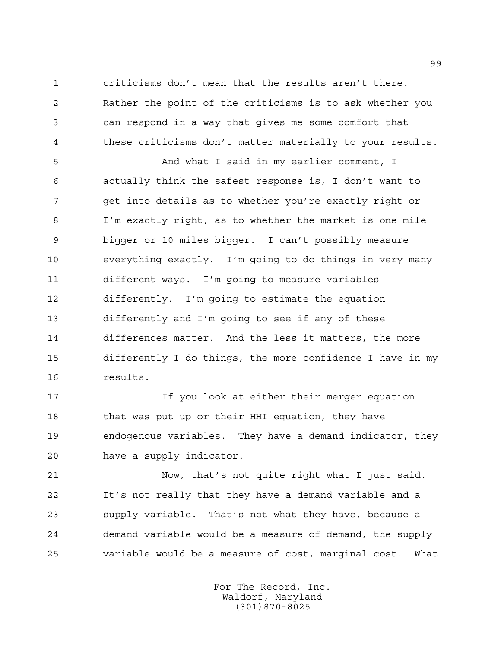criticisms don't mean that the results aren't there. Rather the point of the criticisms is to ask whether you can respond in a way that gives me some comfort that these criticisms don't matter materially to your results.

 And what I said in my earlier comment, I actually think the safest response is, I don't want to get into details as to whether you're exactly right or I'm exactly right, as to whether the market is one mile bigger or 10 miles bigger. I can't possibly measure everything exactly. I'm going to do things in very many different ways. I'm going to measure variables differently. I'm going to estimate the equation differently and I'm going to see if any of these differences matter. And the less it matters, the more differently I do things, the more confidence I have in my results.

 If you look at either their merger equation 18 that was put up or their HHI equation, they have endogenous variables. They have a demand indicator, they have a supply indicator.

 Now, that's not quite right what I just said. It's not really that they have a demand variable and a supply variable. That's not what they have, because a demand variable would be a measure of demand, the supply variable would be a measure of cost, marginal cost. What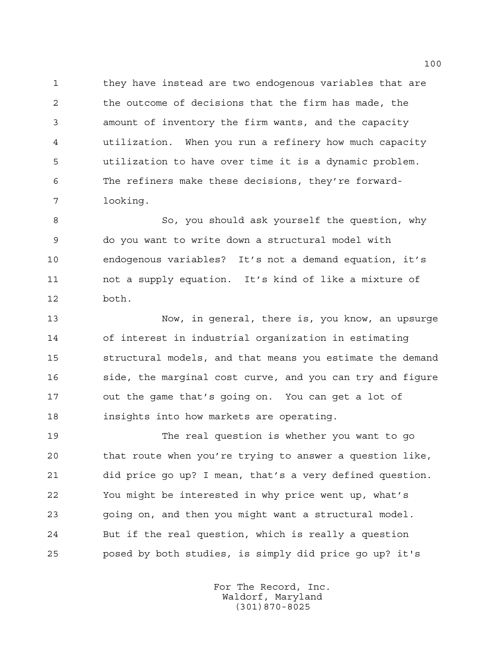they have instead are two endogenous variables that are the outcome of decisions that the firm has made, the amount of inventory the firm wants, and the capacity utilization. When you run a refinery how much capacity utilization to have over time it is a dynamic problem. The refiners make these decisions, they're forward-looking.

 So, you should ask yourself the question, why do you want to write down a structural model with endogenous variables? It's not a demand equation, it's not a supply equation. It's kind of like a mixture of both.

 Now, in general, there is, you know, an upsurge of interest in industrial organization in estimating structural models, and that means you estimate the demand 16 side, the marginal cost curve, and you can try and figure out the game that's going on. You can get a lot of insights into how markets are operating.

 The real question is whether you want to go that route when you're trying to answer a question like, did price go up? I mean, that's a very defined question. You might be interested in why price went up, what's going on, and then you might want a structural model. But if the real question, which is really a question posed by both studies, is simply did price go up? it's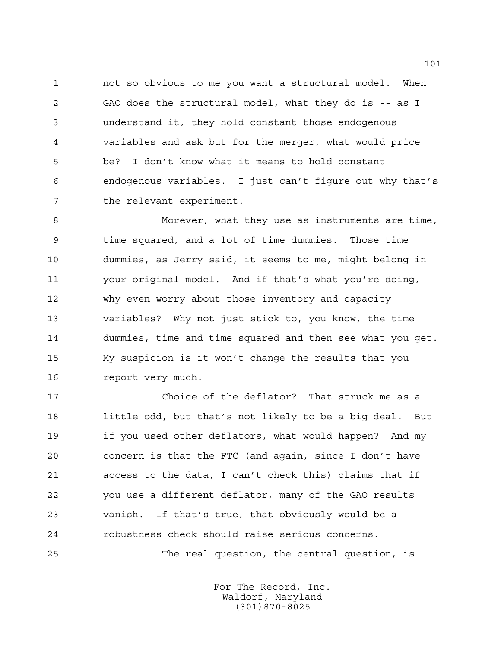not so obvious to me you want a structural model. When GAO does the structural model, what they do is -- as I understand it, they hold constant those endogenous variables and ask but for the merger, what would price be? I don't know what it means to hold constant endogenous variables. I just can't figure out why that's 7 the relevant experiment.

 Morever, what they use as instruments are time, time squared, and a lot of time dummies. Those time dummies, as Jerry said, it seems to me, might belong in your original model. And if that's what you're doing, why even worry about those inventory and capacity variables? Why not just stick to, you know, the time dummies, time and time squared and then see what you get. My suspicion is it won't change the results that you report very much.

 Choice of the deflator? That struck me as a little odd, but that's not likely to be a big deal. But if you used other deflators, what would happen? And my concern is that the FTC (and again, since I don't have access to the data, I can't check this) claims that if you use a different deflator, many of the GAO results vanish. If that's true, that obviously would be a robustness check should raise serious concerns.

The real question, the central question, is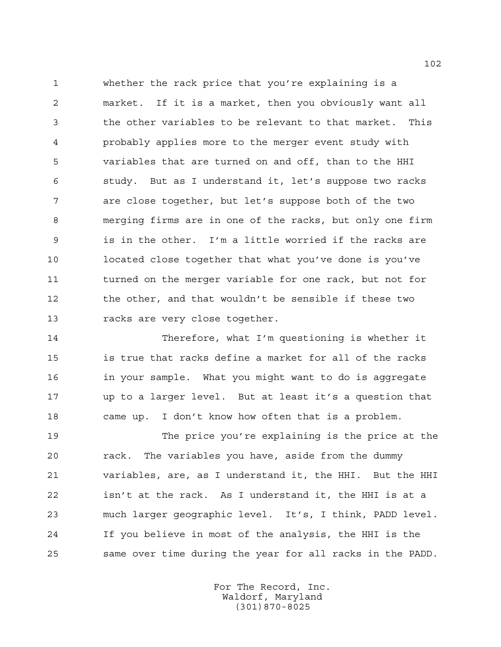whether the rack price that you're explaining is a market. If it is a market, then you obviously want all the other variables to be relevant to that market. This probably applies more to the merger event study with variables that are turned on and off, than to the HHI study. But as I understand it, let's suppose two racks are close together, but let's suppose both of the two merging firms are in one of the racks, but only one firm is in the other. I'm a little worried if the racks are located close together that what you've done is you've turned on the merger variable for one rack, but not for the other, and that wouldn't be sensible if these two racks are very close together.

 Therefore, what I'm questioning is whether it is true that racks define a market for all of the racks in your sample. What you might want to do is aggregate up to a larger level. But at least it's a question that came up. I don't know how often that is a problem.

 The price you're explaining is the price at the rack. The variables you have, aside from the dummy variables, are, as I understand it, the HHI. But the HHI isn't at the rack. As I understand it, the HHI is at a much larger geographic level. It's, I think, PADD level. If you believe in most of the analysis, the HHI is the same over time during the year for all racks in the PADD.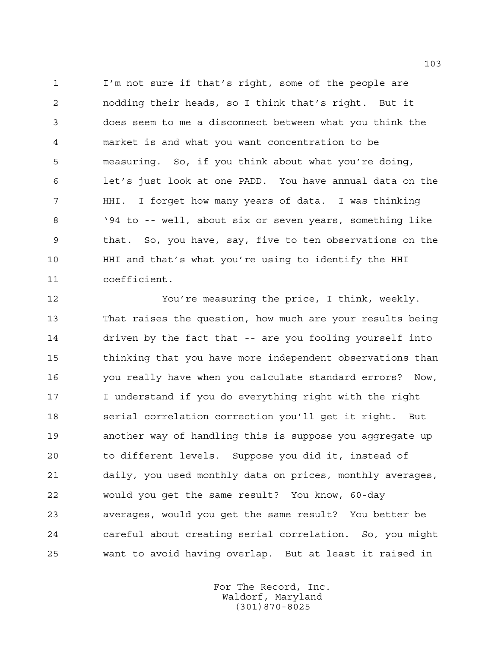I'm not sure if that's right, some of the people are nodding their heads, so I think that's right. But it does seem to me a disconnect between what you think the market is and what you want concentration to be measuring. So, if you think about what you're doing, let's just look at one PADD. You have annual data on the HHI. I forget how many years of data. I was thinking '94 to -- well, about six or seven years, something like that. So, you have, say, five to ten observations on the HHI and that's what you're using to identify the HHI coefficient.

 You're measuring the price, I think, weekly. That raises the question, how much are your results being driven by the fact that -- are you fooling yourself into thinking that you have more independent observations than you really have when you calculate standard errors? Now, I understand if you do everything right with the right serial correlation correction you'll get it right. But another way of handling this is suppose you aggregate up to different levels. Suppose you did it, instead of daily, you used monthly data on prices, monthly averages, would you get the same result? You know, 60-day averages, would you get the same result? You better be careful about creating serial correlation. So, you might want to avoid having overlap. But at least it raised in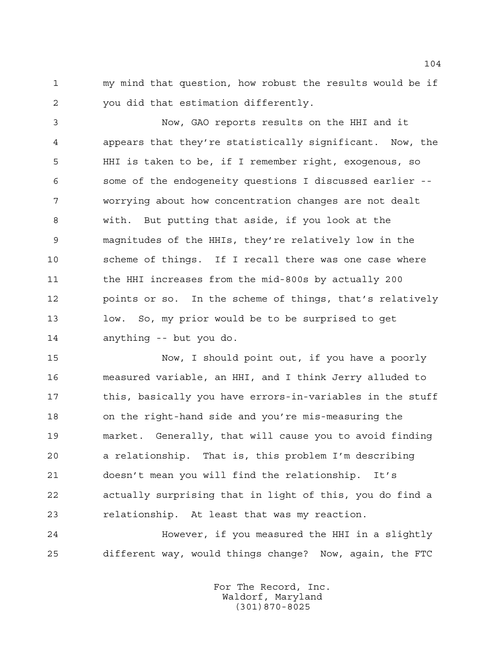my mind that question, how robust the results would be if you did that estimation differently.

 Now, GAO reports results on the HHI and it appears that they're statistically significant. Now, the HHI is taken to be, if I remember right, exogenous, so some of the endogeneity questions I discussed earlier -- worrying about how concentration changes are not dealt with. But putting that aside, if you look at the magnitudes of the HHIs, they're relatively low in the scheme of things. If I recall there was one case where 11 the HHI increases from the mid-800s by actually 200 points or so. In the scheme of things, that's relatively low. So, my prior would be to be surprised to get anything -- but you do.

 Now, I should point out, if you have a poorly measured variable, an HHI, and I think Jerry alluded to 17 this, basically you have errors-in-variables in the stuff on the right-hand side and you're mis-measuring the market. Generally, that will cause you to avoid finding a relationship. That is, this problem I'm describing doesn't mean you will find the relationship. It's actually surprising that in light of this, you do find a relationship. At least that was my reaction.

 However, if you measured the HHI in a slightly different way, would things change? Now, again, the FTC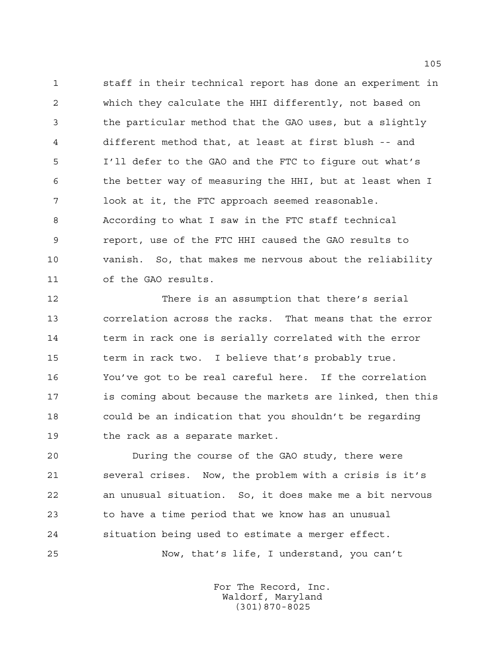staff in their technical report has done an experiment in which they calculate the HHI differently, not based on the particular method that the GAO uses, but a slightly different method that, at least at first blush -- and I'll defer to the GAO and the FTC to figure out what's the better way of measuring the HHI, but at least when I look at it, the FTC approach seemed reasonable. According to what I saw in the FTC staff technical report, use of the FTC HHI caused the GAO results to vanish. So, that makes me nervous about the reliability of the GAO results.

 There is an assumption that there's serial correlation across the racks. That means that the error 14 term in rack one is serially correlated with the error term in rack two. I believe that's probably true. You've got to be real careful here. If the correlation is coming about because the markets are linked, then this could be an indication that you shouldn't be regarding the rack as a separate market.

 During the course of the GAO study, there were several crises. Now, the problem with a crisis is it's an unusual situation. So, it does make me a bit nervous to have a time period that we know has an unusual situation being used to estimate a merger effect. Now, that's life, I understand, you can't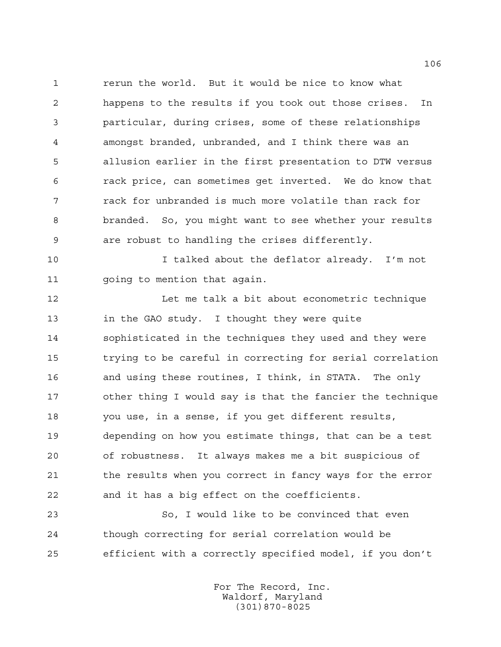rerun the world. But it would be nice to know what happens to the results if you took out those crises. In particular, during crises, some of these relationships amongst branded, unbranded, and I think there was an allusion earlier in the first presentation to DTW versus rack price, can sometimes get inverted. We do know that rack for unbranded is much more volatile than rack for branded. So, you might want to see whether your results are robust to handling the crises differently.

 I talked about the deflator already. I'm not going to mention that again.

12 Let me talk a bit about econometric technique in the GAO study. I thought they were quite sophisticated in the techniques they used and they were trying to be careful in correcting for serial correlation and using these routines, I think, in STATA. The only other thing I would say is that the fancier the technique you use, in a sense, if you get different results, depending on how you estimate things, that can be a test of robustness. It always makes me a bit suspicious of the results when you correct in fancy ways for the error and it has a big effect on the coefficients.

 So, I would like to be convinced that even though correcting for serial correlation would be efficient with a correctly specified model, if you don't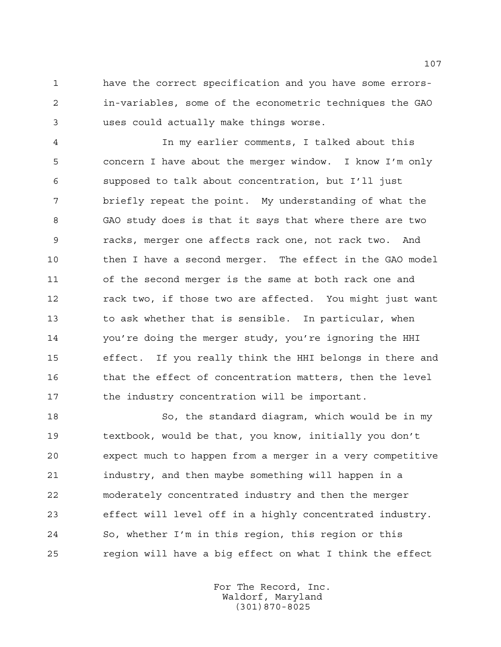have the correct specification and you have some errors- in-variables, some of the econometric techniques the GAO uses could actually make things worse.

 In my earlier comments, I talked about this concern I have about the merger window. I know I'm only supposed to talk about concentration, but I'll just briefly repeat the point. My understanding of what the GAO study does is that it says that where there are two racks, merger one affects rack one, not rack two. And 10 then I have a second merger. The effect in the GAO model of the second merger is the same at both rack one and rack two, if those two are affected. You might just want to ask whether that is sensible. In particular, when you're doing the merger study, you're ignoring the HHI effect. If you really think the HHI belongs in there and that the effect of concentration matters, then the level the industry concentration will be important.

 So, the standard diagram, which would be in my textbook, would be that, you know, initially you don't expect much to happen from a merger in a very competitive industry, and then maybe something will happen in a moderately concentrated industry and then the merger effect will level off in a highly concentrated industry. So, whether I'm in this region, this region or this region will have a big effect on what I think the effect

> For The Record, Inc. Waldorf, Maryland (301)870-8025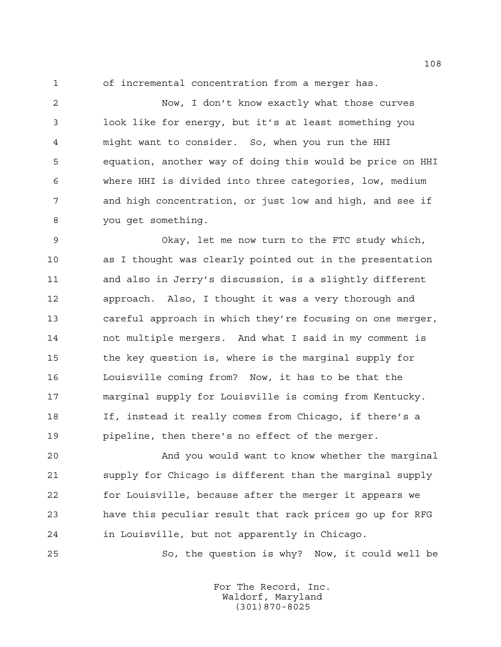of incremental concentration from a merger has.

 Now, I don't know exactly what those curves look like for energy, but it's at least something you might want to consider. So, when you run the HHI equation, another way of doing this would be price on HHI where HHI is divided into three categories, low, medium and high concentration, or just low and high, and see if you get something.

 Okay, let me now turn to the FTC study which, as I thought was clearly pointed out in the presentation and also in Jerry's discussion, is a slightly different approach. Also, I thought it was a very thorough and careful approach in which they're focusing on one merger, not multiple mergers. And what I said in my comment is the key question is, where is the marginal supply for Louisville coming from? Now, it has to be that the marginal supply for Louisville is coming from Kentucky. If, instead it really comes from Chicago, if there's a pipeline, then there's no effect of the merger.

 And you would want to know whether the marginal supply for Chicago is different than the marginal supply for Louisville, because after the merger it appears we have this peculiar result that rack prices go up for RFG in Louisville, but not apparently in Chicago.

So, the question is why? Now, it could well be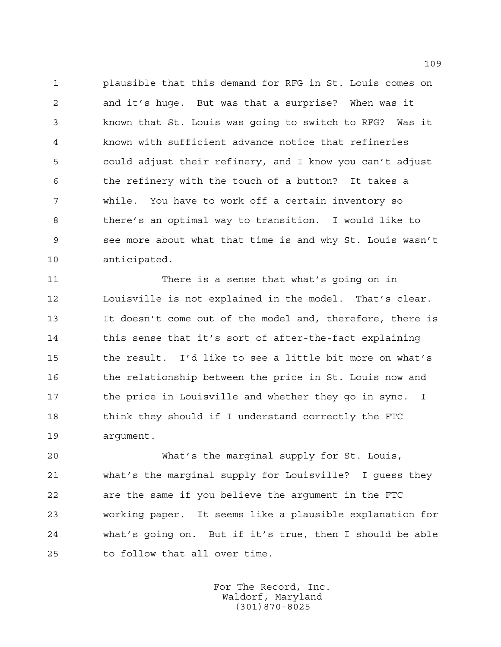plausible that this demand for RFG in St. Louis comes on and it's huge. But was that a surprise? When was it known that St. Louis was going to switch to RFG? Was it known with sufficient advance notice that refineries could adjust their refinery, and I know you can't adjust the refinery with the touch of a button? It takes a while. You have to work off a certain inventory so there's an optimal way to transition. I would like to see more about what that time is and why St. Louis wasn't anticipated.

 There is a sense that what's going on in Louisville is not explained in the model. That's clear. It doesn't come out of the model and, therefore, there is 14 this sense that it's sort of after-the-fact explaining the result. I'd like to see a little bit more on what's 16 the relationship between the price in St. Louis now and 17 the price in Louisville and whether they go in sync. I 18 think they should if I understand correctly the FTC argument.

 What's the marginal supply for St. Louis, what's the marginal supply for Louisville? I guess they are the same if you believe the argument in the FTC working paper. It seems like a plausible explanation for what's going on. But if it's true, then I should be able to follow that all over time.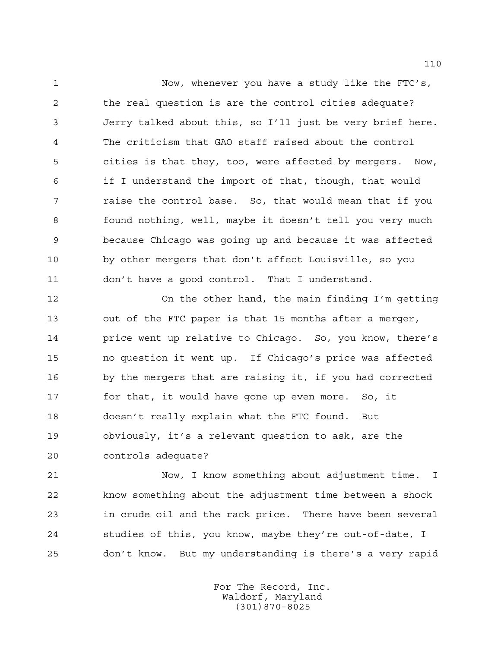Now, whenever you have a study like the FTC's, the real question is are the control cities adequate? Jerry talked about this, so I'll just be very brief here. The criticism that GAO staff raised about the control cities is that they, too, were affected by mergers. Now, if I understand the import of that, though, that would raise the control base. So, that would mean that if you found nothing, well, maybe it doesn't tell you very much because Chicago was going up and because it was affected by other mergers that don't affect Louisville, so you don't have a good control. That I understand.

 On the other hand, the main finding I'm getting out of the FTC paper is that 15 months after a merger, price went up relative to Chicago. So, you know, there's no question it went up. If Chicago's price was affected by the mergers that are raising it, if you had corrected for that, it would have gone up even more. So, it doesn't really explain what the FTC found. But obviously, it's a relevant question to ask, are the controls adequate?

 Now, I know something about adjustment time. I know something about the adjustment time between a shock in crude oil and the rack price. There have been several studies of this, you know, maybe they're out-of-date, I don't know. But my understanding is there's a very rapid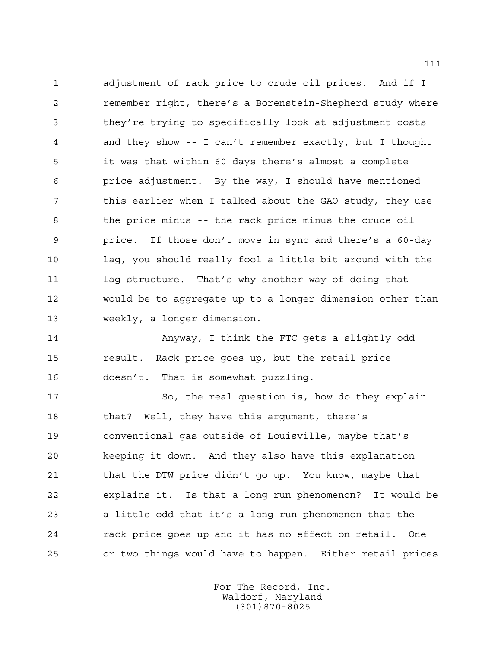adjustment of rack price to crude oil prices. And if I remember right, there's a Borenstein-Shepherd study where they're trying to specifically look at adjustment costs and they show -- I can't remember exactly, but I thought it was that within 60 days there's almost a complete price adjustment. By the way, I should have mentioned this earlier when I talked about the GAO study, they use the price minus -- the rack price minus the crude oil price. If those don't move in sync and there's a 60-day lag, you should really fool a little bit around with the 11 lag structure. That's why another way of doing that would be to aggregate up to a longer dimension other than weekly, a longer dimension.

 Anyway, I think the FTC gets a slightly odd result. Rack price goes up, but the retail price doesn't. That is somewhat puzzling.

 So, the real question is, how do they explain that? Well, they have this argument, there's conventional gas outside of Louisville, maybe that's keeping it down. And they also have this explanation 21 that the DTW price didn't go up. You know, maybe that explains it. Is that a long run phenomenon? It would be a little odd that it's a long run phenomenon that the rack price goes up and it has no effect on retail. One or two things would have to happen. Either retail prices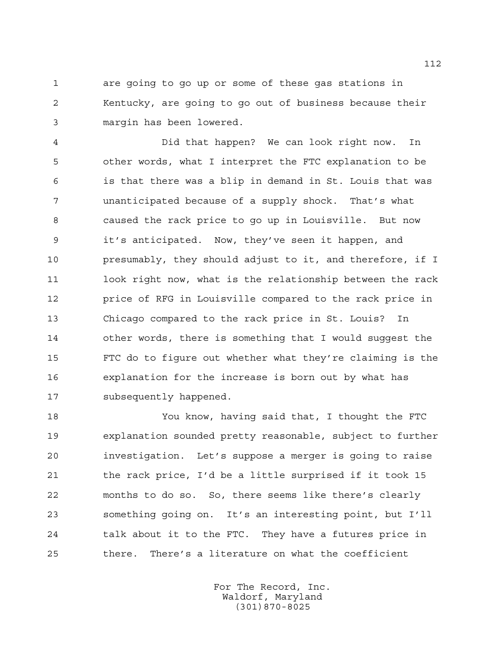are going to go up or some of these gas stations in Kentucky, are going to go out of business because their margin has been lowered.

 Did that happen? We can look right now. In other words, what I interpret the FTC explanation to be is that there was a blip in demand in St. Louis that was unanticipated because of a supply shock. That's what caused the rack price to go up in Louisville. But now it's anticipated. Now, they've seen it happen, and presumably, they should adjust to it, and therefore, if I 11 look right now, what is the relationship between the rack price of RFG in Louisville compared to the rack price in Chicago compared to the rack price in St. Louis? In other words, there is something that I would suggest the FTC do to figure out whether what they're claiming is the explanation for the increase is born out by what has subsequently happened.

 You know, having said that, I thought the FTC explanation sounded pretty reasonable, subject to further investigation. Let's suppose a merger is going to raise the rack price, I'd be a little surprised if it took 15 months to do so. So, there seems like there's clearly something going on. It's an interesting point, but I'll talk about it to the FTC. They have a futures price in there. There's a literature on what the coefficient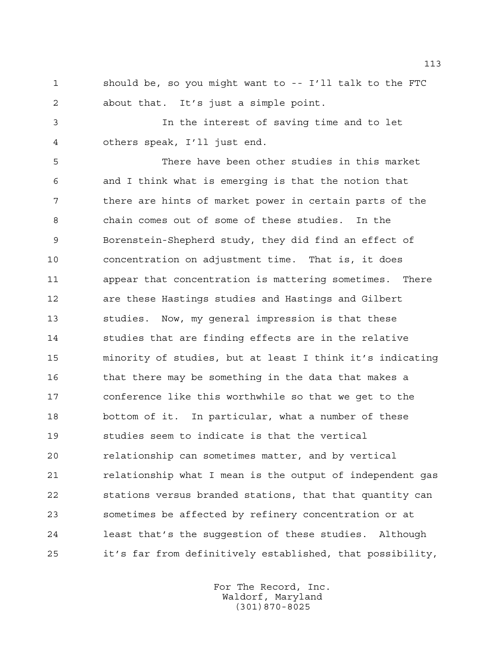should be, so you might want to -- I'll talk to the FTC about that. It's just a simple point.

 In the interest of saving time and to let others speak, I'll just end.

 There have been other studies in this market and I think what is emerging is that the notion that there are hints of market power in certain parts of the chain comes out of some of these studies. In the Borenstein-Shepherd study, they did find an effect of concentration on adjustment time. That is, it does appear that concentration is mattering sometimes. There are these Hastings studies and Hastings and Gilbert studies. Now, my general impression is that these studies that are finding effects are in the relative minority of studies, but at least I think it's indicating that there may be something in the data that makes a conference like this worthwhile so that we get to the bottom of it. In particular, what a number of these studies seem to indicate is that the vertical relationship can sometimes matter, and by vertical 21 relationship what I mean is the output of independent gas stations versus branded stations, that that quantity can sometimes be affected by refinery concentration or at least that's the suggestion of these studies. Although it's far from definitively established, that possibility,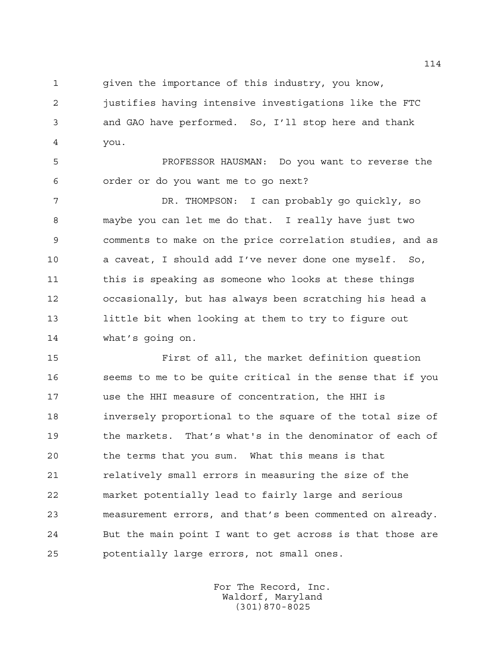given the importance of this industry, you know,

 justifies having intensive investigations like the FTC and GAO have performed. So, I'll stop here and thank you.

 PROFESSOR HAUSMAN: Do you want to reverse the order or do you want me to go next?

 DR. THOMPSON: I can probably go quickly, so maybe you can let me do that. I really have just two comments to make on the price correlation studies, and as a caveat, I should add I've never done one myself. So, 11 this is speaking as someone who looks at these things occasionally, but has always been scratching his head a little bit when looking at them to try to figure out what's going on.

 First of all, the market definition question seems to me to be quite critical in the sense that if you use the HHI measure of concentration, the HHI is inversely proportional to the square of the total size of the markets. That's what's in the denominator of each of the terms that you sum. What this means is that **relatively small errors in measuring the size of the**  market potentially lead to fairly large and serious measurement errors, and that's been commented on already. But the main point I want to get across is that those are potentially large errors, not small ones.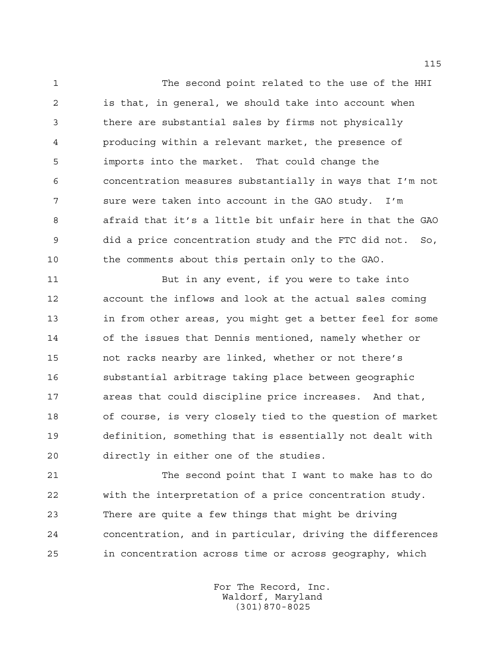The second point related to the use of the HHI is that, in general, we should take into account when there are substantial sales by firms not physically producing within a relevant market, the presence of imports into the market. That could change the concentration measures substantially in ways that I'm not sure were taken into account in the GAO study. I'm afraid that it's a little bit unfair here in that the GAO did a price concentration study and the FTC did not. So, the comments about this pertain only to the GAO.

 But in any event, if you were to take into account the inflows and look at the actual sales coming in from other areas, you might get a better feel for some of the issues that Dennis mentioned, namely whether or not racks nearby are linked, whether or not there's substantial arbitrage taking place between geographic areas that could discipline price increases. And that, of course, is very closely tied to the question of market definition, something that is essentially not dealt with directly in either one of the studies.

 The second point that I want to make has to do with the interpretation of a price concentration study. There are quite a few things that might be driving concentration, and in particular, driving the differences in concentration across time or across geography, which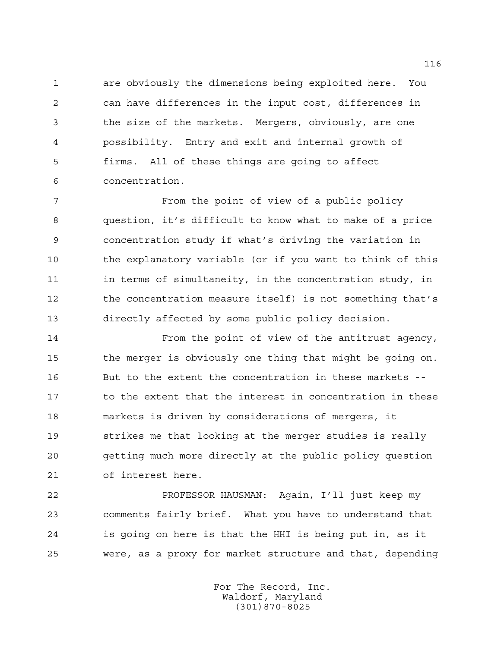are obviously the dimensions being exploited here. You can have differences in the input cost, differences in the size of the markets. Mergers, obviously, are one possibility. Entry and exit and internal growth of firms. All of these things are going to affect concentration.

 From the point of view of a public policy question, it's difficult to know what to make of a price concentration study if what's driving the variation in the explanatory variable (or if you want to think of this 11 in terms of simultaneity, in the concentration study, in the concentration measure itself) is not something that's directly affected by some public policy decision.

 From the point of view of the antitrust agency, the merger is obviously one thing that might be going on. But to the extent the concentration in these markets -- 17 to the extent that the interest in concentration in these markets is driven by considerations of mergers, it strikes me that looking at the merger studies is really getting much more directly at the public policy question of interest here.

 PROFESSOR HAUSMAN: Again, I'll just keep my comments fairly brief. What you have to understand that is going on here is that the HHI is being put in, as it were, as a proxy for market structure and that, depending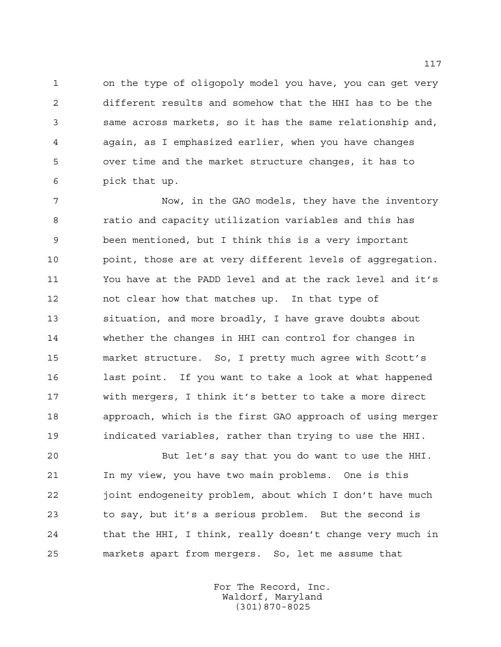on the type of oligopoly model you have, you can get very different results and somehow that the HHI has to be the same across markets, so it has the same relationship and, again, as I emphasized earlier, when you have changes over time and the market structure changes, it has to pick that up.

 Now, in the GAO models, they have the inventory ratio and capacity utilization variables and this has been mentioned, but I think this is a very important point, those are at very different levels of aggregation. You have at the PADD level and at the rack level and it's not clear how that matches up. In that type of situation, and more broadly, I have grave doubts about whether the changes in HHI can control for changes in market structure. So, I pretty much agree with Scott's last point. If you want to take a look at what happened with mergers, I think it's better to take a more direct approach, which is the first GAO approach of using merger indicated variables, rather than trying to use the HHI.

 But let's say that you do want to use the HHI. In my view, you have two main problems. One is this joint endogeneity problem, about which I don't have much to say, but it's a serious problem. But the second is that the HHI, I think, really doesn't change very much in markets apart from mergers. So, let me assume that

> For The Record, Inc. Waldorf, Maryland (301)870-8025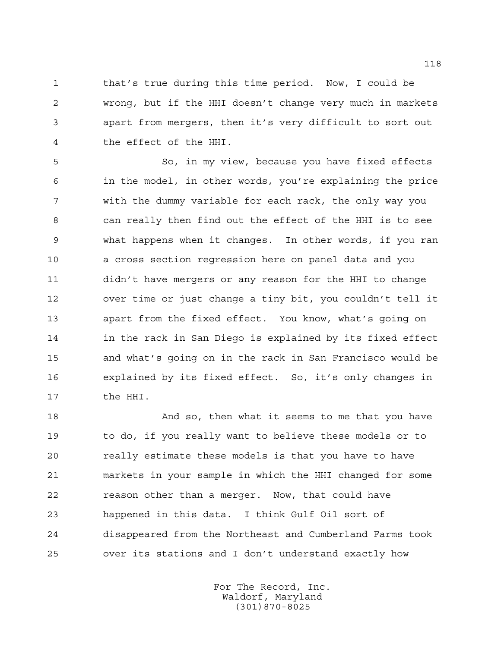that's true during this time period. Now, I could be wrong, but if the HHI doesn't change very much in markets apart from mergers, then it's very difficult to sort out the effect of the HHI.

 So, in my view, because you have fixed effects in the model, in other words, you're explaining the price with the dummy variable for each rack, the only way you can really then find out the effect of the HHI is to see what happens when it changes. In other words, if you ran a cross section regression here on panel data and you didn't have mergers or any reason for the HHI to change over time or just change a tiny bit, you couldn't tell it apart from the fixed effect. You know, what's going on in the rack in San Diego is explained by its fixed effect and what's going on in the rack in San Francisco would be explained by its fixed effect. So, it's only changes in the HHI.

18 And so, then what it seems to me that you have to do, if you really want to believe these models or to really estimate these models is that you have to have markets in your sample in which the HHI changed for some reason other than a merger. Now, that could have happened in this data. I think Gulf Oil sort of disappeared from the Northeast and Cumberland Farms took over its stations and I don't understand exactly how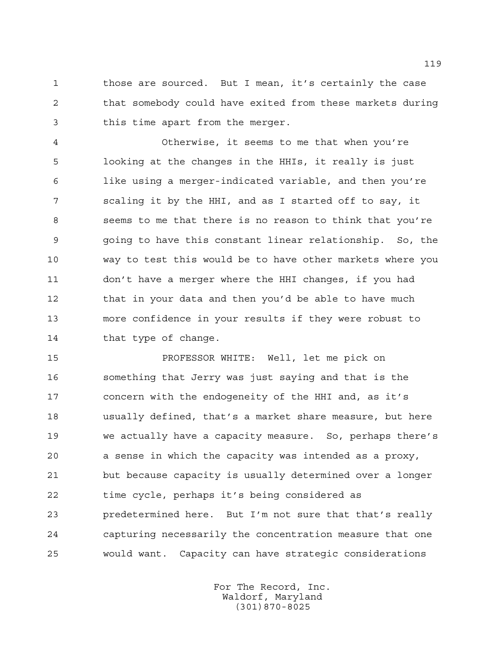those are sourced. But I mean, it's certainly the case that somebody could have exited from these markets during this time apart from the merger.

 Otherwise, it seems to me that when you're looking at the changes in the HHIs, it really is just like using a merger-indicated variable, and then you're scaling it by the HHI, and as I started off to say, it seems to me that there is no reason to think that you're going to have this constant linear relationship. So, the way to test this would be to have other markets where you don't have a merger where the HHI changes, if you had 12 that in your data and then you'd be able to have much more confidence in your results if they were robust to 14 that type of change.

 PROFESSOR WHITE: Well, let me pick on something that Jerry was just saying and that is the concern with the endogeneity of the HHI and, as it's usually defined, that's a market share measure, but here we actually have a capacity measure. So, perhaps there's a sense in which the capacity was intended as a proxy, but because capacity is usually determined over a longer time cycle, perhaps it's being considered as predetermined here. But I'm not sure that that's really capturing necessarily the concentration measure that one would want. Capacity can have strategic considerations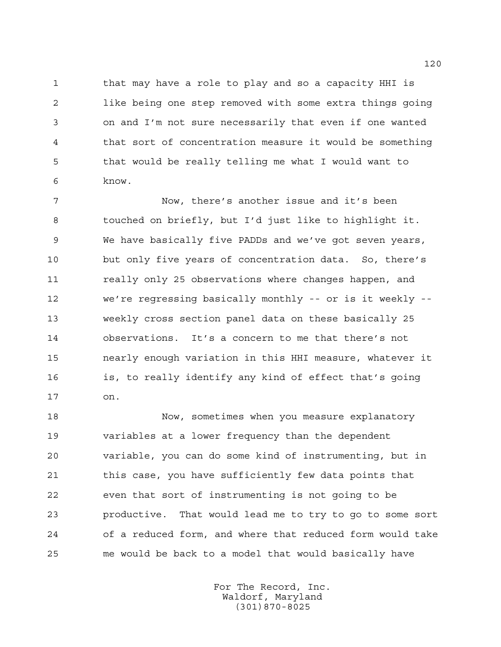that may have a role to play and so a capacity HHI is like being one step removed with some extra things going on and I'm not sure necessarily that even if one wanted that sort of concentration measure it would be something that would be really telling me what I would want to know.

 Now, there's another issue and it's been touched on briefly, but I'd just like to highlight it. We have basically five PADDs and we've got seven years, but only five years of concentration data. So, there's 11 really only 25 observations where changes happen, and we're regressing basically monthly -- or is it weekly -- weekly cross section panel data on these basically 25 observations. It's a concern to me that there's not nearly enough variation in this HHI measure, whatever it is, to really identify any kind of effect that's going on.

 Now, sometimes when you measure explanatory variables at a lower frequency than the dependent variable, you can do some kind of instrumenting, but in this case, you have sufficiently few data points that even that sort of instrumenting is not going to be productive. That would lead me to try to go to some sort of a reduced form, and where that reduced form would take me would be back to a model that would basically have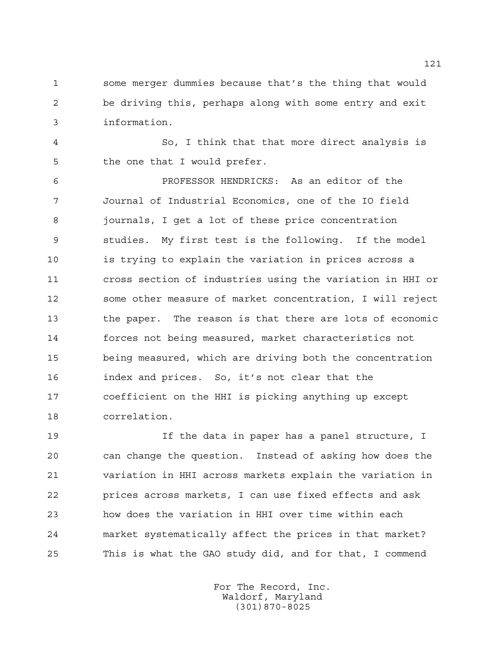some merger dummies because that's the thing that would be driving this, perhaps along with some entry and exit information.

 So, I think that that more direct analysis is the one that I would prefer.

 PROFESSOR HENDRICKS: As an editor of the Journal of Industrial Economics, one of the IO field journals, I get a lot of these price concentration studies. My first test is the following. If the model is trying to explain the variation in prices across a cross section of industries using the variation in HHI or some other measure of market concentration, I will reject the paper. The reason is that there are lots of economic forces not being measured, market characteristics not being measured, which are driving both the concentration index and prices. So, it's not clear that the coefficient on the HHI is picking anything up except correlation.

 If the data in paper has a panel structure, I can change the question. Instead of asking how does the variation in HHI across markets explain the variation in prices across markets, I can use fixed effects and ask how does the variation in HHI over time within each market systematically affect the prices in that market? This is what the GAO study did, and for that, I commend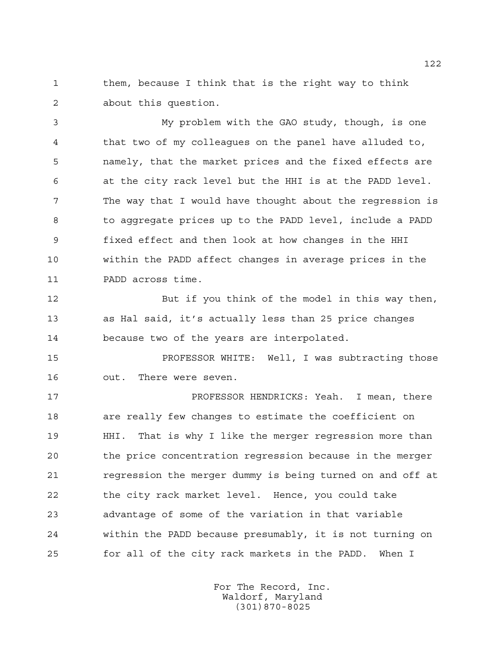them, because I think that is the right way to think about this question.

 My problem with the GAO study, though, is one that two of my colleagues on the panel have alluded to, namely, that the market prices and the fixed effects are at the city rack level but the HHI is at the PADD level. The way that I would have thought about the regression is to aggregate prices up to the PADD level, include a PADD fixed effect and then look at how changes in the HHI within the PADD affect changes in average prices in the PADD across time.

 But if you think of the model in this way then, as Hal said, it's actually less than 25 price changes because two of the years are interpolated.

 PROFESSOR WHITE: Well, I was subtracting those out. There were seven.

 PROFESSOR HENDRICKS: Yeah. I mean, there are really few changes to estimate the coefficient on HHI. That is why I like the merger regression more than the price concentration regression because in the merger **regression the merger dummy is being turned on and off at**  the city rack market level. Hence, you could take advantage of some of the variation in that variable within the PADD because presumably, it is not turning on for all of the city rack markets in the PADD. When I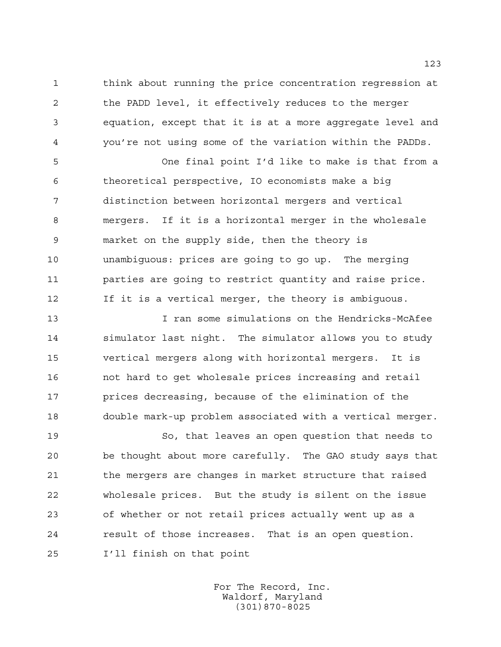think about running the price concentration regression at the PADD level, it effectively reduces to the merger equation, except that it is at a more aggregate level and you're not using some of the variation within the PADDs.

 One final point I'd like to make is that from a theoretical perspective, IO economists make a big distinction between horizontal mergers and vertical mergers. If it is a horizontal merger in the wholesale market on the supply side, then the theory is unambiguous: prices are going to go up. The merging parties are going to restrict quantity and raise price. If it is a vertical merger, the theory is ambiguous.

 I ran some simulations on the Hendricks-McAfee simulator last night. The simulator allows you to study vertical mergers along with horizontal mergers. It is not hard to get wholesale prices increasing and retail prices decreasing, because of the elimination of the double mark-up problem associated with a vertical merger.

 So, that leaves an open question that needs to be thought about more carefully. The GAO study says that 21 the mergers are changes in market structure that raised wholesale prices. But the study is silent on the issue of whether or not retail prices actually went up as a result of those increases. That is an open question. I'll finish on that point

> For The Record, Inc. Waldorf, Maryland (301)870-8025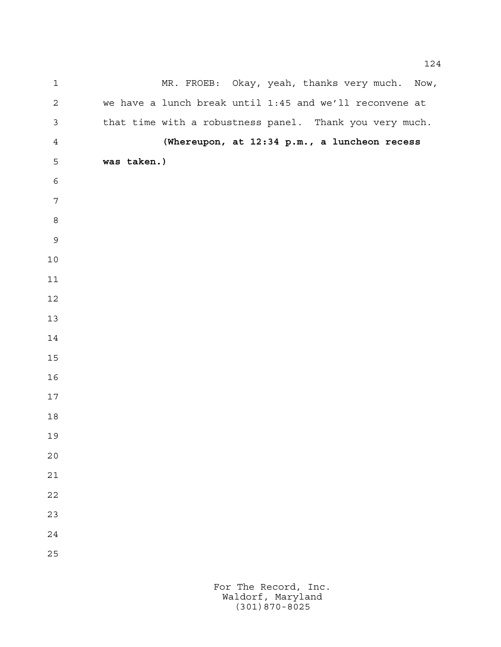| $\mathbf 1$      | MR. FROEB: Okay, yeah, thanks very much. Now,           |
|------------------|---------------------------------------------------------|
| $\mathbf 2$      | we have a lunch break until 1:45 and we'll reconvene at |
| $\mathfrak{Z}$   | that time with a robustness panel. Thank you very much. |
| $\overline{4}$   | (Whereupon, at 12:34 p.m., a luncheon recess            |
| 5                | was taken.)                                             |
| $\epsilon$       |                                                         |
| $\boldsymbol{7}$ |                                                         |
| $\,8\,$          |                                                         |
| $\mathsf 9$      |                                                         |
| $10$             |                                                         |
| $11$             |                                                         |
| 12               |                                                         |
| 13               |                                                         |
| 14               |                                                         |
| $15$             |                                                         |
| 16               |                                                         |
| $17$             |                                                         |
| 18               |                                                         |
| 19               |                                                         |
| 20               |                                                         |
| 21               |                                                         |
| 22               |                                                         |
| 23               |                                                         |
| 24               |                                                         |
| 25               |                                                         |
|                  |                                                         |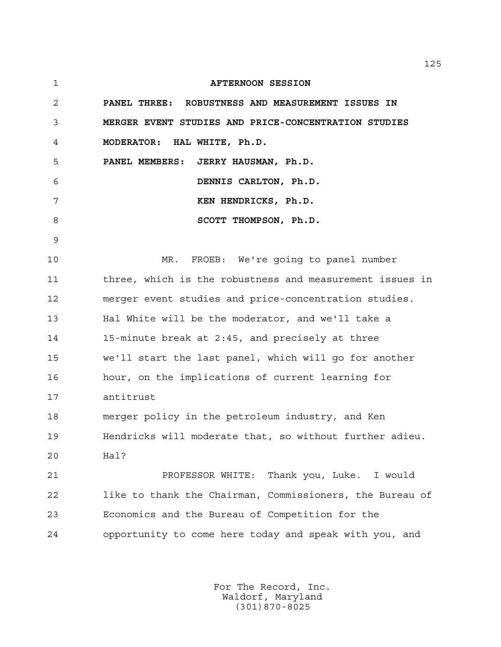| 1  | <b>AFTERNOON SESSION</b>                                 |
|----|----------------------------------------------------------|
| 2  | PANEL THREE: ROBUSTNESS AND MEASUREMENT ISSUES IN        |
| 3  | MERGER EVENT STUDIES AND PRICE-CONCENTRATION STUDIES     |
| 4  | MODERATOR: HAL WHITE, Ph.D.                              |
| 5  | PANEL MEMBERS: JERRY HAUSMAN, Ph.D.                      |
| 6  | DENNIS CARLTON, Ph.D.                                    |
| 7  | KEN HENDRICKS, Ph.D.                                     |
| 8  | SCOTT THOMPSON, Ph.D.                                    |
| 9  |                                                          |
| 10 | FROEB: We're going to panel number<br>MR.                |
| 11 | three, which is the robustness and measurement issues in |
| 12 | merger event studies and price-concentration studies.    |
| 13 | Hal White will be the moderator, and we'll take a        |
| 14 | 15-minute break at 2:45, and precisely at three          |
| 15 | we'll start the last panel, which will go for another    |
| 16 | hour, on the implications of current learning for        |
| 17 | antitrust                                                |
| 18 | merger policy in the petroleum industry, and Ken         |
| 19 | Hendricks will moderate that, so without further adieu.  |
| 20 | Hal?                                                     |
| 21 | Thank you, Luke. I would<br>PROFESSOR WHITE:             |
| 22 | like to thank the Chairman, Commissioners, the Bureau of |
| 23 | Economics and the Bureau of Competition for the          |
| 24 | opportunity to come here today and speak with you, and   |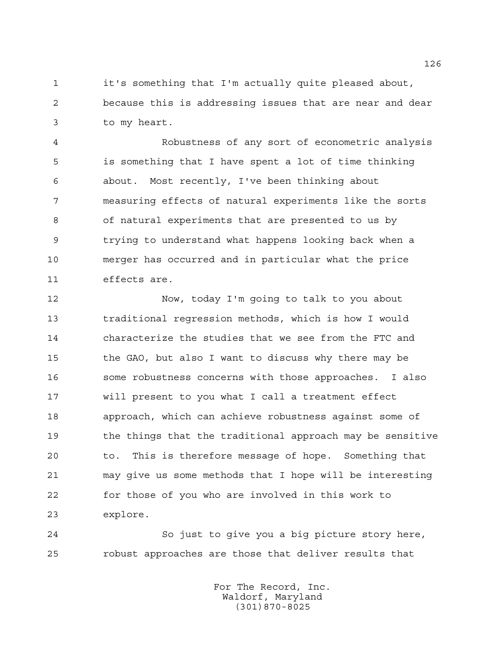it's something that I'm actually quite pleased about, because this is addressing issues that are near and dear to my heart.

 Robustness of any sort of econometric analysis is something that I have spent a lot of time thinking about. Most recently, I've been thinking about measuring effects of natural experiments like the sorts of natural experiments that are presented to us by trying to understand what happens looking back when a merger has occurred and in particular what the price effects are.

 Now, today I'm going to talk to you about traditional regression methods, which is how I would characterize the studies that we see from the FTC and the GAO, but also I want to discuss why there may be some robustness concerns with those approaches. I also will present to you what I call a treatment effect approach, which can achieve robustness against some of the things that the traditional approach may be sensitive to. This is therefore message of hope. Something that may give us some methods that I hope will be interesting for those of you who are involved in this work to explore.

 So just to give you a big picture story here, robust approaches are those that deliver results that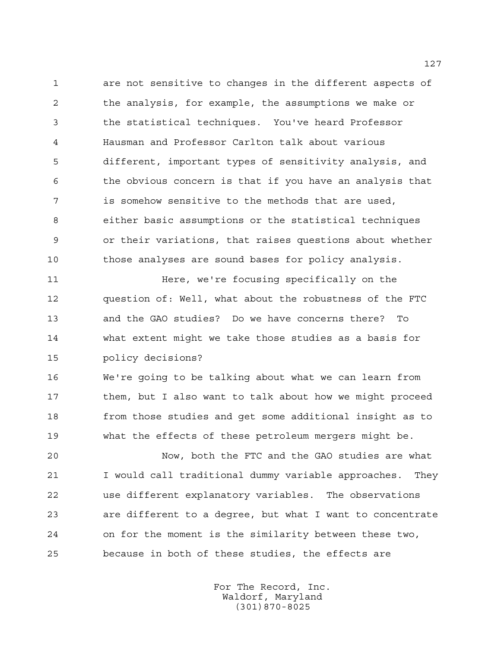are not sensitive to changes in the different aspects of the analysis, for example, the assumptions we make or the statistical techniques. You've heard Professor Hausman and Professor Carlton talk about various different, important types of sensitivity analysis, and the obvious concern is that if you have an analysis that is somehow sensitive to the methods that are used, either basic assumptions or the statistical techniques or their variations, that raises questions about whether those analyses are sound bases for policy analysis.

 Here, we're focusing specifically on the question of: Well, what about the robustness of the FTC and the GAO studies? Do we have concerns there? To what extent might we take those studies as a basis for policy decisions?

 We're going to be talking about what we can learn from 17 them, but I also want to talk about how we might proceed from those studies and get some additional insight as to what the effects of these petroleum mergers might be.

 Now, both the FTC and the GAO studies are what I would call traditional dummy variable approaches. They use different explanatory variables. The observations are different to a degree, but what I want to concentrate on for the moment is the similarity between these two, because in both of these studies, the effects are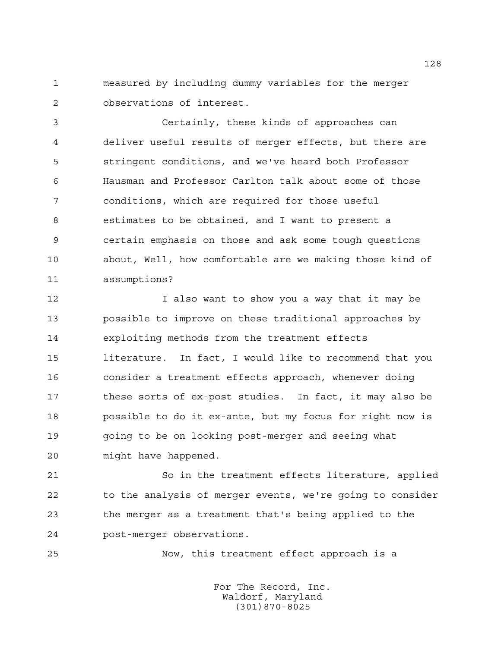measured by including dummy variables for the merger observations of interest.

 Certainly, these kinds of approaches can deliver useful results of merger effects, but there are stringent conditions, and we've heard both Professor Hausman and Professor Carlton talk about some of those conditions, which are required for those useful estimates to be obtained, and I want to present a certain emphasis on those and ask some tough questions about, Well, how comfortable are we making those kind of assumptions?

12 I also want to show you a way that it may be possible to improve on these traditional approaches by exploiting methods from the treatment effects literature. In fact, I would like to recommend that you consider a treatment effects approach, whenever doing these sorts of ex-post studies. In fact, it may also be possible to do it ex-ante, but my focus for right now is going to be on looking post-merger and seeing what might have happened.

 So in the treatment effects literature, applied to the analysis of merger events, we're going to consider the merger as a treatment that's being applied to the post-merger observations.

Now, this treatment effect approach is a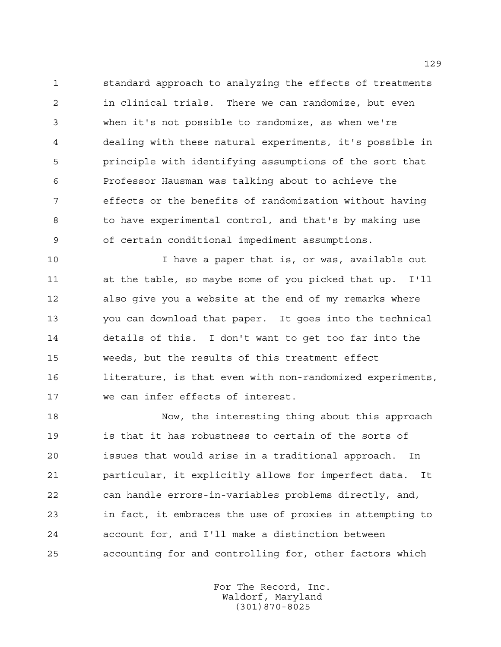standard approach to analyzing the effects of treatments in clinical trials. There we can randomize, but even when it's not possible to randomize, as when we're dealing with these natural experiments, it's possible in principle with identifying assumptions of the sort that Professor Hausman was talking about to achieve the effects or the benefits of randomization without having to have experimental control, and that's by making use of certain conditional impediment assumptions.

 I have a paper that is, or was, available out at the table, so maybe some of you picked that up. I'll also give you a website at the end of my remarks where you can download that paper. It goes into the technical details of this. I don't want to get too far into the weeds, but the results of this treatment effect literature, is that even with non-randomized experiments, we can infer effects of interest.

 Now, the interesting thing about this approach is that it has robustness to certain of the sorts of issues that would arise in a traditional approach. In particular, it explicitly allows for imperfect data. It can handle errors-in-variables problems directly, and, in fact, it embraces the use of proxies in attempting to account for, and I'll make a distinction between accounting for and controlling for, other factors which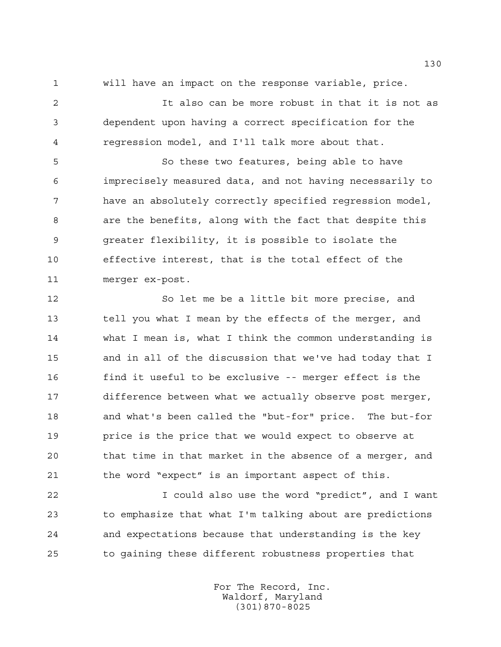will have an impact on the response variable, price.

 It also can be more robust in that it is not as dependent upon having a correct specification for the regression model, and I'll talk more about that.

 So these two features, being able to have imprecisely measured data, and not having necessarily to have an absolutely correctly specified regression model, are the benefits, along with the fact that despite this greater flexibility, it is possible to isolate the effective interest, that is the total effect of the merger ex-post.

 So let me be a little bit more precise, and tell you what I mean by the effects of the merger, and what I mean is, what I think the common understanding is and in all of the discussion that we've had today that I find it useful to be exclusive -- merger effect is the difference between what we actually observe post merger, and what's been called the "but-for" price. The but-for price is the price that we would expect to observe at that time in that market in the absence of a merger, and the word "expect" is an important aspect of this.

 I could also use the word "predict", and I want to emphasize that what I'm talking about are predictions and expectations because that understanding is the key to gaining these different robustness properties that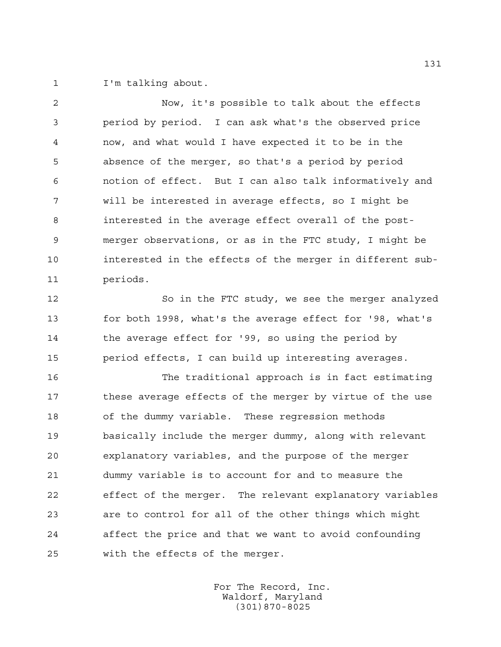I'm talking about.

 Now, it's possible to talk about the effects period by period. I can ask what's the observed price now, and what would I have expected it to be in the absence of the merger, so that's a period by period notion of effect. But I can also talk informatively and will be interested in average effects, so I might be interested in the average effect overall of the post- merger observations, or as in the FTC study, I might be interested in the effects of the merger in different sub-periods.

 So in the FTC study, we see the merger analyzed for both 1998, what's the average effect for '98, what's the average effect for '99, so using the period by period effects, I can build up interesting averages.

 The traditional approach is in fact estimating these average effects of the merger by virtue of the use of the dummy variable. These regression methods basically include the merger dummy, along with relevant explanatory variables, and the purpose of the merger dummy variable is to account for and to measure the effect of the merger. The relevant explanatory variables are to control for all of the other things which might affect the price and that we want to avoid confounding with the effects of the merger.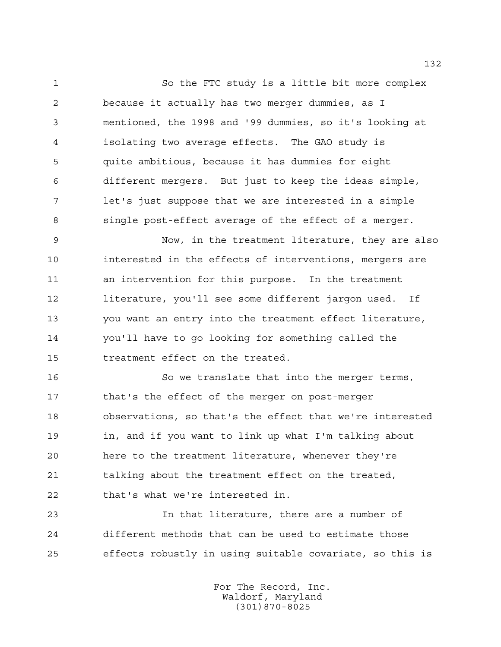So the FTC study is a little bit more complex because it actually has two merger dummies, as I mentioned, the 1998 and '99 dummies, so it's looking at isolating two average effects. The GAO study is quite ambitious, because it has dummies for eight different mergers. But just to keep the ideas simple, let's just suppose that we are interested in a simple single post-effect average of the effect of a merger.

 Now, in the treatment literature, they are also interested in the effects of interventions, mergers are an intervention for this purpose. In the treatment literature, you'll see some different jargon used. If you want an entry into the treatment effect literature, you'll have to go looking for something called the treatment effect on the treated.

 So we translate that into the merger terms, that's the effect of the merger on post-merger observations, so that's the effect that we're interested in, and if you want to link up what I'm talking about here to the treatment literature, whenever they're 21 talking about the treatment effect on the treated, that's what we're interested in.

 In that literature, there are a number of different methods that can be used to estimate those effects robustly in using suitable covariate, so this is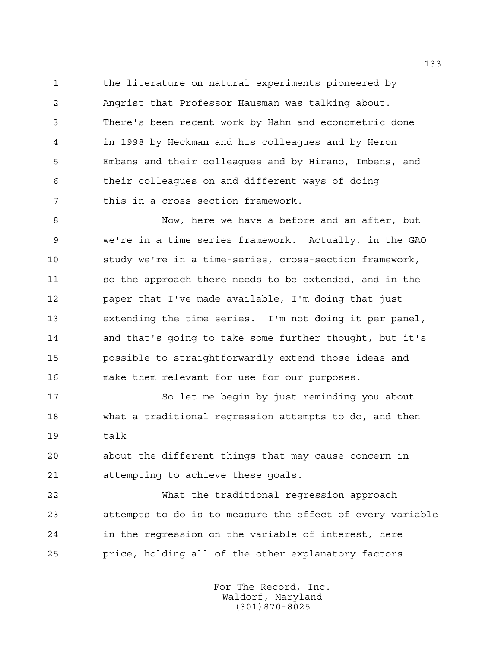the literature on natural experiments pioneered by Angrist that Professor Hausman was talking about. There's been recent work by Hahn and econometric done in 1998 by Heckman and his colleagues and by Heron Embans and their colleagues and by Hirano, Imbens, and their colleagues on and different ways of doing this in a cross-section framework.

 Now, here we have a before and an after, but we're in a time series framework. Actually, in the GAO study we're in a time-series, cross-section framework, 11 so the approach there needs to be extended, and in the paper that I've made available, I'm doing that just extending the time series. I'm not doing it per panel, and that's going to take some further thought, but it's possible to straightforwardly extend those ideas and make them relevant for use for our purposes.

 So let me begin by just reminding you about what a traditional regression attempts to do, and then talk

 about the different things that may cause concern in attempting to achieve these goals.

 What the traditional regression approach attempts to do is to measure the effect of every variable in the regression on the variable of interest, here price, holding all of the other explanatory factors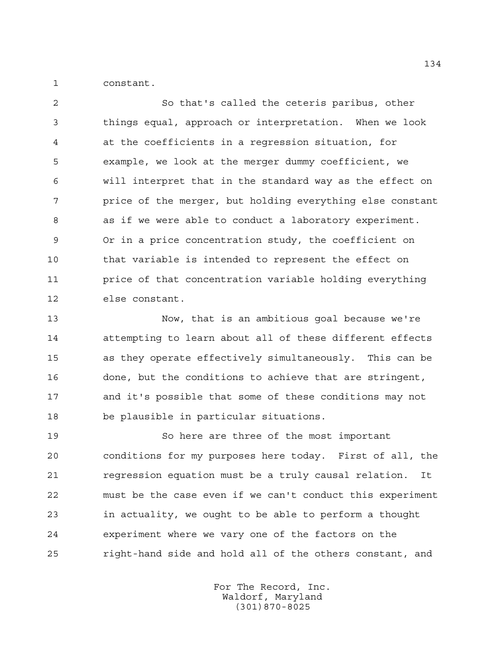constant.

 So that's called the ceteris paribus, other things equal, approach or interpretation. When we look at the coefficients in a regression situation, for example, we look at the merger dummy coefficient, we will interpret that in the standard way as the effect on price of the merger, but holding everything else constant as if we were able to conduct a laboratory experiment. Or in a price concentration study, the coefficient on that variable is intended to represent the effect on price of that concentration variable holding everything else constant.

 Now, that is an ambitious goal because we're attempting to learn about all of these different effects as they operate effectively simultaneously. This can be done, but the conditions to achieve that are stringent, and it's possible that some of these conditions may not be plausible in particular situations.

 So here are three of the most important conditions for my purposes here today. First of all, the regression equation must be a truly causal relation. It must be the case even if we can't conduct this experiment in actuality, we ought to be able to perform a thought experiment where we vary one of the factors on the right-hand side and hold all of the others constant, and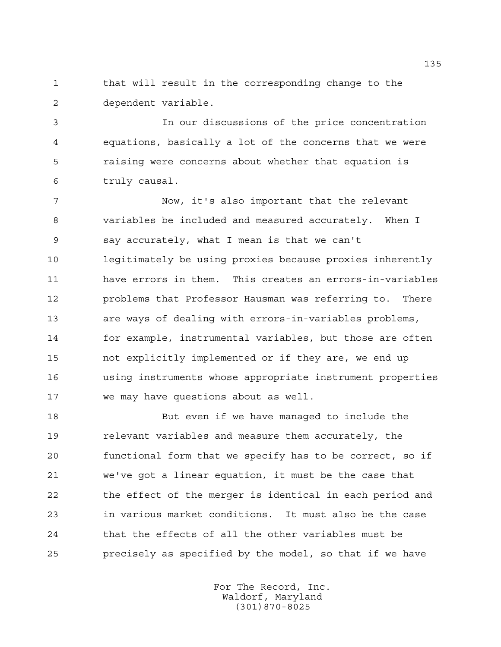that will result in the corresponding change to the dependent variable.

 In our discussions of the price concentration equations, basically a lot of the concerns that we were raising were concerns about whether that equation is truly causal.

 Now, it's also important that the relevant variables be included and measured accurately. When I say accurately, what I mean is that we can't legitimately be using proxies because proxies inherently have errors in them. This creates an errors-in-variables problems that Professor Hausman was referring to. There are ways of dealing with errors-in-variables problems, for example, instrumental variables, but those are often not explicitly implemented or if they are, we end up using instruments whose appropriate instrument properties we may have questions about as well.

 But even if we have managed to include the relevant variables and measure them accurately, the functional form that we specify has to be correct, so if we've got a linear equation, it must be the case that the effect of the merger is identical in each period and in various market conditions. It must also be the case that the effects of all the other variables must be precisely as specified by the model, so that if we have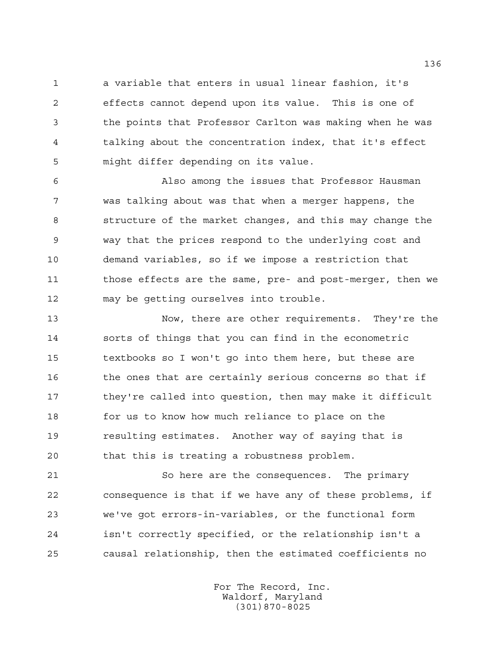a variable that enters in usual linear fashion, it's effects cannot depend upon its value. This is one of the points that Professor Carlton was making when he was talking about the concentration index, that it's effect might differ depending on its value.

 Also among the issues that Professor Hausman was talking about was that when a merger happens, the structure of the market changes, and this may change the way that the prices respond to the underlying cost and demand variables, so if we impose a restriction that those effects are the same, pre- and post-merger, then we may be getting ourselves into trouble.

 Now, there are other requirements. They're the sorts of things that you can find in the econometric textbooks so I won't go into them here, but these are 16 the ones that are certainly serious concerns so that if they're called into question, then may make it difficult for us to know how much reliance to place on the resulting estimates. Another way of saying that is that this is treating a robustness problem.

 So here are the consequences. The primary consequence is that if we have any of these problems, if we've got errors-in-variables, or the functional form isn't correctly specified, or the relationship isn't a causal relationship, then the estimated coefficients no

> For The Record, Inc. Waldorf, Maryland (301)870-8025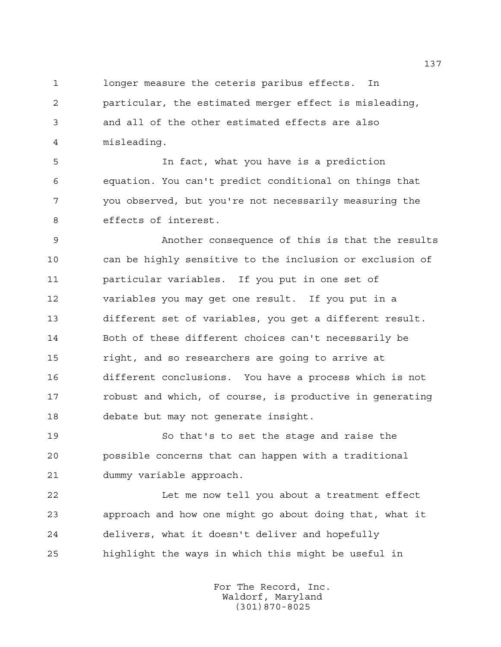longer measure the ceteris paribus effects. In particular, the estimated merger effect is misleading, and all of the other estimated effects are also misleading.

 In fact, what you have is a prediction equation. You can't predict conditional on things that you observed, but you're not necessarily measuring the effects of interest.

 Another consequence of this is that the results can be highly sensitive to the inclusion or exclusion of particular variables. If you put in one set of variables you may get one result. If you put in a different set of variables, you get a different result. Both of these different choices can't necessarily be right, and so researchers are going to arrive at different conclusions. You have a process which is not robust and which, of course, is productive in generating debate but may not generate insight.

 So that's to set the stage and raise the possible concerns that can happen with a traditional dummy variable approach.

 Let me now tell you about a treatment effect approach and how one might go about doing that, what it delivers, what it doesn't deliver and hopefully highlight the ways in which this might be useful in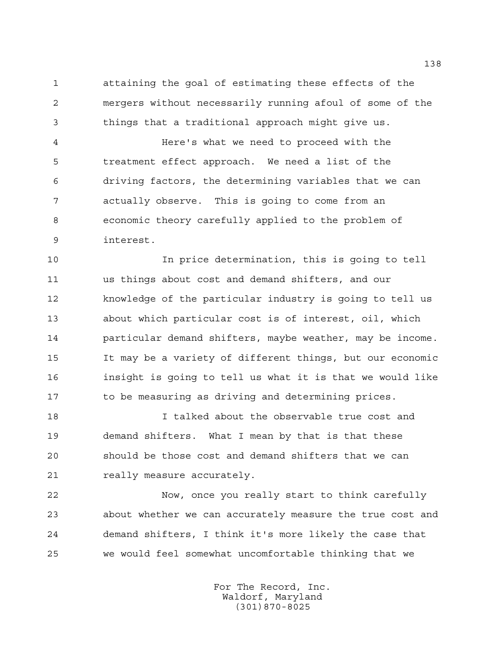attaining the goal of estimating these effects of the mergers without necessarily running afoul of some of the things that a traditional approach might give us.

 Here's what we need to proceed with the treatment effect approach. We need a list of the driving factors, the determining variables that we can actually observe. This is going to come from an economic theory carefully applied to the problem of interest.

 In price determination, this is going to tell us things about cost and demand shifters, and our knowledge of the particular industry is going to tell us about which particular cost is of interest, oil, which particular demand shifters, maybe weather, may be income. It may be a variety of different things, but our economic insight is going to tell us what it is that we would like 17 to be measuring as driving and determining prices.

 I talked about the observable true cost and demand shifters. What I mean by that is that these should be those cost and demand shifters that we can really measure accurately.

 Now, once you really start to think carefully about whether we can accurately measure the true cost and demand shifters, I think it's more likely the case that we would feel somewhat uncomfortable thinking that we

> For The Record, Inc. Waldorf, Maryland (301)870-8025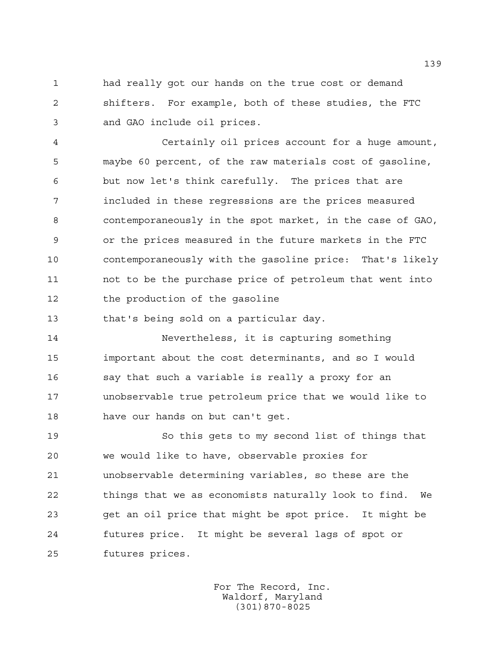had really got our hands on the true cost or demand shifters. For example, both of these studies, the FTC and GAO include oil prices.

 Certainly oil prices account for a huge amount, maybe 60 percent, of the raw materials cost of gasoline, but now let's think carefully. The prices that are included in these regressions are the prices measured contemporaneously in the spot market, in the case of GAO, or the prices measured in the future markets in the FTC contemporaneously with the gasoline price: That's likely not to be the purchase price of petroleum that went into the production of the gasoline

that's being sold on a particular day.

 Nevertheless, it is capturing something important about the cost determinants, and so I would say that such a variable is really a proxy for an unobservable true petroleum price that we would like to have our hands on but can't get.

 So this gets to my second list of things that we would like to have, observable proxies for unobservable determining variables, so these are the things that we as economists naturally look to find. We get an oil price that might be spot price. It might be futures price. It might be several lags of spot or futures prices.

> For The Record, Inc. Waldorf, Maryland (301)870-8025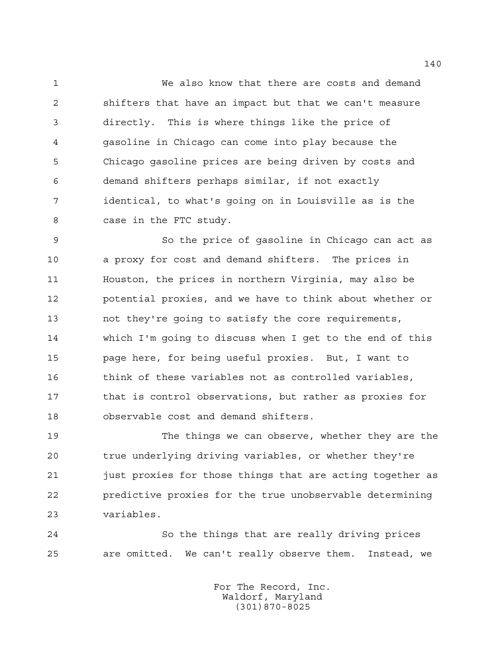We also know that there are costs and demand shifters that have an impact but that we can't measure directly. This is where things like the price of gasoline in Chicago can come into play because the Chicago gasoline prices are being driven by costs and demand shifters perhaps similar, if not exactly identical, to what's going on in Louisville as is the case in the FTC study.

 So the price of gasoline in Chicago can act as a proxy for cost and demand shifters. The prices in Houston, the prices in northern Virginia, may also be potential proxies, and we have to think about whether or not they're going to satisfy the core requirements, which I'm going to discuss when I get to the end of this page here, for being useful proxies. But, I want to think of these variables not as controlled variables, that is control observations, but rather as proxies for observable cost and demand shifters.

 The things we can observe, whether they are the true underlying driving variables, or whether they're just proxies for those things that are acting together as predictive proxies for the true unobservable determining variables.

 So the things that are really driving prices are omitted. We can't really observe them. Instead, we

> For The Record, Inc. Waldorf, Maryland (301)870-8025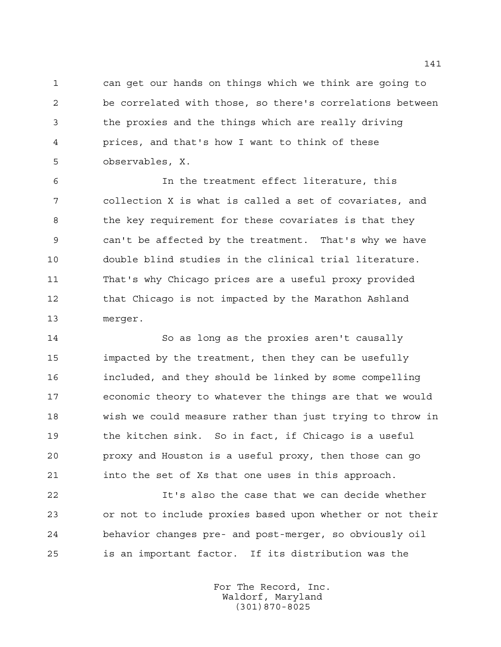can get our hands on things which we think are going to be correlated with those, so there's correlations between the proxies and the things which are really driving prices, and that's how I want to think of these observables, X.

 In the treatment effect literature, this collection X is what is called a set of covariates, and the key requirement for these covariates is that they can't be affected by the treatment. That's why we have double blind studies in the clinical trial literature. That's why Chicago prices are a useful proxy provided 12 that Chicago is not impacted by the Marathon Ashland merger.

 So as long as the proxies aren't causally impacted by the treatment, then they can be usefully included, and they should be linked by some compelling economic theory to whatever the things are that we would wish we could measure rather than just trying to throw in the kitchen sink. So in fact, if Chicago is a useful proxy and Houston is a useful proxy, then those can go into the set of Xs that one uses in this approach.

 It's also the case that we can decide whether or not to include proxies based upon whether or not their behavior changes pre- and post-merger, so obviously oil is an important factor. If its distribution was the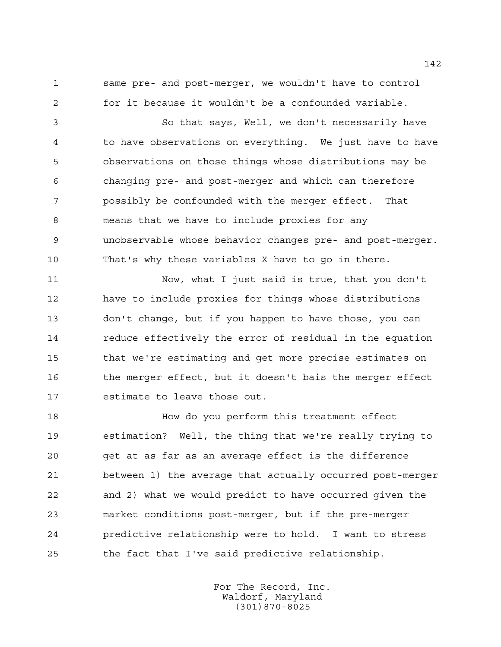same pre- and post-merger, we wouldn't have to control for it because it wouldn't be a confounded variable.

 So that says, Well, we don't necessarily have to have observations on everything. We just have to have observations on those things whose distributions may be changing pre- and post-merger and which can therefore possibly be confounded with the merger effect. That means that we have to include proxies for any unobservable whose behavior changes pre- and post-merger. That's why these variables X have to go in there.

 Now, what I just said is true, that you don't have to include proxies for things whose distributions don't change, but if you happen to have those, you can reduce effectively the error of residual in the equation that we're estimating and get more precise estimates on the merger effect, but it doesn't bais the merger effect estimate to leave those out.

 How do you perform this treatment effect estimation? Well, the thing that we're really trying to get at as far as an average effect is the difference between 1) the average that actually occurred post-merger and 2) what we would predict to have occurred given the market conditions post-merger, but if the pre-merger predictive relationship were to hold. I want to stress the fact that I've said predictive relationship.

> For The Record, Inc. Waldorf, Maryland (301)870-8025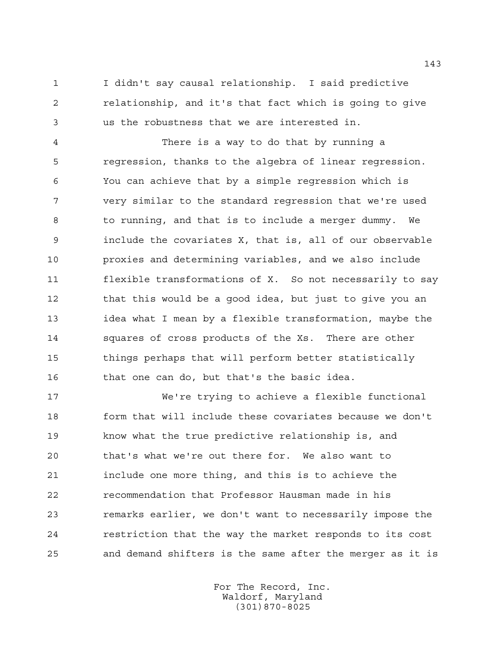I didn't say causal relationship. I said predictive relationship, and it's that fact which is going to give us the robustness that we are interested in.

 There is a way to do that by running a regression, thanks to the algebra of linear regression. You can achieve that by a simple regression which is very similar to the standard regression that we're used to running, and that is to include a merger dummy. We include the covariates X, that is, all of our observable proxies and determining variables, and we also include flexible transformations of X. So not necessarily to say 12 that this would be a good idea, but just to give you an idea what I mean by a flexible transformation, maybe the squares of cross products of the Xs. There are other things perhaps that will perform better statistically that one can do, but that's the basic idea.

 We're trying to achieve a flexible functional form that will include these covariates because we don't know what the true predictive relationship is, and that's what we're out there for. We also want to include one more thing, and this is to achieve the recommendation that Professor Hausman made in his remarks earlier, we don't want to necessarily impose the restriction that the way the market responds to its cost and demand shifters is the same after the merger as it is

> For The Record, Inc. Waldorf, Maryland (301)870-8025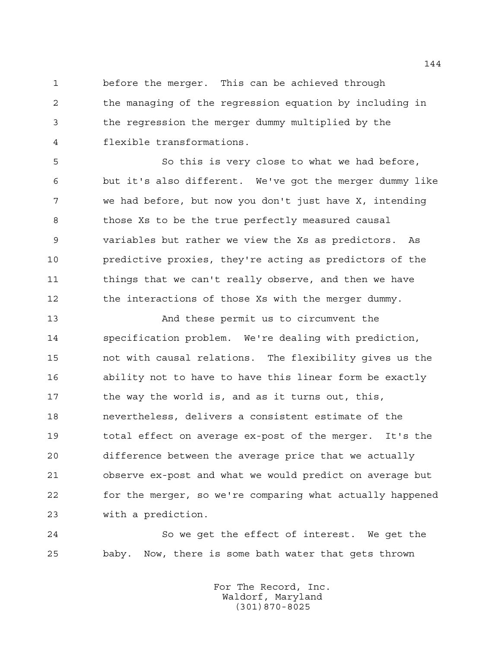before the merger. This can be achieved through the managing of the regression equation by including in the regression the merger dummy multiplied by the flexible transformations.

 So this is very close to what we had before, but it's also different. We've got the merger dummy like we had before, but now you don't just have X, intending those Xs to be the true perfectly measured causal variables but rather we view the Xs as predictors. As predictive proxies, they're acting as predictors of the 11 things that we can't really observe, and then we have 12 the interactions of those Xs with the merger dummy.

 And these permit us to circumvent the specification problem. We're dealing with prediction, not with causal relations. The flexibility gives us the ability not to have to have this linear form be exactly 17 the way the world is, and as it turns out, this, nevertheless, delivers a consistent estimate of the total effect on average ex-post of the merger. It's the difference between the average price that we actually observe ex-post and what we would predict on average but for the merger, so we're comparing what actually happened with a prediction.

 So we get the effect of interest. We get the baby. Now, there is some bath water that gets thrown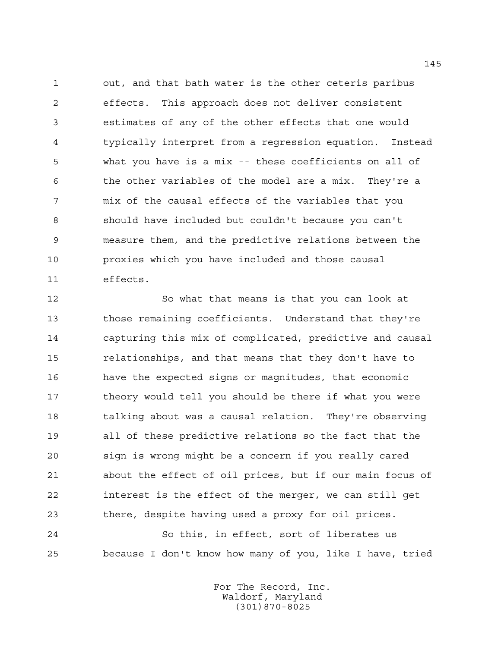out, and that bath water is the other ceteris paribus effects. This approach does not deliver consistent estimates of any of the other effects that one would typically interpret from a regression equation. Instead what you have is a mix -- these coefficients on all of the other variables of the model are a mix. They're a mix of the causal effects of the variables that you should have included but couldn't because you can't measure them, and the predictive relations between the proxies which you have included and those causal effects.

 So what that means is that you can look at those remaining coefficients. Understand that they're capturing this mix of complicated, predictive and causal relationships, and that means that they don't have to have the expected signs or magnitudes, that economic 17 theory would tell you should be there if what you were 18 talking about was a causal relation. They're observing all of these predictive relations so the fact that the sign is wrong might be a concern if you really cared about the effect of oil prices, but if our main focus of interest is the effect of the merger, we can still get there, despite having used a proxy for oil prices.

 So this, in effect, sort of liberates us because I don't know how many of you, like I have, tried

> For The Record, Inc. Waldorf, Maryland (301)870-8025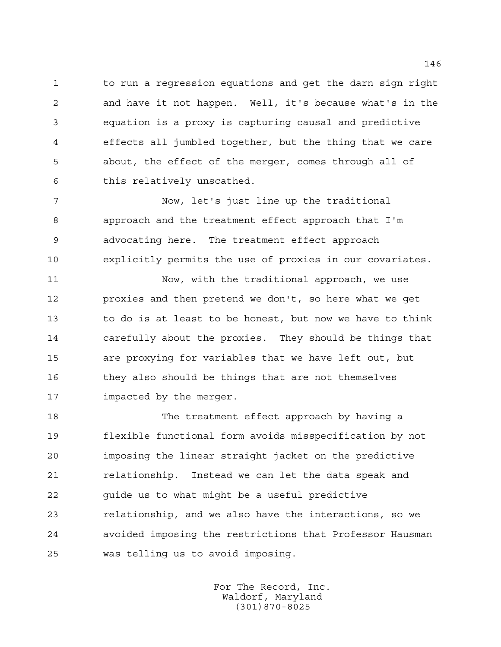to run a regression equations and get the darn sign right and have it not happen. Well, it's because what's in the equation is a proxy is capturing causal and predictive effects all jumbled together, but the thing that we care about, the effect of the merger, comes through all of this relatively unscathed.

 Now, let's just line up the traditional approach and the treatment effect approach that I'm advocating here. The treatment effect approach explicitly permits the use of proxies in our covariates.

 Now, with the traditional approach, we use proxies and then pretend we don't, so here what we get to do is at least to be honest, but now we have to think carefully about the proxies. They should be things that are proxying for variables that we have left out, but they also should be things that are not themselves impacted by the merger.

18 The treatment effect approach by having a flexible functional form avoids misspecification by not imposing the linear straight jacket on the predictive relationship. Instead we can let the data speak and guide us to what might be a useful predictive relationship, and we also have the interactions, so we avoided imposing the restrictions that Professor Hausman was telling us to avoid imposing.

> For The Record, Inc. Waldorf, Maryland (301)870-8025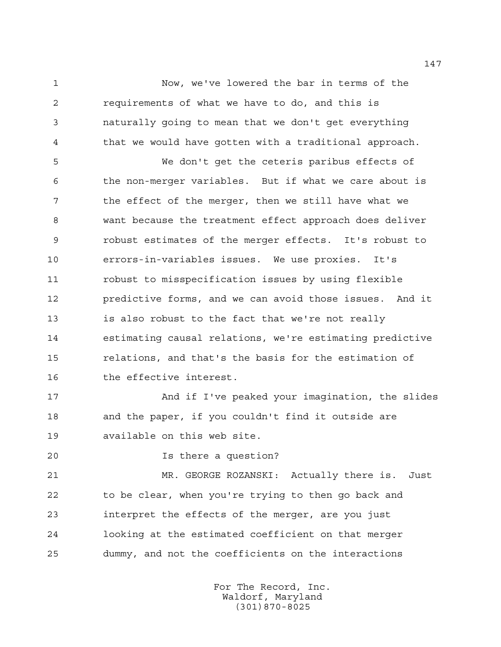Now, we've lowered the bar in terms of the requirements of what we have to do, and this is naturally going to mean that we don't get everything that we would have gotten with a traditional approach.

 We don't get the ceteris paribus effects of the non-merger variables. But if what we care about is the effect of the merger, then we still have what we want because the treatment effect approach does deliver robust estimates of the merger effects. It's robust to errors-in-variables issues. We use proxies. It's robust to misspecification issues by using flexible predictive forms, and we can avoid those issues. And it is also robust to the fact that we're not really estimating causal relations, we're estimating predictive relations, and that's the basis for the estimation of 16 the effective interest.

 And if I've peaked your imagination, the slides and the paper, if you couldn't find it outside are available on this web site.

Is there a question?

 MR. GEORGE ROZANSKI: Actually there is. Just to be clear, when you're trying to then go back and interpret the effects of the merger, are you just looking at the estimated coefficient on that merger dummy, and not the coefficients on the interactions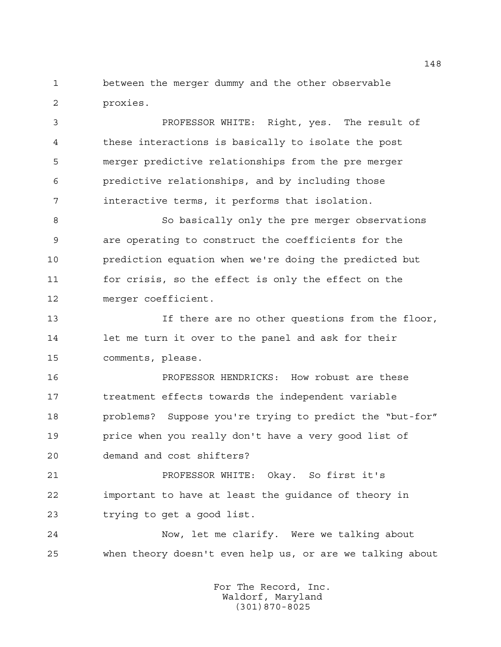between the merger dummy and the other observable proxies.

 PROFESSOR WHITE: Right, yes. The result of these interactions is basically to isolate the post merger predictive relationships from the pre merger predictive relationships, and by including those interactive terms, it performs that isolation.

 So basically only the pre merger observations are operating to construct the coefficients for the prediction equation when we're doing the predicted but for crisis, so the effect is only the effect on the merger coefficient.

 If there are no other questions from the floor, let me turn it over to the panel and ask for their comments, please.

 PROFESSOR HENDRICKS: How robust are these treatment effects towards the independent variable problems? Suppose you're trying to predict the "but-for" price when you really don't have a very good list of demand and cost shifters?

 PROFESSOR WHITE: Okay. So first it's important to have at least the guidance of theory in trying to get a good list.

 Now, let me clarify. Were we talking about when theory doesn't even help us, or are we talking about

> For The Record, Inc. Waldorf, Maryland (301)870-8025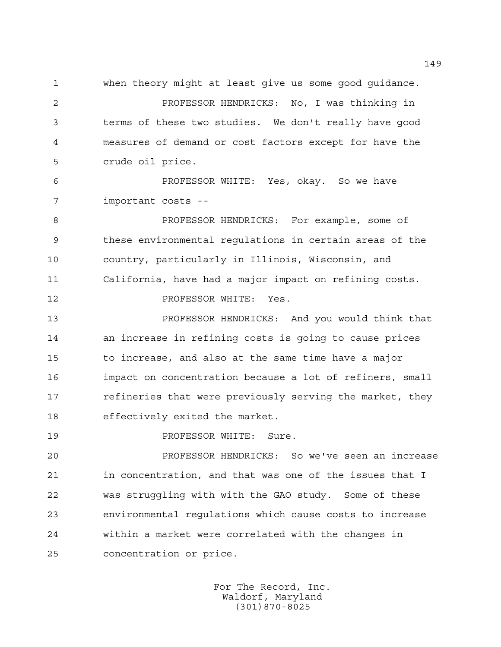when theory might at least give us some good guidance.

 PROFESSOR HENDRICKS: No, I was thinking in terms of these two studies. We don't really have good measures of demand or cost factors except for have the crude oil price.

 PROFESSOR WHITE: Yes, okay. So we have important costs --

 PROFESSOR HENDRICKS: For example, some of these environmental regulations in certain areas of the country, particularly in Illinois, Wisconsin, and California, have had a major impact on refining costs.

**PROFESSOR WHITE:** Yes.

 PROFESSOR HENDRICKS: And you would think that an increase in refining costs is going to cause prices to increase, and also at the same time have a major impact on concentration because a lot of refiners, small **refineries that were previously serving the market, they** effectively exited the market.

**PROFESSOR WHITE:** Sure.

 PROFESSOR HENDRICKS: So we've seen an increase in concentration, and that was one of the issues that I was struggling with with the GAO study. Some of these environmental regulations which cause costs to increase within a market were correlated with the changes in concentration or price.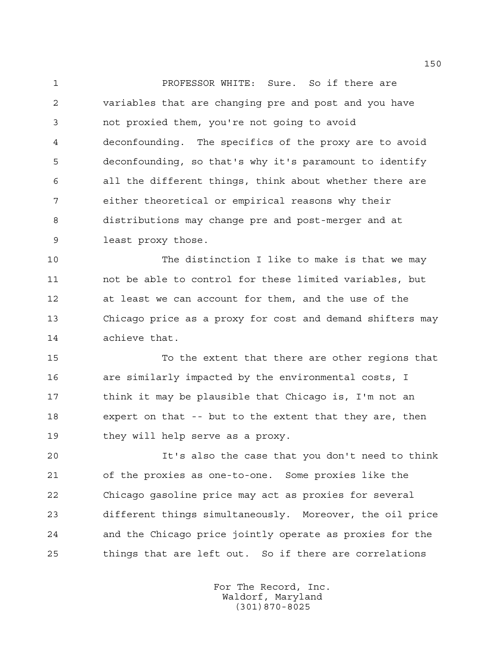PROFESSOR WHITE: Sure. So if there are variables that are changing pre and post and you have not proxied them, you're not going to avoid deconfounding. The specifics of the proxy are to avoid deconfounding, so that's why it's paramount to identify all the different things, think about whether there are either theoretical or empirical reasons why their distributions may change pre and post-merger and at least proxy those.

 The distinction I like to make is that we may not be able to control for these limited variables, but at least we can account for them, and the use of the Chicago price as a proxy for cost and demand shifters may achieve that.

 To the extent that there are other regions that are similarly impacted by the environmental costs, I 17 think it may be plausible that Chicago is, I'm not an expert on that -- but to the extent that they are, then they will help serve as a proxy.

 It's also the case that you don't need to think of the proxies as one-to-one. Some proxies like the Chicago gasoline price may act as proxies for several different things simultaneously. Moreover, the oil price and the Chicago price jointly operate as proxies for the things that are left out. So if there are correlations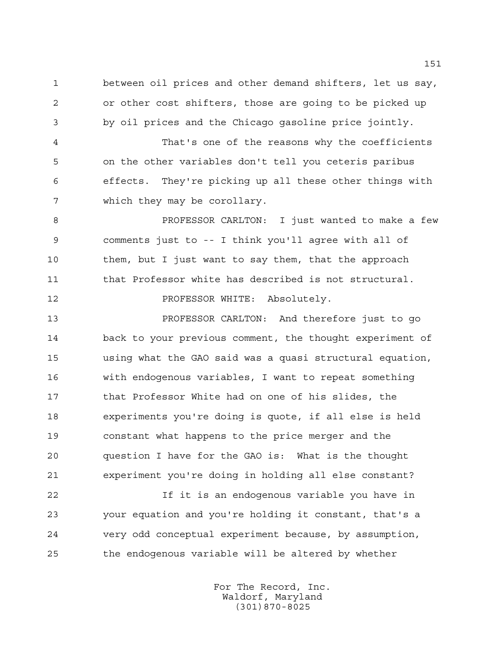between oil prices and other demand shifters, let us say, or other cost shifters, those are going to be picked up by oil prices and the Chicago gasoline price jointly.

 That's one of the reasons why the coefficients on the other variables don't tell you ceteris paribus effects. They're picking up all these other things with which they may be corollary.

**PROFESSOR CARLTON:** I just wanted to make a few comments just to -- I think you'll agree with all of 10 them, but I just want to say them, that the approach 11 that Professor white has described is not structural.

12 PROFESSOR WHITE: Absolutely.

 PROFESSOR CARLTON: And therefore just to go back to your previous comment, the thought experiment of using what the GAO said was a quasi structural equation, with endogenous variables, I want to repeat something that Professor White had on one of his slides, the experiments you're doing is quote, if all else is held constant what happens to the price merger and the question I have for the GAO is: What is the thought experiment you're doing in holding all else constant?

 If it is an endogenous variable you have in your equation and you're holding it constant, that's a very odd conceptual experiment because, by assumption, the endogenous variable will be altered by whether

> For The Record, Inc. Waldorf, Maryland (301)870-8025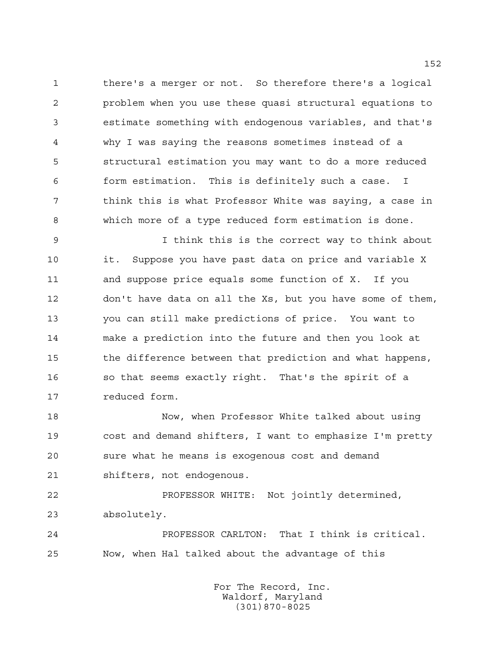there's a merger or not. So therefore there's a logical problem when you use these quasi structural equations to estimate something with endogenous variables, and that's why I was saying the reasons sometimes instead of a structural estimation you may want to do a more reduced form estimation. This is definitely such a case. I think this is what Professor White was saying, a case in which more of a type reduced form estimation is done.

 I think this is the correct way to think about it. Suppose you have past data on price and variable X and suppose price equals some function of X. If you don't have data on all the Xs, but you have some of them, you can still make predictions of price. You want to make a prediction into the future and then you look at the difference between that prediction and what happens, so that seems exactly right. That's the spirit of a reduced form.

 Now, when Professor White talked about using cost and demand shifters, I want to emphasize I'm pretty sure what he means is exogenous cost and demand shifters, not endogenous.

 PROFESSOR WHITE: Not jointly determined, absolutely.

 PROFESSOR CARLTON: That I think is critical. Now, when Hal talked about the advantage of this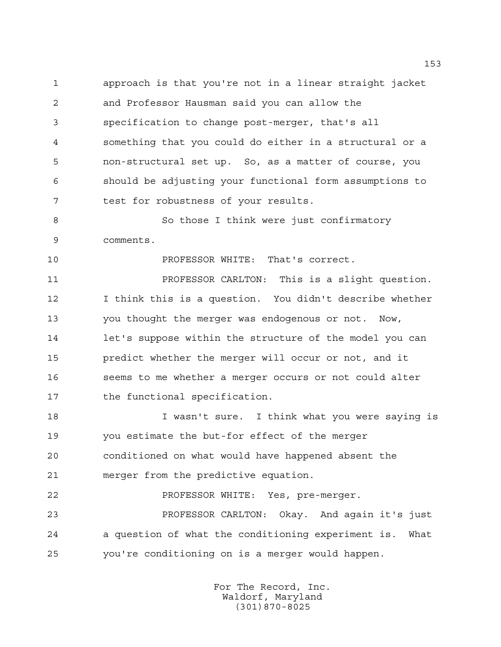approach is that you're not in a linear straight jacket and Professor Hausman said you can allow the specification to change post-merger, that's all something that you could do either in a structural or a non-structural set up. So, as a matter of course, you should be adjusting your functional form assumptions to test for robustness of your results.

 So those I think were just confirmatory comments.

**PROFESSOR WHITE:** That's correct.

 PROFESSOR CARLTON: This is a slight question. I think this is a question. You didn't describe whether you thought the merger was endogenous or not. Now, let's suppose within the structure of the model you can predict whether the merger will occur or not, and it seems to me whether a merger occurs or not could alter the functional specification.

 I wasn't sure. I think what you were saying is you estimate the but-for effect of the merger conditioned on what would have happened absent the merger from the predictive equation.

PROFESSOR WHITE: Yes, pre-merger.

 PROFESSOR CARLTON: Okay. And again it's just a question of what the conditioning experiment is. What you're conditioning on is a merger would happen.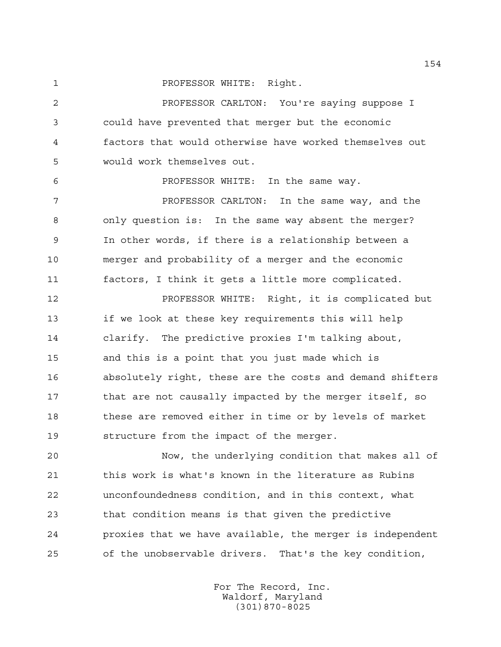**PROFESSOR WHITE: Right.** 

 PROFESSOR CARLTON: You're saying suppose I could have prevented that merger but the economic factors that would otherwise have worked themselves out would work themselves out.

PROFESSOR WHITE: In the same way.

 PROFESSOR CARLTON: In the same way, and the only question is: In the same way absent the merger? In other words, if there is a relationship between a merger and probability of a merger and the economic factors, I think it gets a little more complicated.

 PROFESSOR WHITE: Right, it is complicated but if we look at these key requirements this will help clarify. The predictive proxies I'm talking about, and this is a point that you just made which is absolutely right, these are the costs and demand shifters 17 that are not causally impacted by the merger itself, so 18 these are removed either in time or by levels of market structure from the impact of the merger.

 Now, the underlying condition that makes all of this work is what's known in the literature as Rubins unconfoundedness condition, and in this context, what that condition means is that given the predictive proxies that we have available, the merger is independent of the unobservable drivers. That's the key condition,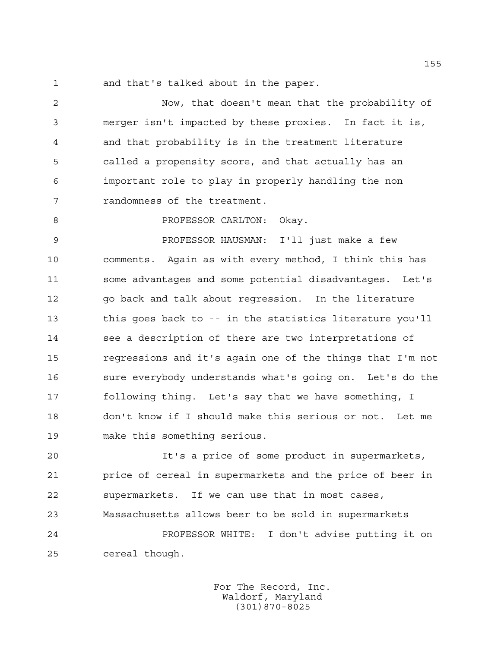and that's talked about in the paper.

 Now, that doesn't mean that the probability of merger isn't impacted by these proxies. In fact it is, and that probability is in the treatment literature called a propensity score, and that actually has an important role to play in properly handling the non randomness of the treatment.

8 PROFESSOR CARLTON: Okay.

 PROFESSOR HAUSMAN: I'll just make a few comments. Again as with every method, I think this has some advantages and some potential disadvantages. Let's go back and talk about regression. In the literature this goes back to -- in the statistics literature you'll see a description of there are two interpretations of regressions and it's again one of the things that I'm not sure everybody understands what's going on. Let's do the following thing. Let's say that we have something, I don't know if I should make this serious or not. Let me make this something serious.

 It's a price of some product in supermarkets, price of cereal in supermarkets and the price of beer in supermarkets. If we can use that in most cases, Massachusetts allows beer to be sold in supermarkets

 PROFESSOR WHITE: I don't advise putting it on cereal though.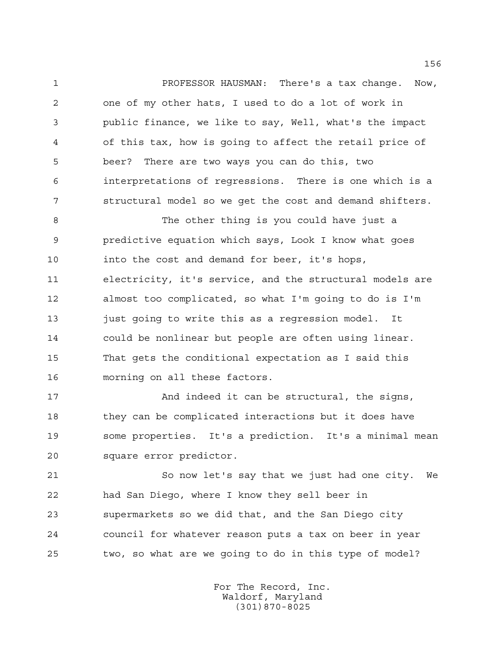PROFESSOR HAUSMAN: There's a tax change. Now, one of my other hats, I used to do a lot of work in public finance, we like to say, Well, what's the impact of this tax, how is going to affect the retail price of beer? There are two ways you can do this, two interpretations of regressions. There is one which is a structural model so we get the cost and demand shifters.

 The other thing is you could have just a predictive equation which says, Look I know what goes into the cost and demand for beer, it's hops, electricity, it's service, and the structural models are almost too complicated, so what I'm going to do is I'm just going to write this as a regression model. It could be nonlinear but people are often using linear. That gets the conditional expectation as I said this morning on all these factors.

 And indeed it can be structural, the signs, they can be complicated interactions but it does have some properties. It's a prediction. It's a minimal mean square error predictor.

 So now let's say that we just had one city. We had San Diego, where I know they sell beer in supermarkets so we did that, and the San Diego city council for whatever reason puts a tax on beer in year two, so what are we going to do in this type of model?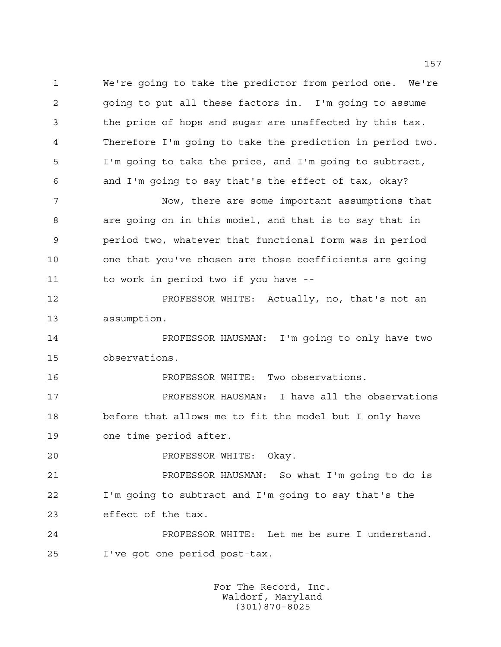We're going to take the predictor from period one. We're going to put all these factors in. I'm going to assume the price of hops and sugar are unaffected by this tax. Therefore I'm going to take the prediction in period two. I'm going to take the price, and I'm going to subtract, and I'm going to say that's the effect of tax, okay?

 Now, there are some important assumptions that are going on in this model, and that is to say that in period two, whatever that functional form was in period one that you've chosen are those coefficients are going to work in period two if you have --

 PROFESSOR WHITE: Actually, no, that's not an assumption.

 PROFESSOR HAUSMAN: I'm going to only have two observations.

PROFESSOR WHITE: Two observations.

**PROFESSOR HAUSMAN:** I have all the observations before that allows me to fit the model but I only have one time period after.

PROFESSOR WHITE: Okay.

 PROFESSOR HAUSMAN: So what I'm going to do is I'm going to subtract and I'm going to say that's the effect of the tax.

 PROFESSOR WHITE: Let me be sure I understand. I've got one period post-tax.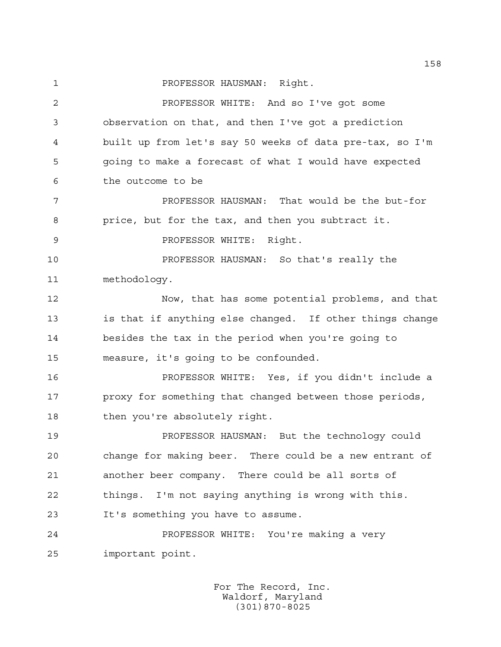1 PROFESSOR HAUSMAN: Right.

 PROFESSOR WHITE: And so I've got some observation on that, and then I've got a prediction built up from let's say 50 weeks of data pre-tax, so I'm going to make a forecast of what I would have expected the outcome to be PROFESSOR HAUSMAN: That would be the but-for price, but for the tax, and then you subtract it. **PROFESSOR WHITE: Right.**  PROFESSOR HAUSMAN: So that's really the methodology. Now, that has some potential problems, and that is that if anything else changed. If other things change besides the tax in the period when you're going to measure, it's going to be confounded. PROFESSOR WHITE: Yes, if you didn't include a proxy for something that changed between those periods, 18 then you're absolutely right. PROFESSOR HAUSMAN: But the technology could change for making beer. There could be a new entrant of another beer company. There could be all sorts of things. I'm not saying anything is wrong with this. It's something you have to assume. PROFESSOR WHITE: You're making a very

important point.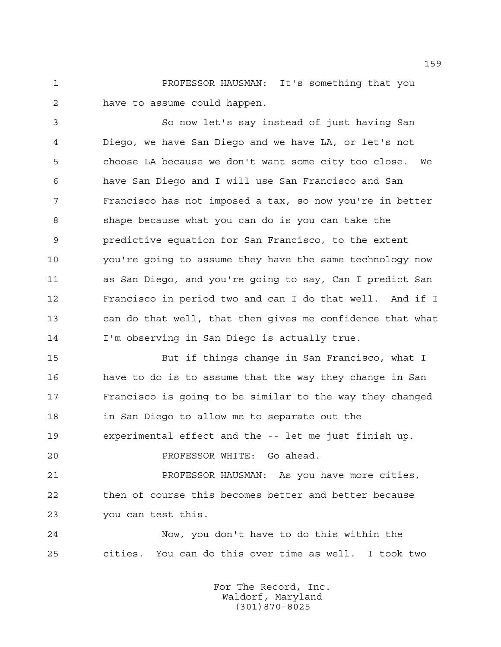PROFESSOR HAUSMAN: It's something that you have to assume could happen.

 So now let's say instead of just having San Diego, we have San Diego and we have LA, or let's not choose LA because we don't want some city too close. We have San Diego and I will use San Francisco and San Francisco has not imposed a tax, so now you're in better shape because what you can do is you can take the predictive equation for San Francisco, to the extent you're going to assume they have the same technology now as San Diego, and you're going to say, Can I predict San Francisco in period two and can I do that well. And if I can do that well, that then gives me confidence that what I'm observing in San Diego is actually true.

 But if things change in San Francisco, what I have to do is to assume that the way they change in San Francisco is going to be similar to the way they changed in San Diego to allow me to separate out the experimental effect and the -- let me just finish up.

PROFESSOR WHITE: Go ahead.

 PROFESSOR HAUSMAN: As you have more cities, then of course this becomes better and better because you can test this.

 Now, you don't have to do this within the cities. You can do this over time as well. I took two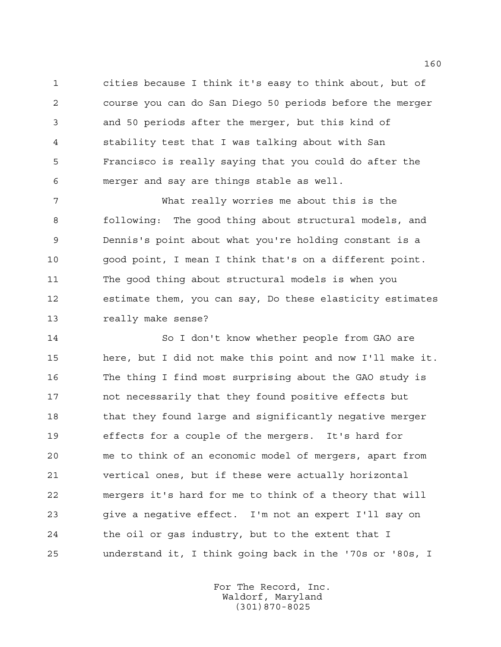cities because I think it's easy to think about, but of course you can do San Diego 50 periods before the merger and 50 periods after the merger, but this kind of stability test that I was talking about with San Francisco is really saying that you could do after the merger and say are things stable as well.

 What really worries me about this is the following: The good thing about structural models, and Dennis's point about what you're holding constant is a good point, I mean I think that's on a different point. The good thing about structural models is when you estimate them, you can say, Do these elasticity estimates really make sense?

 So I don't know whether people from GAO are here, but I did not make this point and now I'll make it. The thing I find most surprising about the GAO study is not necessarily that they found positive effects but 18 that they found large and significantly negative merger effects for a couple of the mergers. It's hard for me to think of an economic model of mergers, apart from vertical ones, but if these were actually horizontal mergers it's hard for me to think of a theory that will give a negative effect. I'm not an expert I'll say on the oil or gas industry, but to the extent that I understand it, I think going back in the '70s or '80s, I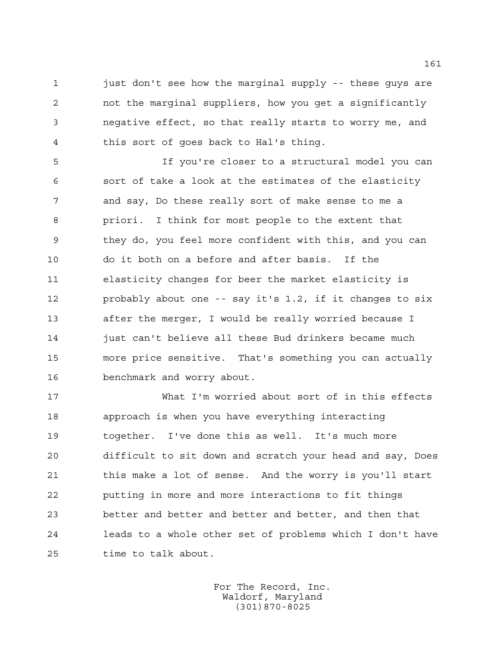1 just don't see how the marginal supply -- these guys are not the marginal suppliers, how you get a significantly negative effect, so that really starts to worry me, and this sort of goes back to Hal's thing.

 If you're closer to a structural model you can sort of take a look at the estimates of the elasticity and say, Do these really sort of make sense to me a priori. I think for most people to the extent that they do, you feel more confident with this, and you can do it both on a before and after basis. If the elasticity changes for beer the market elasticity is probably about one -- say it's 1.2, if it changes to six after the merger, I would be really worried because I 14 just can't believe all these Bud drinkers became much more price sensitive. That's something you can actually benchmark and worry about.

 What I'm worried about sort of in this effects approach is when you have everything interacting together. I've done this as well. It's much more difficult to sit down and scratch your head and say, Does this make a lot of sense. And the worry is you'll start putting in more and more interactions to fit things better and better and better and better, and then that leads to a whole other set of problems which I don't have time to talk about.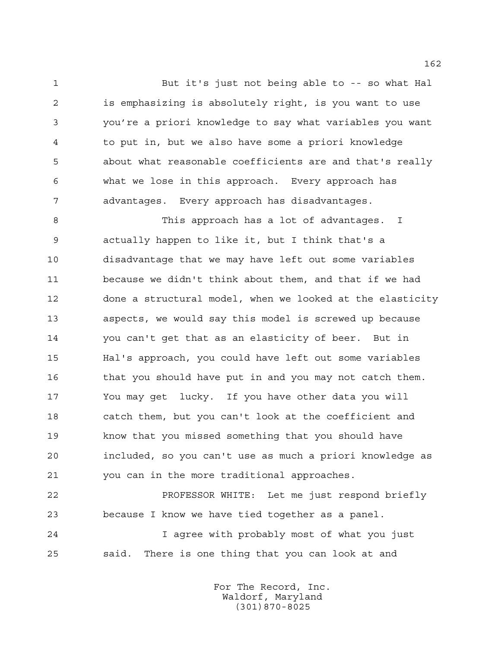But it's just not being able to -- so what Hal is emphasizing is absolutely right, is you want to use you're a priori knowledge to say what variables you want to put in, but we also have some a priori knowledge about what reasonable coefficients are and that's really what we lose in this approach. Every approach has advantages. Every approach has disadvantages.

 This approach has a lot of advantages. I actually happen to like it, but I think that's a disadvantage that we may have left out some variables because we didn't think about them, and that if we had done a structural model, when we looked at the elasticity aspects, we would say this model is screwed up because you can't get that as an elasticity of beer. But in Hal's approach, you could have left out some variables 16 that you should have put in and you may not catch them. You may get lucky. If you have other data you will catch them, but you can't look at the coefficient and know that you missed something that you should have included, so you can't use as much a priori knowledge as you can in the more traditional approaches.

 PROFESSOR WHITE: Let me just respond briefly because I know we have tied together as a panel.

 I agree with probably most of what you just said. There is one thing that you can look at and

> For The Record, Inc. Waldorf, Maryland (301)870-8025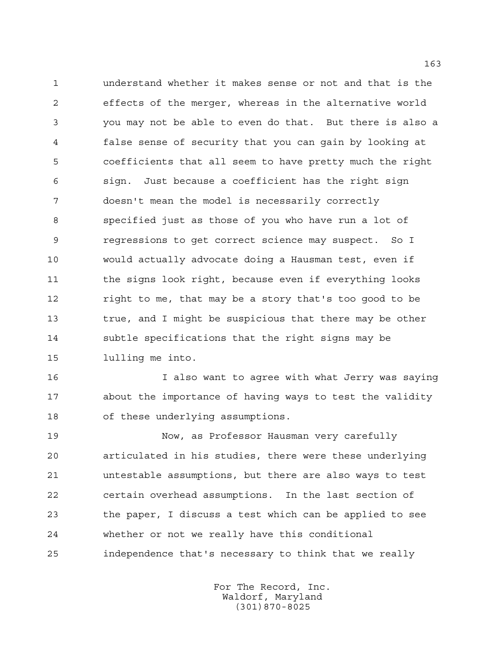understand whether it makes sense or not and that is the effects of the merger, whereas in the alternative world you may not be able to even do that. But there is also a false sense of security that you can gain by looking at coefficients that all seem to have pretty much the right sign. Just because a coefficient has the right sign doesn't mean the model is necessarily correctly specified just as those of you who have run a lot of regressions to get correct science may suspect. So I would actually advocate doing a Hausman test, even if 11 the signs look right, because even if everything looks right to me, that may be a story that's too good to be true, and I might be suspicious that there may be other subtle specifications that the right signs may be lulling me into.

 I also want to agree with what Jerry was saying about the importance of having ways to test the validity of these underlying assumptions.

 Now, as Professor Hausman very carefully articulated in his studies, there were these underlying untestable assumptions, but there are also ways to test certain overhead assumptions. In the last section of the paper, I discuss a test which can be applied to see whether or not we really have this conditional independence that's necessary to think that we really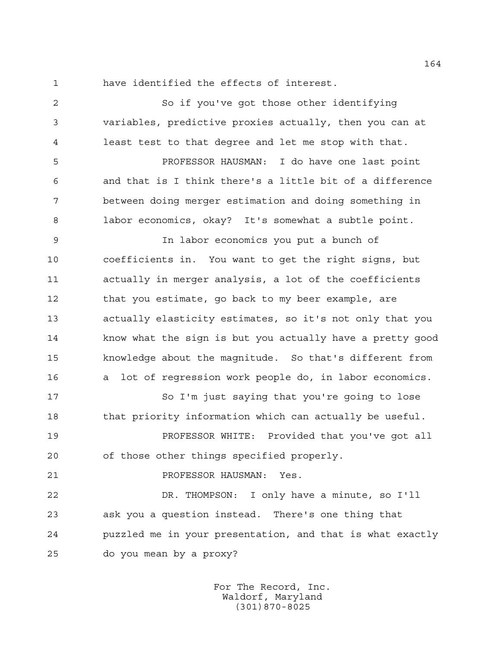have identified the effects of interest.

 So if you've got those other identifying variables, predictive proxies actually, then you can at least test to that degree and let me stop with that.

 PROFESSOR HAUSMAN: I do have one last point and that is I think there's a little bit of a difference between doing merger estimation and doing something in labor economics, okay? It's somewhat a subtle point.

 In labor economics you put a bunch of coefficients in. You want to get the right signs, but actually in merger analysis, a lot of the coefficients 12 that you estimate, go back to my beer example, are actually elasticity estimates, so it's not only that you know what the sign is but you actually have a pretty good knowledge about the magnitude. So that's different from a lot of regression work people do, in labor economics.

17 So I'm just saying that you're going to lose 18 that priority information which can actually be useful.

 PROFESSOR WHITE: Provided that you've got all of those other things specified properly.

```
21 PROFESSOR HAUSMAN: Yes.
```
 DR. THOMPSON: I only have a minute, so I'll ask you a question instead. There's one thing that puzzled me in your presentation, and that is what exactly do you mean by a proxy?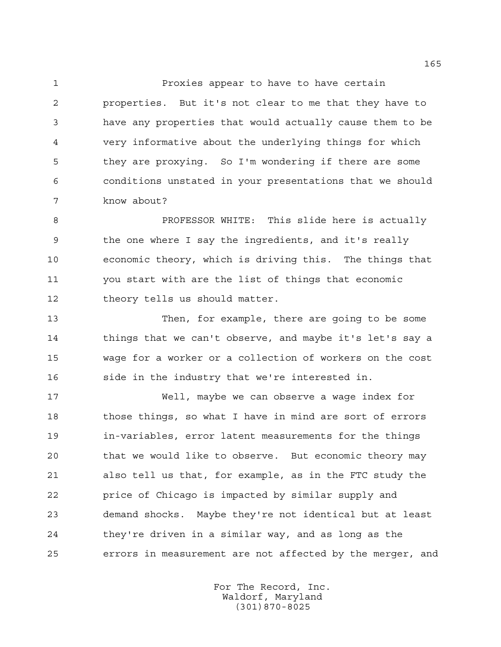Proxies appear to have to have certain properties. But it's not clear to me that they have to have any properties that would actually cause them to be very informative about the underlying things for which they are proxying. So I'm wondering if there are some conditions unstated in your presentations that we should know about?

 PROFESSOR WHITE: This slide here is actually the one where I say the ingredients, and it's really economic theory, which is driving this. The things that you start with are the list of things that economic theory tells us should matter.

 Then, for example, there are going to be some things that we can't observe, and maybe it's let's say a wage for a worker or a collection of workers on the cost side in the industry that we're interested in.

 Well, maybe we can observe a wage index for 18 those things, so what I have in mind are sort of errors in-variables, error latent measurements for the things that we would like to observe. But economic theory may also tell us that, for example, as in the FTC study the price of Chicago is impacted by similar supply and demand shocks. Maybe they're not identical but at least they're driven in a similar way, and as long as the errors in measurement are not affected by the merger, and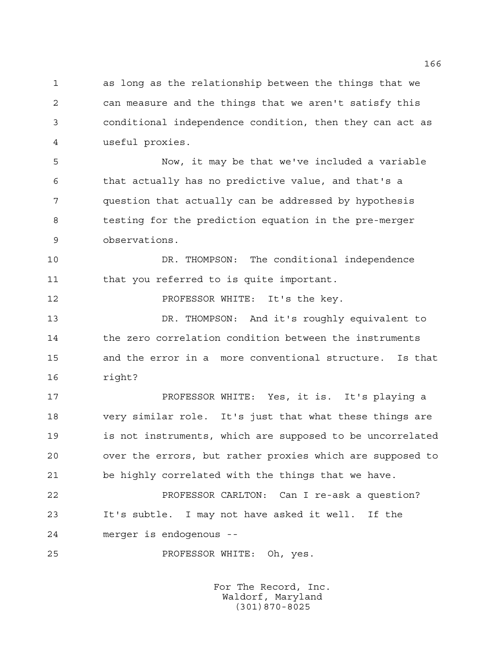as long as the relationship between the things that we can measure and the things that we aren't satisfy this conditional independence condition, then they can act as useful proxies.

 Now, it may be that we've included a variable that actually has no predictive value, and that's a question that actually can be addressed by hypothesis testing for the prediction equation in the pre-merger observations.

 DR. THOMPSON: The conditional independence 11 that you referred to is quite important.

PROFESSOR WHITE: It's the key.

 DR. THOMPSON: And it's roughly equivalent to 14 the zero correlation condition between the instruments and the error in a more conventional structure. Is that right?

 PROFESSOR WHITE: Yes, it is. It's playing a very similar role. It's just that what these things are is not instruments, which are supposed to be uncorrelated over the errors, but rather proxies which are supposed to be highly correlated with the things that we have.

 PROFESSOR CARLTON: Can I re-ask a question? It's subtle. I may not have asked it well. If the merger is endogenous --

PROFESSOR WHITE: Oh, yes.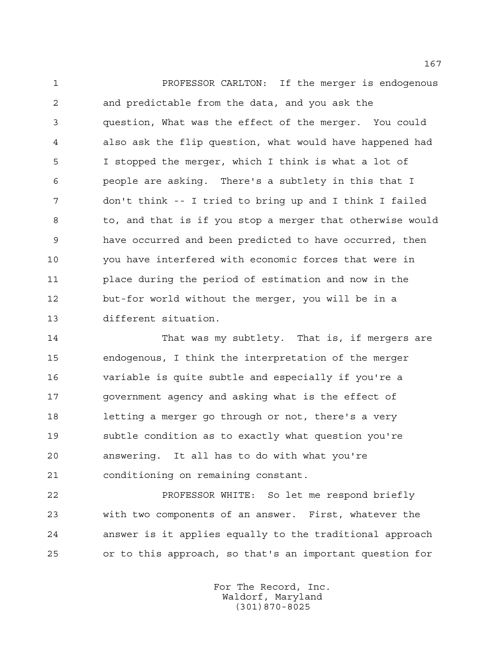PROFESSOR CARLTON: If the merger is endogenous and predictable from the data, and you ask the question, What was the effect of the merger. You could also ask the flip question, what would have happened had I stopped the merger, which I think is what a lot of people are asking. There's a subtlety in this that I don't think -- I tried to bring up and I think I failed to, and that is if you stop a merger that otherwise would have occurred and been predicted to have occurred, then you have interfered with economic forces that were in place during the period of estimation and now in the but-for world without the merger, you will be in a different situation.

 That was my subtlety. That is, if mergers are endogenous, I think the interpretation of the merger variable is quite subtle and especially if you're a government agency and asking what is the effect of letting a merger go through or not, there's a very subtle condition as to exactly what question you're answering. It all has to do with what you're conditioning on remaining constant.

 PROFESSOR WHITE: So let me respond briefly with two components of an answer. First, whatever the answer is it applies equally to the traditional approach or to this approach, so that's an important question for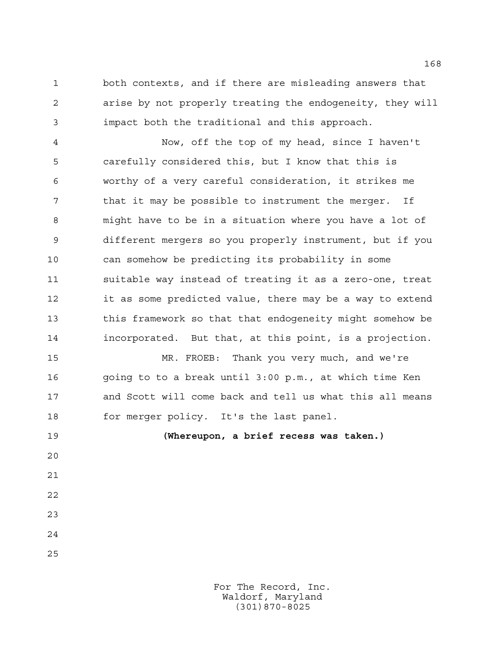both contexts, and if there are misleading answers that arise by not properly treating the endogeneity, they will impact both the traditional and this approach.

 Now, off the top of my head, since I haven't carefully considered this, but I know that this is worthy of a very careful consideration, it strikes me that it may be possible to instrument the merger. If might have to be in a situation where you have a lot of different mergers so you properly instrument, but if you can somehow be predicting its probability in some suitable way instead of treating it as a zero-one, treat it as some predicted value, there may be a way to extend this framework so that that endogeneity might somehow be incorporated. But that, at this point, is a projection.

 MR. FROEB: Thank you very much, and we're going to to a break until 3:00 p.m., at which time Ken and Scott will come back and tell us what this all means for merger policy. It's the last panel.

 **(Whereupon, a brief recess was taken.)** 

For The Record, Inc. Waldorf, Maryland (301)870-8025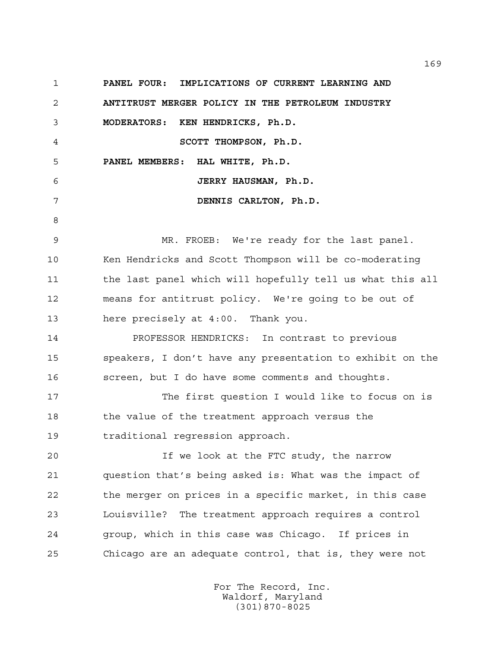**PANEL FOUR: IMPLICATIONS OF CURRENT LEARNING AND ANTITRUST MERGER POLICY IN THE PETROLEUM INDUSTRY MODERATORS: KEN HENDRICKS, Ph.D. SCOTT THOMPSON, Ph.D. PANEL MEMBERS: HAL WHITE, Ph.D. JERRY HAUSMAN, Ph.D. DENNIS CARLTON, Ph.D.** MR. FROEB: We're ready for the last panel. Ken Hendricks and Scott Thompson will be co-moderating 11 the last panel which will hopefully tell us what this all means for antitrust policy. We're going to be out of here precisely at 4:00. Thank you. PROFESSOR HENDRICKS: In contrast to previous speakers, I don't have any presentation to exhibit on the screen, but I do have some comments and thoughts. The first question I would like to focus on is the value of the treatment approach versus the traditional regression approach. If we look at the FTC study, the narrow question that's being asked is: What was the impact of the merger on prices in a specific market, in this case Louisville? The treatment approach requires a control group, which in this case was Chicago. If prices in Chicago are an adequate control, that is, they were not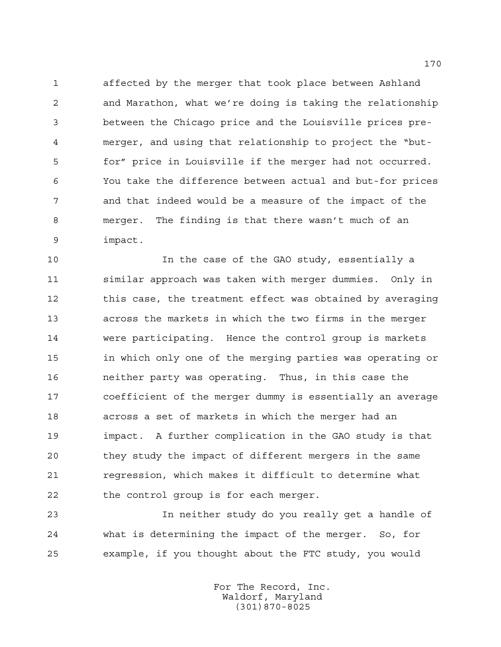affected by the merger that took place between Ashland and Marathon, what we're doing is taking the relationship between the Chicago price and the Louisville prices pre- merger, and using that relationship to project the "but- for" price in Louisville if the merger had not occurred. You take the difference between actual and but-for prices and that indeed would be a measure of the impact of the merger. The finding is that there wasn't much of an impact.

 In the case of the GAO study, essentially a similar approach was taken with merger dummies. Only in 12 this case, the treatment effect was obtained by averaging across the markets in which the two firms in the merger were participating. Hence the control group is markets in which only one of the merging parties was operating or neither party was operating. Thus, in this case the coefficient of the merger dummy is essentially an average across a set of markets in which the merger had an impact. A further complication in the GAO study is that they study the impact of different mergers in the same regression, which makes it difficult to determine what the control group is for each merger.

 In neither study do you really get a handle of what is determining the impact of the merger. So, for example, if you thought about the FTC study, you would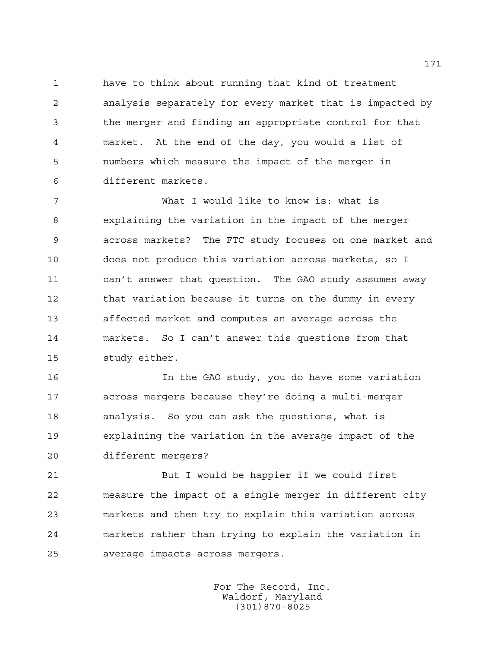have to think about running that kind of treatment analysis separately for every market that is impacted by the merger and finding an appropriate control for that market. At the end of the day, you would a list of numbers which measure the impact of the merger in different markets.

 What I would like to know is: what is explaining the variation in the impact of the merger across markets? The FTC study focuses on one market and does not produce this variation across markets, so I can't answer that question. The GAO study assumes away 12 that variation because it turns on the dummy in every affected market and computes an average across the markets. So I can't answer this questions from that study either.

 In the GAO study, you do have some variation across mergers because they're doing a multi-merger analysis. So you can ask the questions, what is explaining the variation in the average impact of the different mergers?

 But I would be happier if we could first measure the impact of a single merger in different city markets and then try to explain this variation across markets rather than trying to explain the variation in average impacts across mergers.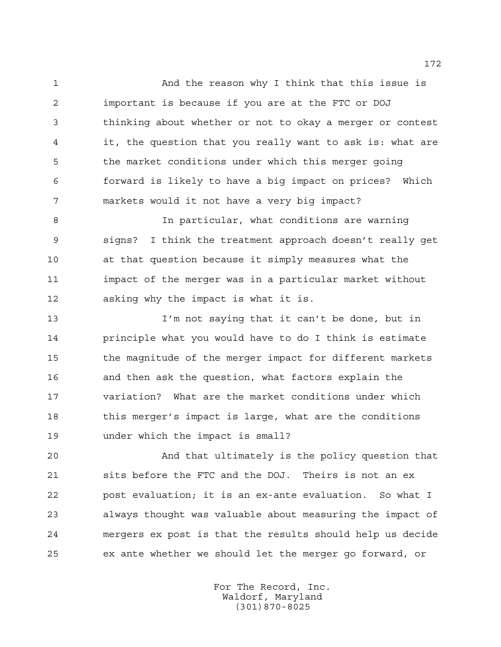And the reason why I think that this issue is important is because if you are at the FTC or DOJ thinking about whether or not to okay a merger or contest it, the question that you really want to ask is: what are the market conditions under which this merger going forward is likely to have a big impact on prices? Which markets would it not have a very big impact?

 In particular, what conditions are warning signs? I think the treatment approach doesn't really get at that question because it simply measures what the impact of the merger was in a particular market without asking why the impact is what it is.

 I'm not saying that it can't be done, but in principle what you would have to do I think is estimate the magnitude of the merger impact for different markets and then ask the question, what factors explain the variation? What are the market conditions under which 18 this merger's impact is large, what are the conditions under which the impact is small?

 And that ultimately is the policy question that sits before the FTC and the DOJ. Theirs is not an ex post evaluation; it is an ex-ante evaluation. So what I always thought was valuable about measuring the impact of mergers ex post is that the results should help us decide ex ante whether we should let the merger go forward, or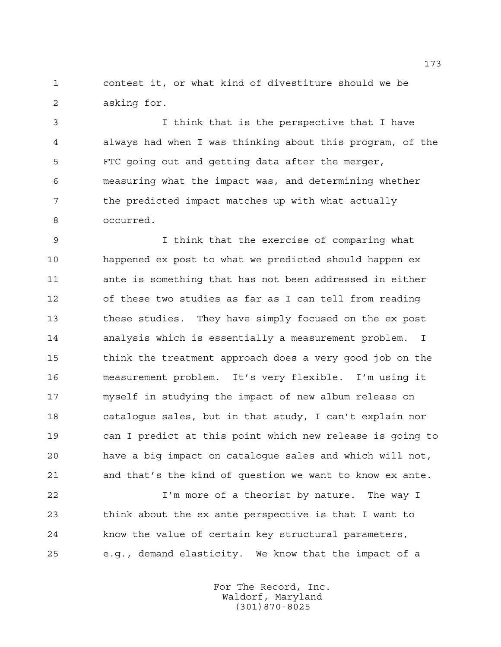contest it, or what kind of divestiture should we be asking for.

 I think that is the perspective that I have always had when I was thinking about this program, of the FTC going out and getting data after the merger, measuring what the impact was, and determining whether the predicted impact matches up with what actually occurred.

 I think that the exercise of comparing what happened ex post to what we predicted should happen ex ante is something that has not been addressed in either of these two studies as far as I can tell from reading these studies. They have simply focused on the ex post analysis which is essentially a measurement problem. I think the treatment approach does a very good job on the measurement problem. It's very flexible. I'm using it myself in studying the impact of new album release on catalogue sales, but in that study, I can't explain nor can I predict at this point which new release is going to have a big impact on catalogue sales and which will not, and that's the kind of question we want to know ex ante.

 I'm more of a theorist by nature. The way I think about the ex ante perspective is that I want to know the value of certain key structural parameters, e.g., demand elasticity. We know that the impact of a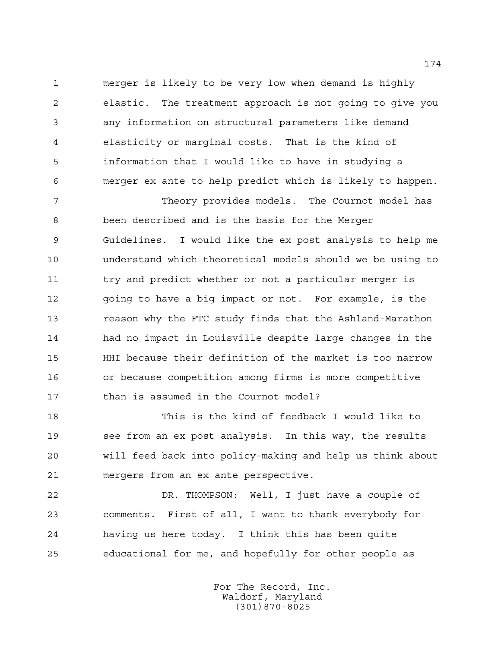merger is likely to be very low when demand is highly elastic. The treatment approach is not going to give you any information on structural parameters like demand elasticity or marginal costs. That is the kind of information that I would like to have in studying a merger ex ante to help predict which is likely to happen.

 Theory provides models. The Cournot model has been described and is the basis for the Merger Guidelines. I would like the ex post analysis to help me understand which theoretical models should we be using to try and predict whether or not a particular merger is 12 going to have a big impact or not. For example, is the reason why the FTC study finds that the Ashland-Marathon had no impact in Louisville despite large changes in the HHI because their definition of the market is too narrow or because competition among firms is more competitive 17 than is assumed in the Cournot model?

 This is the kind of feedback I would like to see from an ex post analysis. In this way, the results will feed back into policy-making and help us think about mergers from an ex ante perspective.

 DR. THOMPSON: Well, I just have a couple of comments. First of all, I want to thank everybody for having us here today. I think this has been quite educational for me, and hopefully for other people as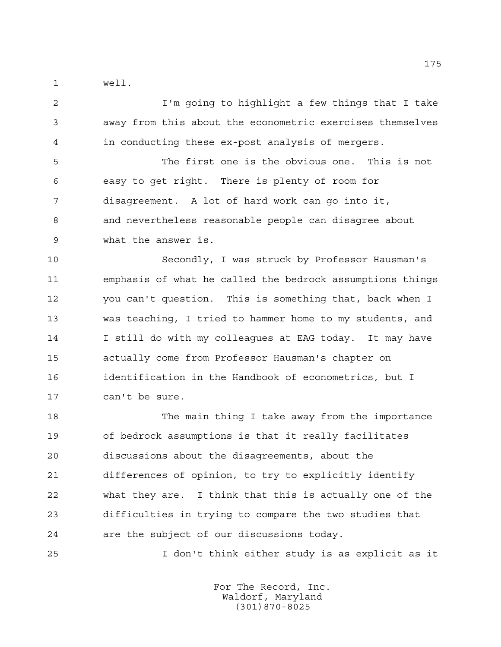well.

 I'm going to highlight a few things that I take away from this about the econometric exercises themselves in conducting these ex-post analysis of mergers.

 The first one is the obvious one. This is not easy to get right. There is plenty of room for disagreement. A lot of hard work can go into it, and nevertheless reasonable people can disagree about what the answer is.

 Secondly, I was struck by Professor Hausman's emphasis of what he called the bedrock assumptions things you can't question. This is something that, back when I was teaching, I tried to hammer home to my students, and 14 I still do with my colleagues at EAG today. It may have actually come from Professor Hausman's chapter on identification in the Handbook of econometrics, but I can't be sure.

 The main thing I take away from the importance of bedrock assumptions is that it really facilitates discussions about the disagreements, about the differences of opinion, to try to explicitly identify what they are. I think that this is actually one of the difficulties in trying to compare the two studies that are the subject of our discussions today.

I don't think either study is as explicit as it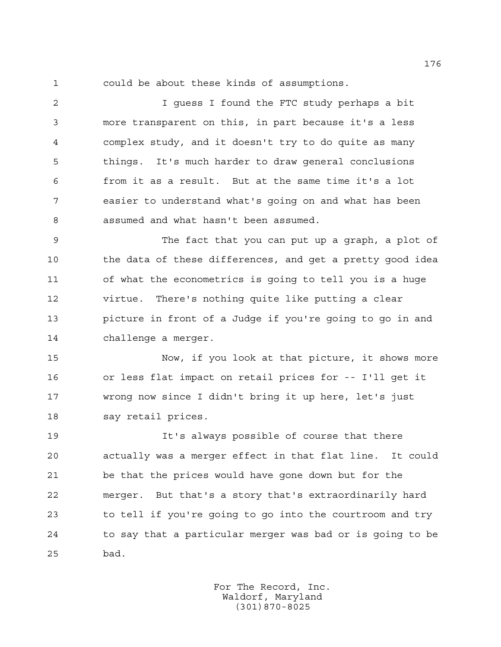could be about these kinds of assumptions.

2 I guess I found the FTC study perhaps a bit more transparent on this, in part because it's a less complex study, and it doesn't try to do quite as many things. It's much harder to draw general conclusions from it as a result. But at the same time it's a lot easier to understand what's going on and what has been assumed and what hasn't been assumed.

 The fact that you can put up a graph, a plot of 10 the data of these differences, and get a pretty good idea of what the econometrics is going to tell you is a huge virtue. There's nothing quite like putting a clear picture in front of a Judge if you're going to go in and challenge a merger.

 Now, if you look at that picture, it shows more or less flat impact on retail prices for -- I'll get it wrong now since I didn't bring it up here, let's just say retail prices.

 It's always possible of course that there actually was a merger effect in that flat line. It could be that the prices would have gone down but for the merger. But that's a story that's extraordinarily hard to tell if you're going to go into the courtroom and try to say that a particular merger was bad or is going to be bad.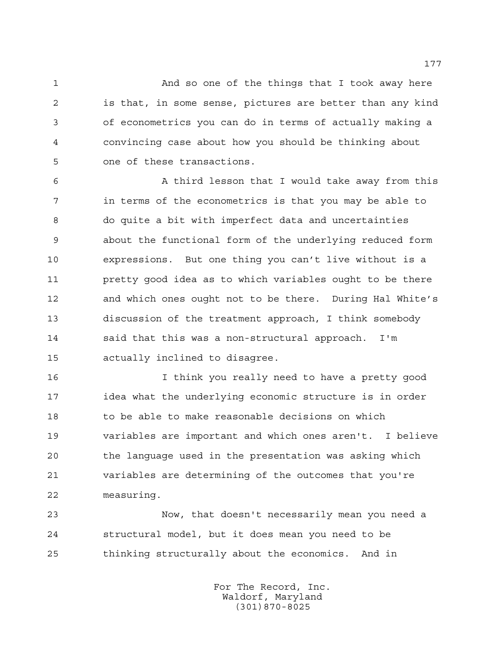And so one of the things that I took away here is that, in some sense, pictures are better than any kind of econometrics you can do in terms of actually making a convincing case about how you should be thinking about one of these transactions.

 A third lesson that I would take away from this in terms of the econometrics is that you may be able to do quite a bit with imperfect data and uncertainties about the functional form of the underlying reduced form expressions. But one thing you can't live without is a pretty good idea as to which variables ought to be there and which ones ought not to be there. During Hal White's discussion of the treatment approach, I think somebody said that this was a non-structural approach. I'm actually inclined to disagree.

 I think you really need to have a pretty good idea what the underlying economic structure is in order to be able to make reasonable decisions on which variables are important and which ones aren't. I believe the language used in the presentation was asking which variables are determining of the outcomes that you're measuring.

 Now, that doesn't necessarily mean you need a structural model, but it does mean you need to be thinking structurally about the economics. And in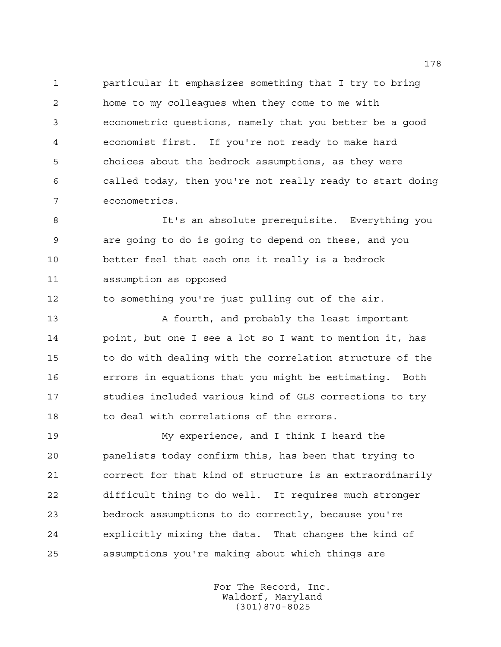particular it emphasizes something that I try to bring home to my colleagues when they come to me with econometric questions, namely that you better be a good economist first. If you're not ready to make hard choices about the bedrock assumptions, as they were called today, then you're not really ready to start doing econometrics.

 It's an absolute prerequisite. Everything you are going to do is going to depend on these, and you better feel that each one it really is a bedrock assumption as opposed

to something you're just pulling out of the air.

13 A fourth, and probably the least important point, but one I see a lot so I want to mention it, has to do with dealing with the correlation structure of the errors in equations that you might be estimating. Both studies included various kind of GLS corrections to try 18 to deal with correlations of the errors.

 My experience, and I think I heard the panelists today confirm this, has been that trying to correct for that kind of structure is an extraordinarily difficult thing to do well. It requires much stronger bedrock assumptions to do correctly, because you're explicitly mixing the data. That changes the kind of assumptions you're making about which things are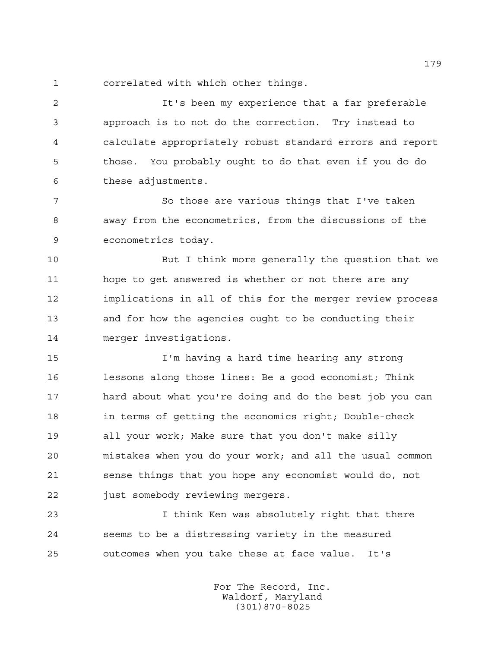correlated with which other things.

 It's been my experience that a far preferable approach is to not do the correction. Try instead to calculate appropriately robust standard errors and report those. You probably ought to do that even if you do do these adjustments.

 So those are various things that I've taken away from the econometrics, from the discussions of the econometrics today.

 But I think more generally the question that we hope to get answered is whether or not there are any implications in all of this for the merger review process and for how the agencies ought to be conducting their merger investigations.

 I'm having a hard time hearing any strong lessons along those lines: Be a good economist; Think hard about what you're doing and do the best job you can in terms of getting the economics right; Double-check all your work; Make sure that you don't make silly mistakes when you do your work; and all the usual common sense things that you hope any economist would do, not 22 just somebody reviewing mergers.

 I think Ken was absolutely right that there seems to be a distressing variety in the measured outcomes when you take these at face value. It's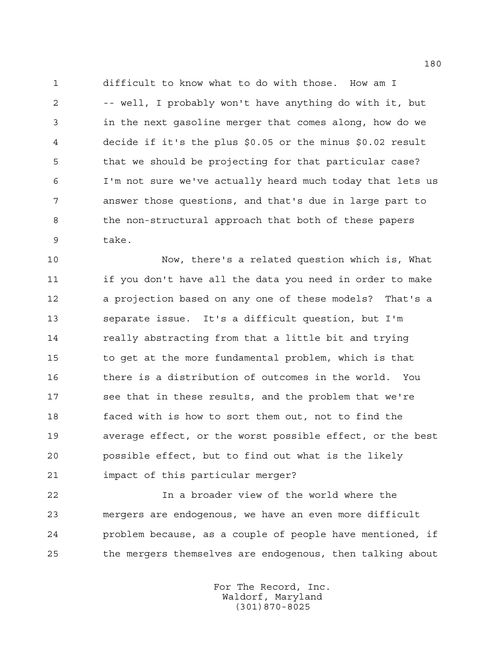difficult to know what to do with those. How am I -- well, I probably won't have anything do with it, but in the next gasoline merger that comes along, how do we decide if it's the plus \$0.05 or the minus \$0.02 result that we should be projecting for that particular case? I'm not sure we've actually heard much today that lets us answer those questions, and that's due in large part to the non-structural approach that both of these papers take.

 Now, there's a related question which is, What if you don't have all the data you need in order to make a projection based on any one of these models? That's a separate issue. It's a difficult question, but I'm really abstracting from that a little bit and trying to get at the more fundamental problem, which is that there is a distribution of outcomes in the world. You see that in these results, and the problem that we're faced with is how to sort them out, not to find the average effect, or the worst possible effect, or the best possible effect, but to find out what is the likely impact of this particular merger?

 In a broader view of the world where the mergers are endogenous, we have an even more difficult problem because, as a couple of people have mentioned, if the mergers themselves are endogenous, then talking about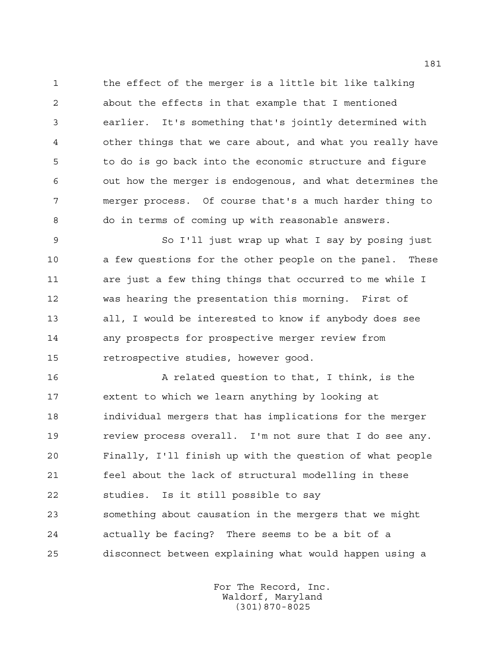the effect of the merger is a little bit like talking about the effects in that example that I mentioned earlier. It's something that's jointly determined with other things that we care about, and what you really have to do is go back into the economic structure and figure out how the merger is endogenous, and what determines the merger process. Of course that's a much harder thing to do in terms of coming up with reasonable answers.

 So I'll just wrap up what I say by posing just a few questions for the other people on the panel. These are just a few thing things that occurred to me while I was hearing the presentation this morning. First of all, I would be interested to know if anybody does see any prospects for prospective merger review from retrospective studies, however good.

 A related question to that, I think, is the extent to which we learn anything by looking at individual mergers that has implications for the merger review process overall. I'm not sure that I do see any. Finally, I'll finish up with the question of what people feel about the lack of structural modelling in these studies. Is it still possible to say something about causation in the mergers that we might actually be facing? There seems to be a bit of a disconnect between explaining what would happen using a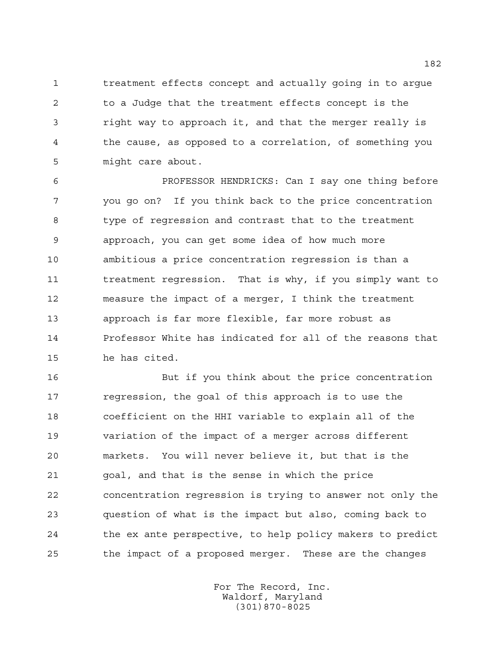treatment effects concept and actually going in to argue to a Judge that the treatment effects concept is the right way to approach it, and that the merger really is the cause, as opposed to a correlation, of something you might care about.

 PROFESSOR HENDRICKS: Can I say one thing before you go on? If you think back to the price concentration type of regression and contrast that to the treatment approach, you can get some idea of how much more ambitious a price concentration regression is than a treatment regression. That is why, if you simply want to measure the impact of a merger, I think the treatment approach is far more flexible, far more robust as Professor White has indicated for all of the reasons that he has cited.

 But if you think about the price concentration regression, the goal of this approach is to use the coefficient on the HHI variable to explain all of the variation of the impact of a merger across different markets. You will never believe it, but that is the goal, and that is the sense in which the price concentration regression is trying to answer not only the question of what is the impact but also, coming back to the ex ante perspective, to help policy makers to predict the impact of a proposed merger. These are the changes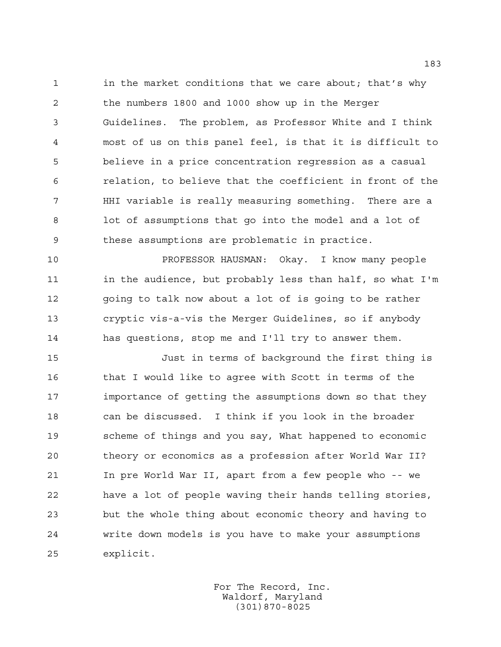1 in the market conditions that we care about; that's why the numbers 1800 and 1000 show up in the Merger Guidelines. The problem, as Professor White and I think most of us on this panel feel, is that it is difficult to believe in a price concentration regression as a casual relation, to believe that the coefficient in front of the HHI variable is really measuring something. There are a lot of assumptions that go into the model and a lot of these assumptions are problematic in practice.

 PROFESSOR HAUSMAN: Okay. I know many people 11 in the audience, but probably less than half, so what I'm going to talk now about a lot of is going to be rather cryptic vis-a-vis the Merger Guidelines, so if anybody has questions, stop me and I'll try to answer them.

 Just in terms of background the first thing is 16 that I would like to agree with Scott in terms of the importance of getting the assumptions down so that they can be discussed. I think if you look in the broader scheme of things and you say, What happened to economic theory or economics as a profession after World War II? In pre World War II, apart from a few people who -- we have a lot of people waving their hands telling stories, but the whole thing about economic theory and having to write down models is you have to make your assumptions explicit.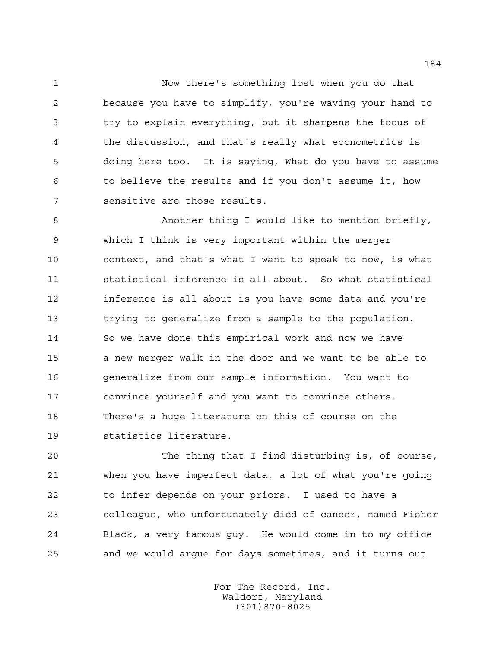Now there's something lost when you do that because you have to simplify, you're waving your hand to try to explain everything, but it sharpens the focus of the discussion, and that's really what econometrics is doing here too. It is saying, What do you have to assume to believe the results and if you don't assume it, how sensitive are those results.

 Another thing I would like to mention briefly, which I think is very important within the merger context, and that's what I want to speak to now, is what statistical inference is all about. So what statistical inference is all about is you have some data and you're trying to generalize from a sample to the population. So we have done this empirical work and now we have a new merger walk in the door and we want to be able to generalize from our sample information. You want to convince yourself and you want to convince others. There's a huge literature on this of course on the statistics literature.

 The thing that I find disturbing is, of course, when you have imperfect data, a lot of what you're going to infer depends on your priors. I used to have a colleague, who unfortunately died of cancer, named Fisher Black, a very famous guy. He would come in to my office and we would argue for days sometimes, and it turns out

> For The Record, Inc. Waldorf, Maryland (301)870-8025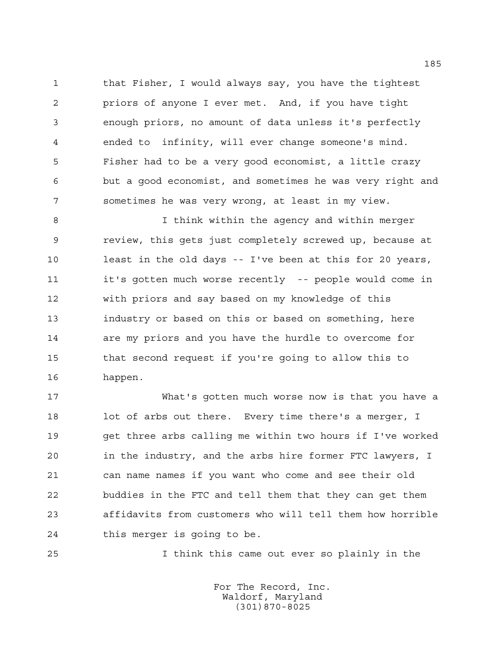that Fisher, I would always say, you have the tightest priors of anyone I ever met. And, if you have tight enough priors, no amount of data unless it's perfectly ended to infinity, will ever change someone's mind. Fisher had to be a very good economist, a little crazy but a good economist, and sometimes he was very right and sometimes he was very wrong, at least in my view.

 I think within the agency and within merger review, this gets just completely screwed up, because at least in the old days -- I've been at this for 20 years, it's gotten much worse recently -- people would come in with priors and say based on my knowledge of this industry or based on this or based on something, here are my priors and you have the hurdle to overcome for that second request if you're going to allow this to happen.

 What's gotten much worse now is that you have a 18 lot of arbs out there. Every time there's a merger, I get three arbs calling me within two hours if I've worked in the industry, and the arbs hire former FTC lawyers, I can name names if you want who come and see their old buddies in the FTC and tell them that they can get them affidavits from customers who will tell them how horrible this merger is going to be.

I think this came out ever so plainly in the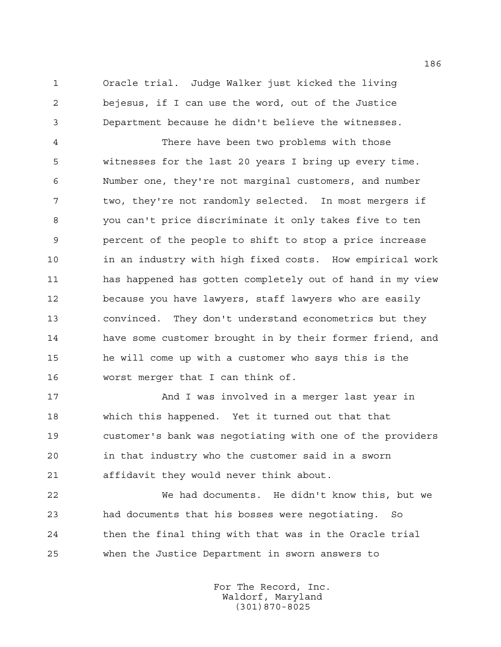Oracle trial. Judge Walker just kicked the living bejesus, if I can use the word, out of the Justice Department because he didn't believe the witnesses.

 There have been two problems with those witnesses for the last 20 years I bring up every time. Number one, they're not marginal customers, and number two, they're not randomly selected. In most mergers if you can't price discriminate it only takes five to ten percent of the people to shift to stop a price increase in an industry with high fixed costs. How empirical work has happened has gotten completely out of hand in my view because you have lawyers, staff lawyers who are easily convinced. They don't understand econometrics but they have some customer brought in by their former friend, and he will come up with a customer who says this is the worst merger that I can think of.

17 And I was involved in a merger last year in which this happened. Yet it turned out that that customer's bank was negotiating with one of the providers in that industry who the customer said in a sworn affidavit they would never think about.

 We had documents. He didn't know this, but we had documents that his bosses were negotiating. So then the final thing with that was in the Oracle trial when the Justice Department in sworn answers to

> For The Record, Inc. Waldorf, Maryland (301)870-8025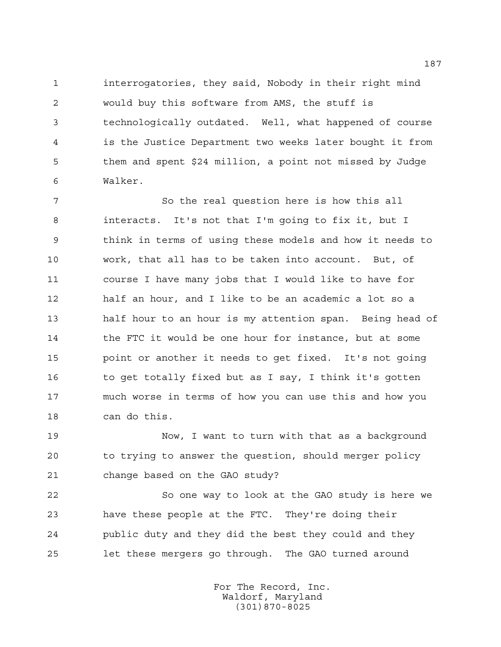interrogatories, they said, Nobody in their right mind would buy this software from AMS, the stuff is technologically outdated. Well, what happened of course is the Justice Department two weeks later bought it from them and spent \$24 million, a point not missed by Judge Walker.

 So the real question here is how this all interacts. It's not that I'm going to fix it, but I think in terms of using these models and how it needs to work, that all has to be taken into account. But, of course I have many jobs that I would like to have for half an hour, and I like to be an academic a lot so a half hour to an hour is my attention span. Being head of 14 the FTC it would be one hour for instance, but at some point or another it needs to get fixed. It's not going 16 to get totally fixed but as I say, I think it's gotten much worse in terms of how you can use this and how you can do this.

 Now, I want to turn with that as a background to trying to answer the question, should merger policy change based on the GAO study?

 So one way to look at the GAO study is here we have these people at the FTC. They're doing their public duty and they did the best they could and they let these mergers go through. The GAO turned around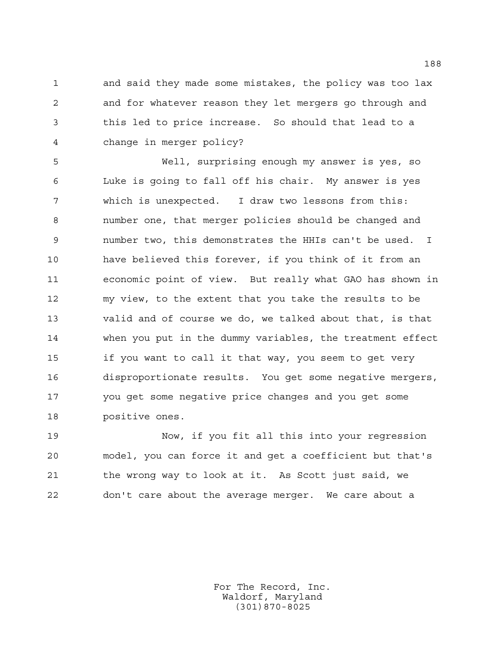and said they made some mistakes, the policy was too lax and for whatever reason they let mergers go through and this led to price increase. So should that lead to a change in merger policy?

 Well, surprising enough my answer is yes, so Luke is going to fall off his chair. My answer is yes which is unexpected. I draw two lessons from this: number one, that merger policies should be changed and number two, this demonstrates the HHIs can't be used. I have believed this forever, if you think of it from an economic point of view. But really what GAO has shown in my view, to the extent that you take the results to be valid and of course we do, we talked about that, is that when you put in the dummy variables, the treatment effect if you want to call it that way, you seem to get very disproportionate results. You get some negative mergers, you get some negative price changes and you get some positive ones.

 Now, if you fit all this into your regression model, you can force it and get a coefficient but that's the wrong way to look at it. As Scott just said, we don't care about the average merger. We care about a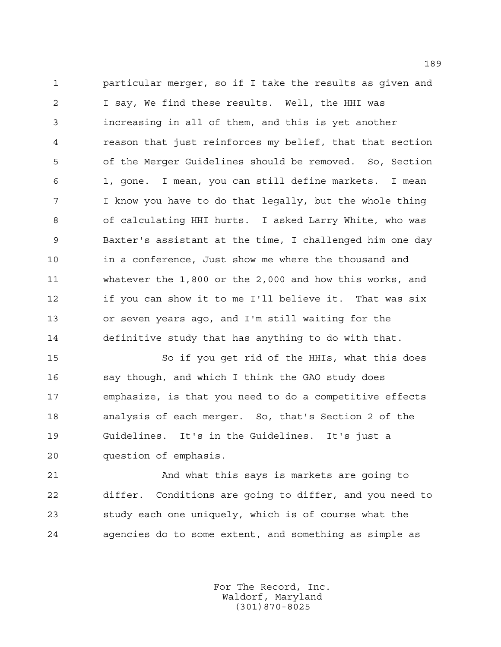particular merger, so if I take the results as given and I say, We find these results. Well, the HHI was increasing in all of them, and this is yet another reason that just reinforces my belief, that that section of the Merger Guidelines should be removed. So, Section 1, gone. I mean, you can still define markets. I mean I know you have to do that legally, but the whole thing of calculating HHI hurts. I asked Larry White, who was Baxter's assistant at the time, I challenged him one day 10 in a conference, Just show me where the thousand and whatever the 1,800 or the 2,000 and how this works, and if you can show it to me I'll believe it. That was six or seven years ago, and I'm still waiting for the definitive study that has anything to do with that.

 So if you get rid of the HHIs, what this does say though, and which I think the GAO study does emphasize, is that you need to do a competitive effects analysis of each merger. So, that's Section 2 of the Guidelines. It's in the Guidelines. It's just a question of emphasis.

 And what this says is markets are going to differ. Conditions are going to differ, and you need to study each one uniquely, which is of course what the agencies do to some extent, and something as simple as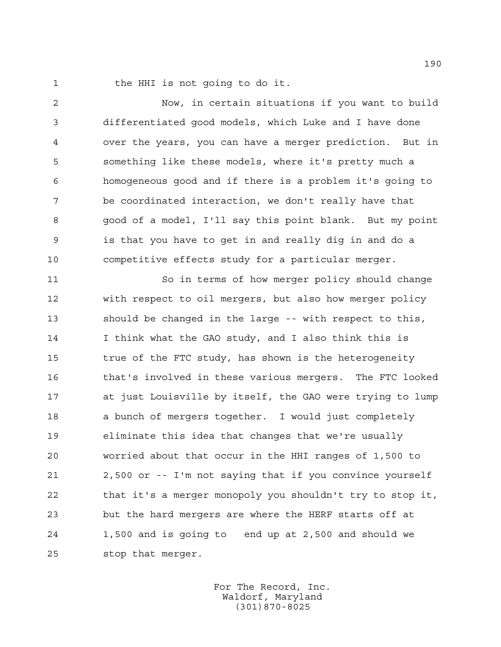1 the HHI is not going to do it.

 Now, in certain situations if you want to build differentiated good models, which Luke and I have done over the years, you can have a merger prediction. But in something like these models, where it's pretty much a homogeneous good and if there is a problem it's going to be coordinated interaction, we don't really have that good of a model, I'll say this point blank. But my point is that you have to get in and really dig in and do a competitive effects study for a particular merger.

 So in terms of how merger policy should change with respect to oil mergers, but also how merger policy should be changed in the large -- with respect to this, I think what the GAO study, and I also think this is true of the FTC study, has shown is the heterogeneity that's involved in these various mergers. The FTC looked at just Louisville by itself, the GAO were trying to lump a bunch of mergers together. I would just completely eliminate this idea that changes that we're usually worried about that occur in the HHI ranges of 1,500 to 2,500 or -- I'm not saying that if you convince yourself that it's a merger monopoly you shouldn't try to stop it, but the hard mergers are where the HERF starts off at 1,500 and is going to end up at 2,500 and should we stop that merger.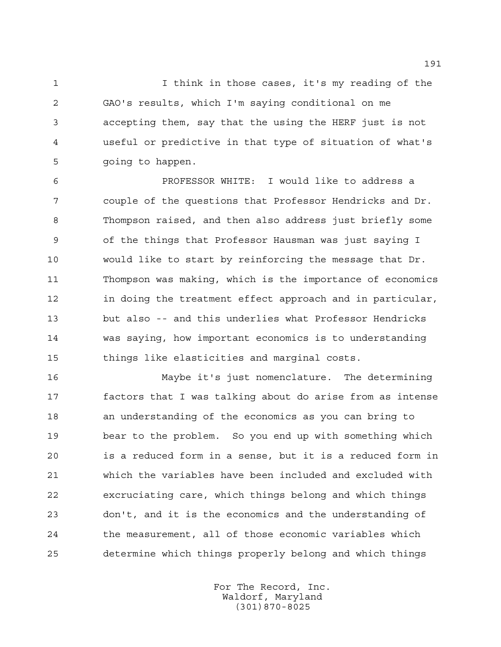I think in those cases, it's my reading of the GAO's results, which I'm saying conditional on me accepting them, say that the using the HERF just is not useful or predictive in that type of situation of what's going to happen.

 PROFESSOR WHITE: I would like to address a couple of the questions that Professor Hendricks and Dr. Thompson raised, and then also address just briefly some of the things that Professor Hausman was just saying I would like to start by reinforcing the message that Dr. Thompson was making, which is the importance of economics 12 in doing the treatment effect approach and in particular, but also -- and this underlies what Professor Hendricks was saying, how important economics is to understanding things like elasticities and marginal costs.

 Maybe it's just nomenclature. The determining factors that I was talking about do arise from as intense an understanding of the economics as you can bring to bear to the problem. So you end up with something which is a reduced form in a sense, but it is a reduced form in which the variables have been included and excluded with excruciating care, which things belong and which things don't, and it is the economics and the understanding of the measurement, all of those economic variables which determine which things properly belong and which things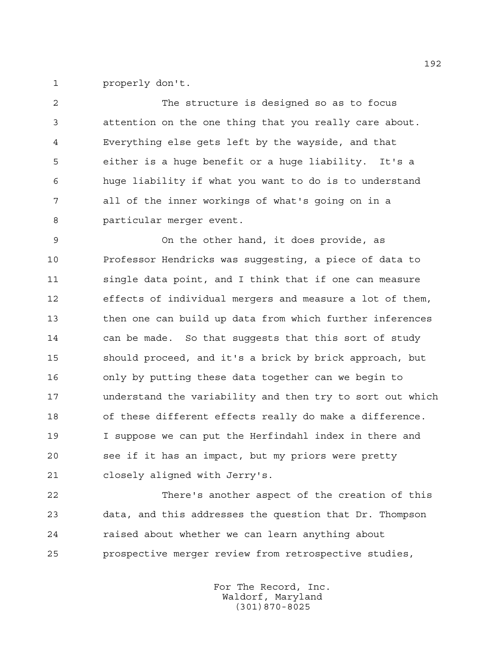properly don't.

 The structure is designed so as to focus attention on the one thing that you really care about. Everything else gets left by the wayside, and that either is a huge benefit or a huge liability. It's a huge liability if what you want to do is to understand all of the inner workings of what's going on in a particular merger event.

 On the other hand, it does provide, as Professor Hendricks was suggesting, a piece of data to single data point, and I think that if one can measure effects of individual mergers and measure a lot of them, then one can build up data from which further inferences can be made. So that suggests that this sort of study should proceed, and it's a brick by brick approach, but only by putting these data together can we begin to understand the variability and then try to sort out which of these different effects really do make a difference. I suppose we can put the Herfindahl index in there and see if it has an impact, but my priors were pretty closely aligned with Jerry's.

 There's another aspect of the creation of this data, and this addresses the question that Dr. Thompson raised about whether we can learn anything about prospective merger review from retrospective studies,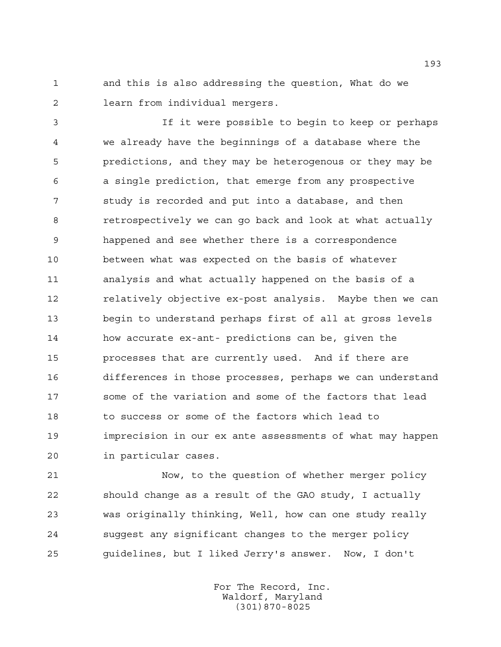and this is also addressing the question, What do we learn from individual mergers.

 If it were possible to begin to keep or perhaps we already have the beginnings of a database where the predictions, and they may be heterogenous or they may be a single prediction, that emerge from any prospective study is recorded and put into a database, and then retrospectively we can go back and look at what actually happened and see whether there is a correspondence between what was expected on the basis of whatever analysis and what actually happened on the basis of a **relatively objective ex-post analysis.** Maybe then we can begin to understand perhaps first of all at gross levels how accurate ex-ant- predictions can be, given the processes that are currently used. And if there are differences in those processes, perhaps we can understand some of the variation and some of the factors that lead to success or some of the factors which lead to imprecision in our ex ante assessments of what may happen in particular cases.

 Now, to the question of whether merger policy should change as a result of the GAO study, I actually was originally thinking, Well, how can one study really suggest any significant changes to the merger policy guidelines, but I liked Jerry's answer. Now, I don't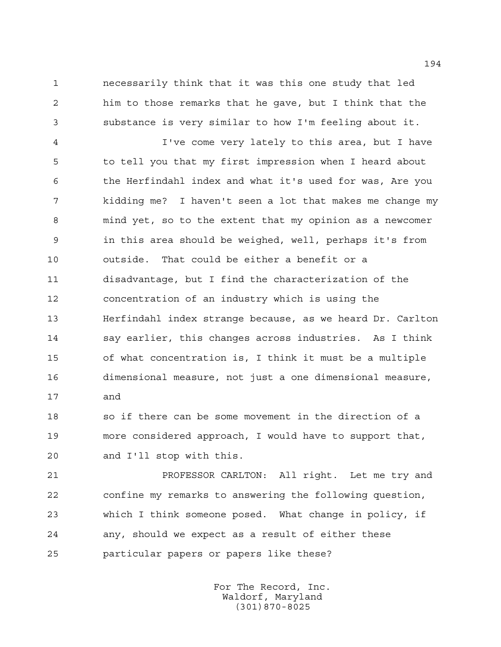necessarily think that it was this one study that led him to those remarks that he gave, but I think that the substance is very similar to how I'm feeling about it.

 I've come very lately to this area, but I have to tell you that my first impression when I heard about the Herfindahl index and what it's used for was, Are you kidding me? I haven't seen a lot that makes me change my mind yet, so to the extent that my opinion as a newcomer in this area should be weighed, well, perhaps it's from outside. That could be either a benefit or a disadvantage, but I find the characterization of the concentration of an industry which is using the Herfindahl index strange because, as we heard Dr. Carlton say earlier, this changes across industries. As I think of what concentration is, I think it must be a multiple dimensional measure, not just a one dimensional measure, and

 so if there can be some movement in the direction of a more considered approach, I would have to support that, and I'll stop with this.

 PROFESSOR CARLTON: All right. Let me try and confine my remarks to answering the following question, which I think someone posed. What change in policy, if any, should we expect as a result of either these particular papers or papers like these?

> For The Record, Inc. Waldorf, Maryland (301)870-8025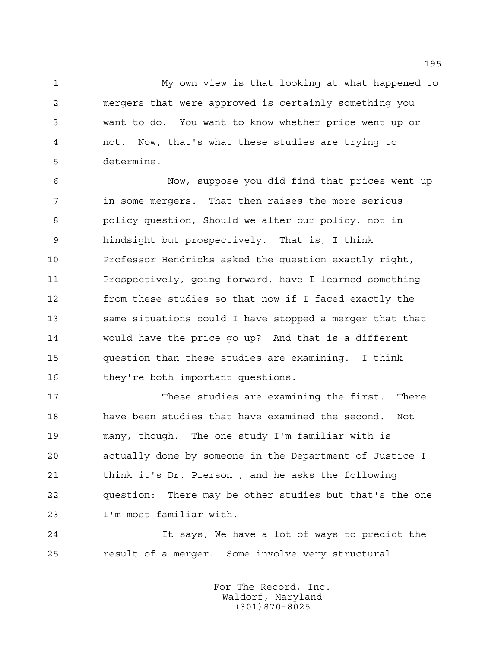My own view is that looking at what happened to mergers that were approved is certainly something you want to do. You want to know whether price went up or not. Now, that's what these studies are trying to determine.

6 Now, suppose you did find that prices went up in some mergers. That then raises the more serious policy question, Should we alter our policy, not in hindsight but prospectively. That is, I think Professor Hendricks asked the question exactly right, Prospectively, going forward, have I learned something from these studies so that now if I faced exactly the same situations could I have stopped a merger that that would have the price go up? And that is a different question than these studies are examining. I think 16 they're both important questions.

 These studies are examining the first. There have been studies that have examined the second. Not many, though. The one study I'm familiar with is actually done by someone in the Department of Justice I think it's Dr. Pierson , and he asks the following question: There may be other studies but that's the one I'm most familiar with.

 It says, We have a lot of ways to predict the result of a merger. Some involve very structural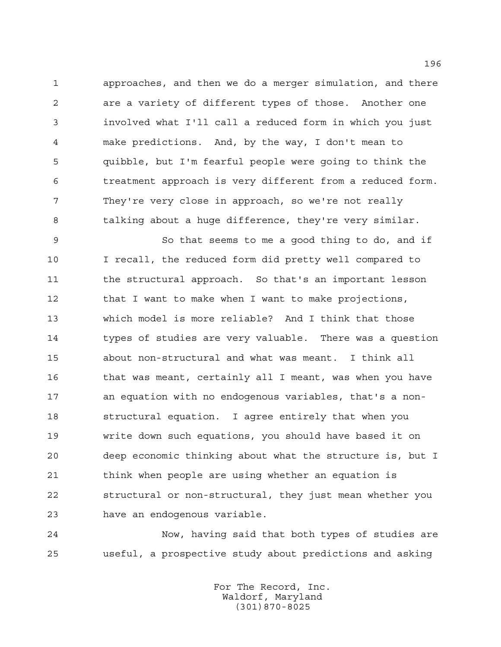approaches, and then we do a merger simulation, and there are a variety of different types of those. Another one involved what I'll call a reduced form in which you just make predictions. And, by the way, I don't mean to quibble, but I'm fearful people were going to think the treatment approach is very different from a reduced form. They're very close in approach, so we're not really talking about a huge difference, they're very similar.

 So that seems to me a good thing to do, and if I recall, the reduced form did pretty well compared to 11 the structural approach. So that's an important lesson 12 that I want to make when I want to make projections, which model is more reliable? And I think that those 14 types of studies are very valuable. There was a question about non-structural and what was meant. I think all that was meant, certainly all I meant, was when you have an equation with no endogenous variables, that's a non- structural equation. I agree entirely that when you write down such equations, you should have based it on deep economic thinking about what the structure is, but I think when people are using whether an equation is structural or non-structural, they just mean whether you have an endogenous variable.

 Now, having said that both types of studies are useful, a prospective study about predictions and asking

> For The Record, Inc. Waldorf, Maryland (301)870-8025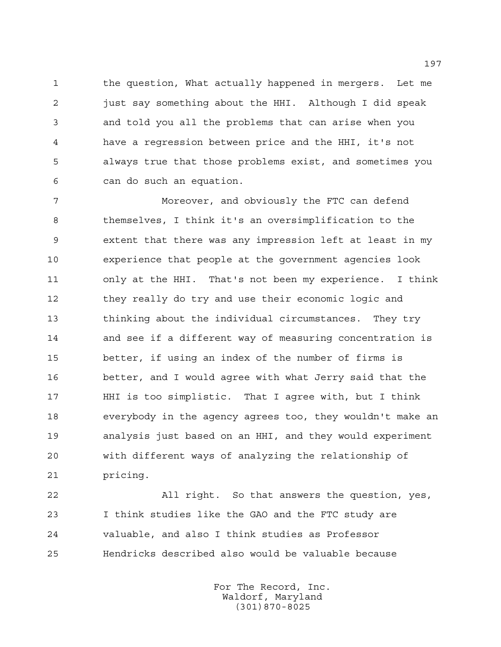the question, What actually happened in mergers. Let me just say something about the HHI. Although I did speak and told you all the problems that can arise when you have a regression between price and the HHI, it's not always true that those problems exist, and sometimes you can do such an equation.

 Moreover, and obviously the FTC can defend themselves, I think it's an oversimplification to the extent that there was any impression left at least in my experience that people at the government agencies look only at the HHI. That's not been my experience. I think 12 they really do try and use their economic logic and thinking about the individual circumstances. They try and see if a different way of measuring concentration is better, if using an index of the number of firms is better, and I would agree with what Jerry said that the HHI is too simplistic. That I agree with, but I think everybody in the agency agrees too, they wouldn't make an analysis just based on an HHI, and they would experiment with different ways of analyzing the relationship of pricing.

 All right. So that answers the question, yes, I think studies like the GAO and the FTC study are valuable, and also I think studies as Professor Hendricks described also would be valuable because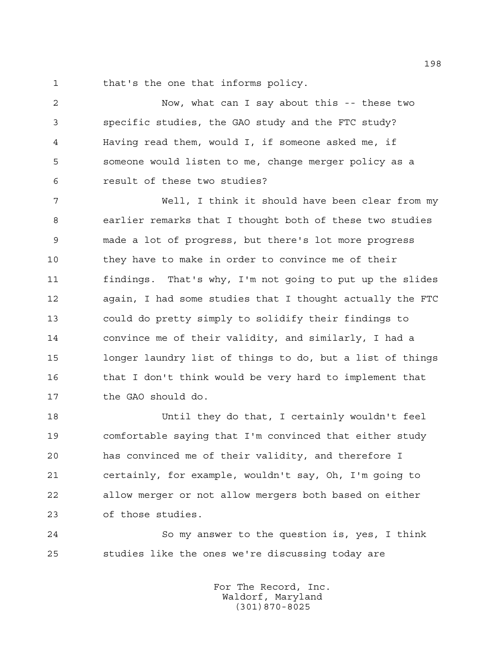that's the one that informs policy.

 Now, what can I say about this -- these two specific studies, the GAO study and the FTC study? Having read them, would I, if someone asked me, if someone would listen to me, change merger policy as a result of these two studies?

 Well, I think it should have been clear from my earlier remarks that I thought both of these two studies made a lot of progress, but there's lot more progress they have to make in order to convince me of their findings. That's why, I'm not going to put up the slides again, I had some studies that I thought actually the FTC could do pretty simply to solidify their findings to convince me of their validity, and similarly, I had a longer laundry list of things to do, but a list of things that I don't think would be very hard to implement that the GAO should do.

 Until they do that, I certainly wouldn't feel comfortable saying that I'm convinced that either study has convinced me of their validity, and therefore I certainly, for example, wouldn't say, Oh, I'm going to allow merger or not allow mergers both based on either of those studies.

 So my answer to the question is, yes, I think studies like the ones we're discussing today are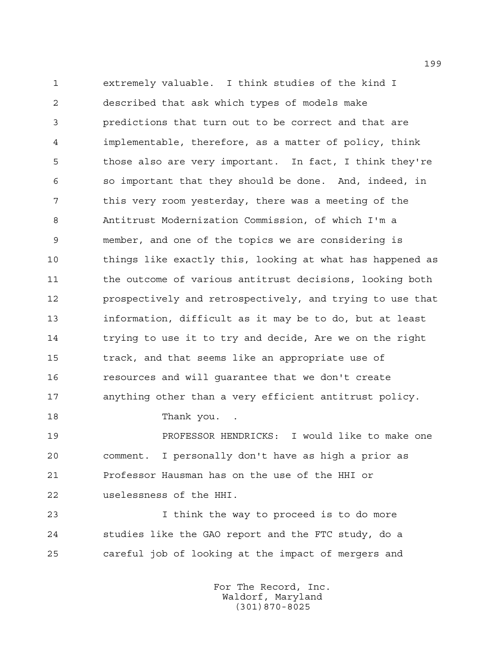extremely valuable. I think studies of the kind I described that ask which types of models make predictions that turn out to be correct and that are implementable, therefore, as a matter of policy, think those also are very important. In fact, I think they're so important that they should be done. And, indeed, in this very room yesterday, there was a meeting of the Antitrust Modernization Commission, of which I'm a member, and one of the topics we are considering is things like exactly this, looking at what has happened as the outcome of various antitrust decisions, looking both prospectively and retrospectively, and trying to use that information, difficult as it may be to do, but at least trying to use it to try and decide, Are we on the right track, and that seems like an appropriate use of resources and will guarantee that we don't create anything other than a very efficient antitrust policy.

18 Thank you.

 PROFESSOR HENDRICKS: I would like to make one comment. I personally don't have as high a prior as Professor Hausman has on the use of the HHI or uselessness of the HHI.

 I think the way to proceed is to do more studies like the GAO report and the FTC study, do a careful job of looking at the impact of mergers and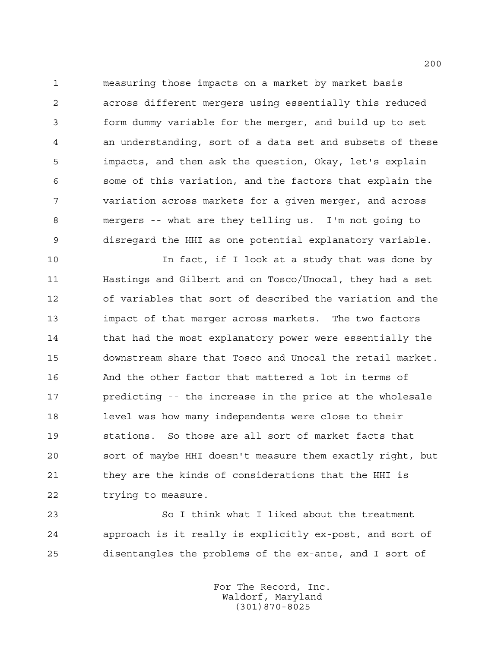measuring those impacts on a market by market basis across different mergers using essentially this reduced form dummy variable for the merger, and build up to set an understanding, sort of a data set and subsets of these impacts, and then ask the question, Okay, let's explain some of this variation, and the factors that explain the variation across markets for a given merger, and across mergers -- what are they telling us. I'm not going to disregard the HHI as one potential explanatory variable.

10 10 In fact, if I look at a study that was done by Hastings and Gilbert and on Tosco/Unocal, they had a set of variables that sort of described the variation and the impact of that merger across markets. The two factors 14 that had the most explanatory power were essentially the downstream share that Tosco and Unocal the retail market. And the other factor that mattered a lot in terms of predicting -- the increase in the price at the wholesale level was how many independents were close to their stations. So those are all sort of market facts that sort of maybe HHI doesn't measure them exactly right, but they are the kinds of considerations that the HHI is trying to measure.

 So I think what I liked about the treatment approach is it really is explicitly ex-post, and sort of disentangles the problems of the ex-ante, and I sort of

> For The Record, Inc. Waldorf, Maryland (301)870-8025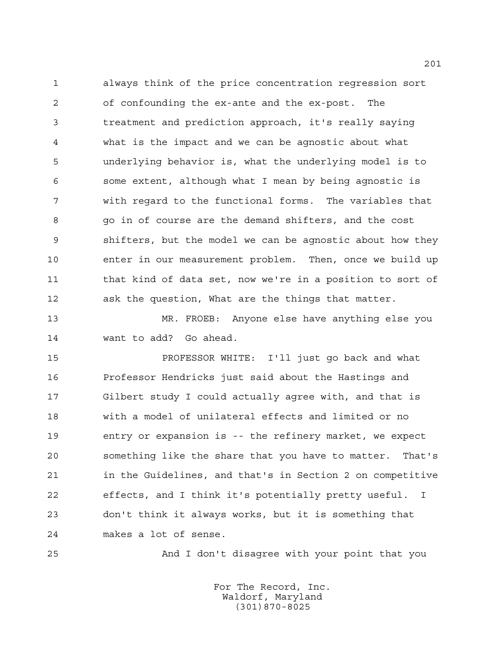always think of the price concentration regression sort of confounding the ex-ante and the ex-post. The treatment and prediction approach, it's really saying what is the impact and we can be agnostic about what underlying behavior is, what the underlying model is to some extent, although what I mean by being agnostic is with regard to the functional forms. The variables that go in of course are the demand shifters, and the cost shifters, but the model we can be agnostic about how they enter in our measurement problem. Then, once we build up that kind of data set, now we're in a position to sort of ask the question, What are the things that matter.

 MR. FROEB: Anyone else have anything else you want to add? Go ahead.

 PROFESSOR WHITE: I'll just go back and what Professor Hendricks just said about the Hastings and Gilbert study I could actually agree with, and that is with a model of unilateral effects and limited or no entry or expansion is -- the refinery market, we expect something like the share that you have to matter. That's in the Guidelines, and that's in Section 2 on competitive effects, and I think it's potentially pretty useful. I don't think it always works, but it is something that makes a lot of sense.

And I don't disagree with your point that you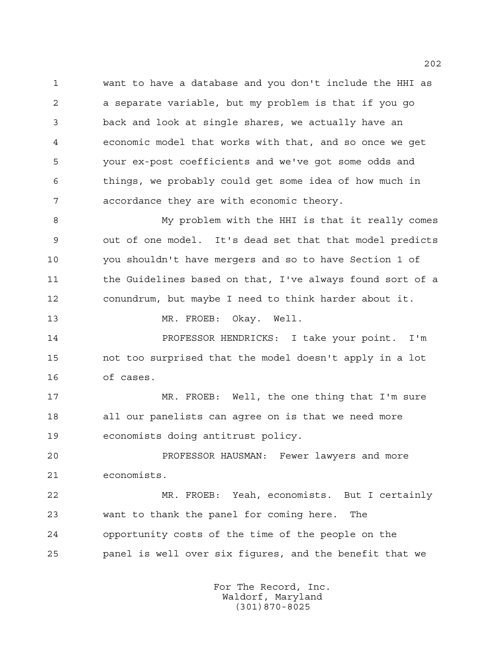want to have a database and you don't include the HHI as a separate variable, but my problem is that if you go back and look at single shares, we actually have an economic model that works with that, and so once we get your ex-post coefficients and we've got some odds and things, we probably could get some idea of how much in accordance they are with economic theory.

 My problem with the HHI is that it really comes out of one model. It's dead set that that model predicts you shouldn't have mergers and so to have Section 1 of the Guidelines based on that, I've always found sort of a conundrum, but maybe I need to think harder about it.

13 MR. FROEB: Okay. Well.

 PROFESSOR HENDRICKS: I take your point. I'm not too surprised that the model doesn't apply in a lot of cases.

 MR. FROEB: Well, the one thing that I'm sure all our panelists can agree on is that we need more economists doing antitrust policy.

 PROFESSOR HAUSMAN: Fewer lawyers and more economists.

 MR. FROEB: Yeah, economists. But I certainly want to thank the panel for coming here. The opportunity costs of the time of the people on the panel is well over six figures, and the benefit that we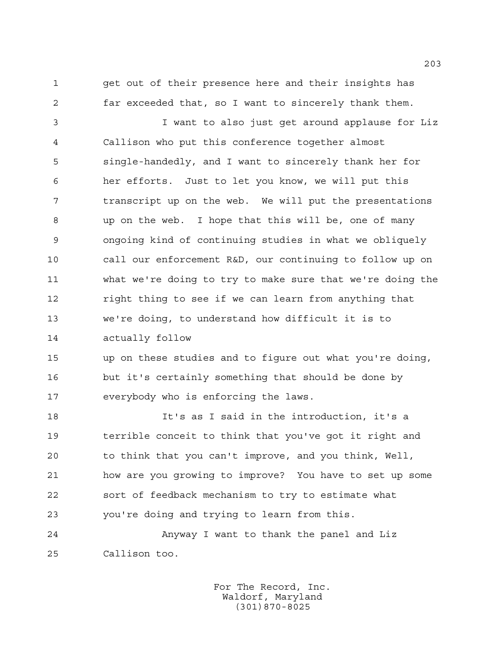get out of their presence here and their insights has far exceeded that, so I want to sincerely thank them.

 I want to also just get around applause for Liz Callison who put this conference together almost single-handedly, and I want to sincerely thank her for her efforts. Just to let you know, we will put this transcript up on the web. We will put the presentations up on the web. I hope that this will be, one of many ongoing kind of continuing studies in what we obliquely call our enforcement R&D, our continuing to follow up on what we're doing to try to make sure that we're doing the right thing to see if we can learn from anything that we're doing, to understand how difficult it is to actually follow

 up on these studies and to figure out what you're doing, but it's certainly something that should be done by everybody who is enforcing the laws.

 It's as I said in the introduction, it's a terrible conceit to think that you've got it right and to think that you can't improve, and you think, Well, how are you growing to improve? You have to set up some sort of feedback mechanism to try to estimate what you're doing and trying to learn from this.

 Anyway I want to thank the panel and Liz Callison too.

> For The Record, Inc. Waldorf, Maryland (301)870-8025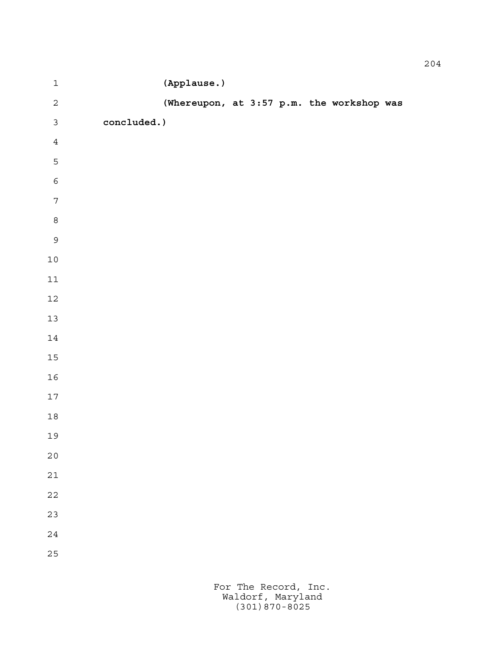| $\mathbf 1$      |             | (Applause.)                               |  |  |  |
|------------------|-------------|-------------------------------------------|--|--|--|
| $\overline{c}$   |             | (Whereupon, at 3:57 p.m. the workshop was |  |  |  |
| $\mathfrak{Z}$   | concluded.) |                                           |  |  |  |
| $\sqrt{4}$       |             |                                           |  |  |  |
| 5                |             |                                           |  |  |  |
| $\epsilon$       |             |                                           |  |  |  |
| $\boldsymbol{7}$ |             |                                           |  |  |  |
| $\,8\,$          |             |                                           |  |  |  |
| $\mathsf{S}$     |             |                                           |  |  |  |
| $1\,0$           |             |                                           |  |  |  |
| $11\,$           |             |                                           |  |  |  |
| $12\,$           |             |                                           |  |  |  |
| $13$             |             |                                           |  |  |  |
| $14\,$           |             |                                           |  |  |  |
| $15\,$           |             |                                           |  |  |  |
| $16\,$           |             |                                           |  |  |  |
| $17\,$           |             |                                           |  |  |  |
| $1\,8$           |             |                                           |  |  |  |
| 19               |             |                                           |  |  |  |
| $2\,0$           |             |                                           |  |  |  |
| 21               |             |                                           |  |  |  |
| 22               |             |                                           |  |  |  |
| 23               |             |                                           |  |  |  |
| 24               |             |                                           |  |  |  |
| 25               |             |                                           |  |  |  |
|                  |             |                                           |  |  |  |